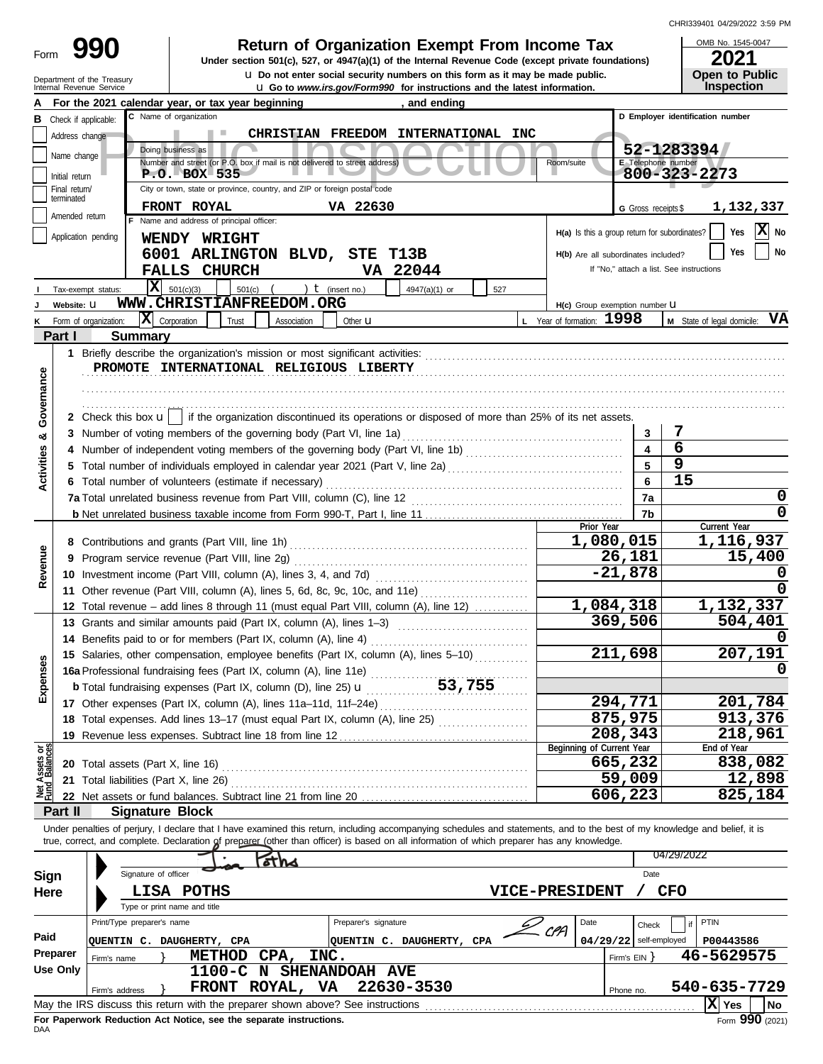CHRI339401 04/29/2022 3:59 PM

| 990                        | <b>Return of Organization Exempt From Income Tax</b>                                               | OMB No. 1545-0047     |
|----------------------------|----------------------------------------------------------------------------------------------------|-----------------------|
| Form                       | Under section 501(c), 527, or 4947(a)(1) of the Internal Revenue Code (except private foundations) | 2021                  |
| Department of the Treasury | La Do not enter social security numbers on this form as it may be made public.                     | <b>Open to Public</b> |
| Internal Revenue Service   | <b>u</b> Go to <i>www.irs.gov/Form990</i> for instructions and the latest information.             | <b>Inspection</b>     |

OMB No. 1545-0047 **2021**<br>Open to Public<br>Inspection

|                           |                                                                                                                               | For the 2021 calendar year, or tax year beginning                                                                                                                          |                      | , and ending                        |        |                                               |                          |                                          |  |  |
|---------------------------|-------------------------------------------------------------------------------------------------------------------------------|----------------------------------------------------------------------------------------------------------------------------------------------------------------------------|----------------------|-------------------------------------|--------|-----------------------------------------------|--------------------------|------------------------------------------|--|--|
| в                         | Check if applicable:                                                                                                          | C Name of organization                                                                                                                                                     |                      |                                     |        |                                               |                          | D Employer identification number         |  |  |
|                           | Address change                                                                                                                |                                                                                                                                                                            |                      | CHRISTIAN FREEDOM INTERNATIONAL INC |        |                                               |                          |                                          |  |  |
|                           | Doing business as<br>52-1283394                                                                                               |                                                                                                                                                                            |                      |                                     |        |                                               |                          |                                          |  |  |
|                           | Name change<br>Number and street (or P.O. box if mail is not delivered to street address)<br>E Telephone number<br>Room/suite |                                                                                                                                                                            |                      |                                     |        |                                               |                          |                                          |  |  |
|                           | Initial return                                                                                                                | P.O. BOX 535                                                                                                                                                               |                      |                                     |        |                                               |                          | 800-323-2273                             |  |  |
|                           | Final return/<br>terminated                                                                                                   | City or town, state or province, country, and ZIP or foreign postal code                                                                                                   |                      |                                     |        |                                               |                          |                                          |  |  |
|                           | Amended return                                                                                                                | FRONT ROYAL                                                                                                                                                                | VA 22630             |                                     |        |                                               | G Gross receipts \$      | 1,132,337                                |  |  |
|                           |                                                                                                                               | F Name and address of principal officer:                                                                                                                                   |                      |                                     |        | H(a) Is this a group return for subordinates? |                          | X No<br>Yes                              |  |  |
|                           | Application pending                                                                                                           | WENDY WRIGHT                                                                                                                                                               |                      |                                     |        |                                               |                          |                                          |  |  |
|                           |                                                                                                                               | 6001 ARLINGTON BLVD, STE T13B                                                                                                                                              |                      |                                     |        | H(b) Are all subordinates included?           |                          | No<br>Yes                                |  |  |
|                           |                                                                                                                               | <b>FALLS CHURCH</b>                                                                                                                                                        |                      | VA 22044                            |        |                                               |                          | If "No," attach a list. See instructions |  |  |
|                           | Tax-exempt status:                                                                                                            | ΙX<br>501(c)<br>501(c)(3)                                                                                                                                                  | ) $t$ (insert no.)   | 4947(a)(1) or                       | 527    |                                               |                          |                                          |  |  |
|                           | Website: U                                                                                                                    | WWW.CHRISTIANFREEDOM.ORG                                                                                                                                                   |                      |                                     |        | H(c) Group exemption number LI                |                          |                                          |  |  |
|                           | Form of organization:                                                                                                         | $ \mathbf{X} $ Corporation<br>Trust<br>Association                                                                                                                         | Other <b>u</b>       |                                     |        | L Year of formation: 1998                     |                          | M State of legal domicile: VA            |  |  |
|                           | Part I                                                                                                                        | <b>Summary</b>                                                                                                                                                             |                      |                                     |        |                                               |                          |                                          |  |  |
|                           |                                                                                                                               |                                                                                                                                                                            |                      |                                     |        |                                               |                          |                                          |  |  |
|                           |                                                                                                                               | PROMOTE INTERNATIONAL RELIGIOUS LIBERTY                                                                                                                                    |                      |                                     |        |                                               |                          |                                          |  |  |
|                           |                                                                                                                               |                                                                                                                                                                            |                      |                                     |        |                                               |                          |                                          |  |  |
| Governance                |                                                                                                                               |                                                                                                                                                                            |                      |                                     |        |                                               |                          |                                          |  |  |
|                           |                                                                                                                               | 2 Check this box $\mathbf{u}$   if the organization discontinued its operations or disposed of more than 25% of its net assets.                                            |                      |                                     |        |                                               |                          |                                          |  |  |
| ಯ                         |                                                                                                                               | 3 Number of voting members of the governing body (Part VI, line 1a)                                                                                                        |                      |                                     |        |                                               | 3                        | 7                                        |  |  |
|                           |                                                                                                                               |                                                                                                                                                                            |                      |                                     |        |                                               | 4                        | $\overline{6}$                           |  |  |
|                           |                                                                                                                               |                                                                                                                                                                            |                      |                                     |        |                                               | 5                        | $\overline{9}$                           |  |  |
| Activities                |                                                                                                                               | 6 Total number of volunteers (estimate if necessary)                                                                                                                       |                      |                                     |        |                                               | 6                        | 15                                       |  |  |
|                           |                                                                                                                               |                                                                                                                                                                            |                      |                                     |        |                                               | 7a                       | 0                                        |  |  |
|                           |                                                                                                                               |                                                                                                                                                                            |                      |                                     |        |                                               | 7b                       | 0                                        |  |  |
|                           |                                                                                                                               |                                                                                                                                                                            |                      |                                     |        | Prior Year                                    |                          | Current Year                             |  |  |
|                           |                                                                                                                               | 8 Contributions and grants (Part VIII, line 1h)                                                                                                                            |                      |                                     |        | 1,080,015                                     |                          | 1,116,937                                |  |  |
| Revenue                   |                                                                                                                               | 9 Program service revenue (Part VIII, line 2g)                                                                                                                             |                      | 26,181                              | 15,400 |                                               |                          |                                          |  |  |
|                           |                                                                                                                               | 10 Investment income (Part VIII, column (A), lines 3, 4, and 7d)                                                                                                           |                      | $-21,878$                           |        |                                               |                          |                                          |  |  |
|                           |                                                                                                                               | 11 Other revenue (Part VIII, column (A), lines 5, 6d, 8c, 9c, 10c, and 11e)                                                                                                |                      |                                     |        |                                               |                          |                                          |  |  |
|                           |                                                                                                                               | 12 Total revenue - add lines 8 through 11 (must equal Part VIII, column (A), line 12)                                                                                      |                      |                                     |        | 1,084,318                                     |                          | 1,132,337                                |  |  |
|                           |                                                                                                                               | 13 Grants and similar amounts paid (Part IX, column (A), lines 1-3)                                                                                                        |                      |                                     |        |                                               | 369,506                  | 504,401                                  |  |  |
|                           |                                                                                                                               | 14 Benefits paid to or for members (Part IX, column (A), line 4)                                                                                                           |                      |                                     |        |                                               |                          |                                          |  |  |
|                           |                                                                                                                               | 15 Salaries, other compensation, employee benefits (Part IX, column (A), lines 5-10)                                                                                       |                      |                                     |        |                                               | 211,698                  | 207,191                                  |  |  |
|                           |                                                                                                                               | 16a Professional fundraising fees (Part IX, column (A), line 11e)                                                                                                          |                      |                                     |        |                                               |                          | 0                                        |  |  |
| kpenses                   |                                                                                                                               | <b>b</b> Total fundraising expenses (Part IX, column (D), line 25) $\mathbf{u}$                                                                                            |                      | 53,755                              |        |                                               |                          |                                          |  |  |
| шì                        |                                                                                                                               | 17 Other expenses (Part IX, column (A), lines 11a-11d, 11f-24e)                                                                                                            |                      |                                     |        |                                               | 294,771                  | 201,784                                  |  |  |
|                           |                                                                                                                               | 18 Total expenses. Add lines 13-17 (must equal Part IX, column (A), line 25) [                                                                                             |                      |                                     |        |                                               | 875,975                  | 913,376                                  |  |  |
|                           |                                                                                                                               |                                                                                                                                                                            |                      |                                     |        |                                               | 208,343                  | 218,961                                  |  |  |
|                           |                                                                                                                               | 19 Revenue less expenses. Subtract line 18 from line 12                                                                                                                    |                      |                                     |        | Beginning of Current Year                     |                          | End of Year                              |  |  |
| t Assets or<br>d Balances |                                                                                                                               | 20 Total assets (Part X, line 16)                                                                                                                                          |                      |                                     |        |                                               | 665,232                  | 838,082                                  |  |  |
|                           |                                                                                                                               | 21 Total liabilities (Part X, line 26)                                                                                                                                     |                      |                                     |        |                                               | 59,009                   | 12,898                                   |  |  |
| $\sum_{i=1}^{n}$          |                                                                                                                               |                                                                                                                                                                            |                      |                                     |        |                                               | 606,223                  | 825,184                                  |  |  |
|                           | Part II                                                                                                                       | <b>Signature Block</b>                                                                                                                                                     |                      |                                     |        |                                               |                          |                                          |  |  |
|                           |                                                                                                                               | Under penalties of perjury, I declare that I have examined this return, including accompanying schedules and statements, and to the best of my knowledge and belief, it is |                      |                                     |        |                                               |                          |                                          |  |  |
|                           |                                                                                                                               | true, correct, and complete. Declaration of preparer (other than officer) is based on all information of which preparer has any knowledge.                                 |                      |                                     |        |                                               |                          |                                          |  |  |
|                           |                                                                                                                               |                                                                                                                                                                            |                      |                                     |        |                                               |                          | 04/29/2022                               |  |  |
| Sign                      |                                                                                                                               | 6T NA<br>Signature of officer                                                                                                                                              |                      |                                     |        |                                               | Date                     |                                          |  |  |
| Here                      |                                                                                                                               | <b>LISA POTHS</b>                                                                                                                                                          |                      |                                     |        | <b>VICE-PRESIDENT</b>                         |                          | <b>CFO</b>                               |  |  |
|                           |                                                                                                                               | Type or print name and title                                                                                                                                               |                      |                                     |        |                                               |                          |                                          |  |  |
|                           |                                                                                                                               | Print/Type preparer's name                                                                                                                                                 | Preparer's signature |                                     |        | Date                                          | Check                    | PTIN                                     |  |  |
| Paid                      |                                                                                                                               |                                                                                                                                                                            |                      |                                     |        | CPA                                           | $04/29/22$ self-employed |                                          |  |  |
|                           | Preparer                                                                                                                      | QUENTIN C. DAUGHERTY, CPA                                                                                                                                                  |                      | QUENTIN C. DAUGHERTY, CPA           |        |                                               |                          | P00443586<br>46-5629575                  |  |  |
|                           | Firm's name<br><b>Use Only</b>                                                                                                | METHOD CPA,                                                                                                                                                                | INC.                 |                                     |        |                                               | Firm's $EIN$ }           |                                          |  |  |
|                           |                                                                                                                               | 1100-C N SHENANDOAH AVE                                                                                                                                                    |                      |                                     |        |                                               |                          | 540-635-7729                             |  |  |
|                           | Firm's address                                                                                                                | FRONT ROYAL, VA                                                                                                                                                            |                      | 22630-3530                          |        |                                               | Phone no.                |                                          |  |  |
|                           |                                                                                                                               | May the IRS discuss this return with the preparer shown above? See instructions                                                                                            |                      |                                     |        |                                               |                          | $ \mathbf{X} $ Yes<br>  No               |  |  |

| Here     | LISA                                                                                                       | <b>POTHS</b>                                                       |                                 | <b>VICE-PRESIDENT</b> |      | <b>CFO</b>               |                 |  |  |  |  |
|----------|------------------------------------------------------------------------------------------------------------|--------------------------------------------------------------------|---------------------------------|-----------------------|------|--------------------------|-----------------|--|--|--|--|
|          | Type or print name and title                                                                               |                                                                    |                                 |                       |      |                          |                 |  |  |  |  |
|          | Print/Type preparer's name                                                                                 |                                                                    | Date                            | Check                 | PTIN |                          |                 |  |  |  |  |
| Paid     | OUENTIN C.                                                                                                 | DAUGHERTY, CPA                                                     | <b>DAUGHERTY,</b><br>OUENTIN C. | CPA<br><b>CPA</b>     |      | $04/29/22$ self-employed | P00443586       |  |  |  |  |
| Preparer | Firm's name                                                                                                | CPA,<br>INC.<br><b>METHOD</b>                                      |                                 |                       |      | Firm's EIN               | 46-5629575      |  |  |  |  |
| Use Only |                                                                                                            | 1100-C N SHENANDOAH AVE                                            |                                 |                       |      |                          |                 |  |  |  |  |
|          | Firm's address                                                                                             | ROYAL,<br><b>FRONT</b>                                             | 22630-3530<br>VA.               |                       |      | Phone no.                | 540-635-7729    |  |  |  |  |
|          | May the IRS discuss this return with the preparer shown above? See instructions<br><b>No</b><br>XI.<br>Yes |                                                                    |                                 |                       |      |                          |                 |  |  |  |  |
|          |                                                                                                            | For Paperwork Reduction Act Notice, see the separate instructions. |                                 |                       |      |                          | Form 990 (2021) |  |  |  |  |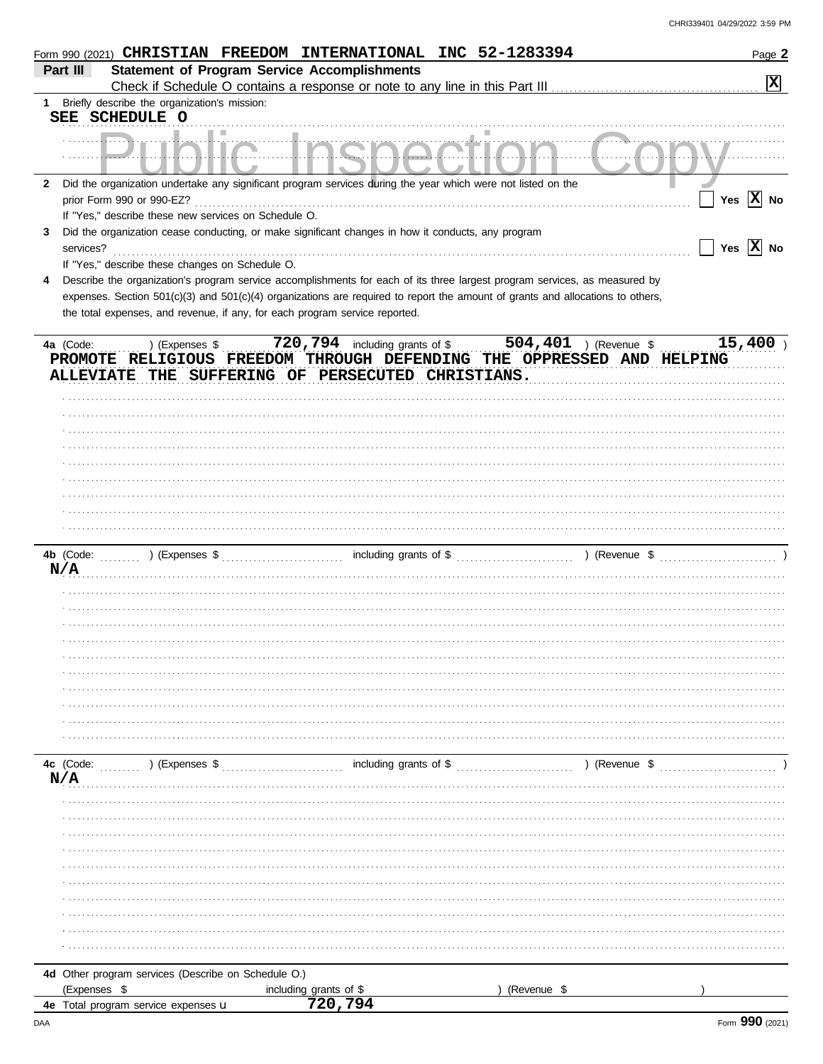| <b>Statement of Program Service Accomplishments</b><br>Part III<br>$\boxed{\mathbf{x}}$<br>1 Briefly describe the organization's mission:<br>SEE SCHEDULE O<br>Did the organization undertake any significant program services during the year which were not listed on the<br>$\mathbf{2}$<br>Yes $\overline{X}$ No<br>prior Form 990 or 990-EZ?<br>If "Yes," describe these new services on Schedule O.<br>Did the organization cease conducting, or make significant changes in how it conducts, any program<br>3<br>Yes $\overline{X}$ No<br>services?<br>If "Yes," describe these changes on Schedule O.<br>Describe the organization's program service accomplishments for each of its three largest program services, as measured by<br>4<br>expenses. Section 501(c)(3) and 501(c)(4) organizations are required to report the amount of grants and allocations to others,<br>the total expenses, and revenue, if any, for each program service reported.<br>) (Expenses \$ 720,794 including grants of \$ 504,401 ) (Revenue \$<br>15,400<br>4a (Code:<br>PROMOTE RELIGIOUS FREEDOM THROUGH DEFENDING THE OPPRESSED AND HELPING<br>ALLEVIATE THE SUFFERING OF PERSECUTED CHRISTIANS.<br>N/A<br>$\ldots$ , $\ldots$ , $\ldots$ , $\ldots$ including grants of \$ $\ldots$ , $\ldots$ , $\ldots$ , $\ldots$ , $\ldots$<br>) (Revenue \$<br>4c $(Code:$ $(Code:$ $(Coc:$ $(Coc:$ $(Coc:$ $(Coc:$ $(Coc:$ $(Coc:$ $(Coc:$ $(Coc:$ $(Coc:$ $(Coc:$ $(Coc:$ $(Coc:$ $(Coc:$ $(Coc:$ $(Coc:$ $(Coc:$ $(Coc:$ $(Coc:$ $(Coc:$ $(Coc:$ $(Coc:$ $(Coc:$ $(Coc:$ $(Coc:$ $(Coc:$ $(Coc:$ $(Coc:$ $(Coc:$ $(Coc:$ $(Coc:$ $(Coc:$ $(Coc:$ $(Coc:$ $(Coc:$ $(C$<br>N/A<br>4d Other program services (Describe on Schedule O.)<br>(Expenses \$<br>including grants of \$<br>(Revenue \$<br>720,794<br>4e Total program service expenses u | Form 990 (2021) CHRISTIAN FREEDOM INTERNATIONAL INC 52-1283394 |  |  | Page 2 |
|--------------------------------------------------------------------------------------------------------------------------------------------------------------------------------------------------------------------------------------------------------------------------------------------------------------------------------------------------------------------------------------------------------------------------------------------------------------------------------------------------------------------------------------------------------------------------------------------------------------------------------------------------------------------------------------------------------------------------------------------------------------------------------------------------------------------------------------------------------------------------------------------------------------------------------------------------------------------------------------------------------------------------------------------------------------------------------------------------------------------------------------------------------------------------------------------------------------------------------------------------------------------------------------------------------------------------------------------------------------------------------------------------------------------------------------------------------------------------------------------------------------------------------------------------------------------------------------------------------------------------------------------------------------------------------------------------------------------------------------------------------------------------------------------------------------------------------------|----------------------------------------------------------------|--|--|--------|
|                                                                                                                                                                                                                                                                                                                                                                                                                                                                                                                                                                                                                                                                                                                                                                                                                                                                                                                                                                                                                                                                                                                                                                                                                                                                                                                                                                                                                                                                                                                                                                                                                                                                                                                                                                                                                                      |                                                                |  |  |        |
|                                                                                                                                                                                                                                                                                                                                                                                                                                                                                                                                                                                                                                                                                                                                                                                                                                                                                                                                                                                                                                                                                                                                                                                                                                                                                                                                                                                                                                                                                                                                                                                                                                                                                                                                                                                                                                      |                                                                |  |  |        |
|                                                                                                                                                                                                                                                                                                                                                                                                                                                                                                                                                                                                                                                                                                                                                                                                                                                                                                                                                                                                                                                                                                                                                                                                                                                                                                                                                                                                                                                                                                                                                                                                                                                                                                                                                                                                                                      |                                                                |  |  |        |
|                                                                                                                                                                                                                                                                                                                                                                                                                                                                                                                                                                                                                                                                                                                                                                                                                                                                                                                                                                                                                                                                                                                                                                                                                                                                                                                                                                                                                                                                                                                                                                                                                                                                                                                                                                                                                                      |                                                                |  |  |        |
|                                                                                                                                                                                                                                                                                                                                                                                                                                                                                                                                                                                                                                                                                                                                                                                                                                                                                                                                                                                                                                                                                                                                                                                                                                                                                                                                                                                                                                                                                                                                                                                                                                                                                                                                                                                                                                      |                                                                |  |  |        |
|                                                                                                                                                                                                                                                                                                                                                                                                                                                                                                                                                                                                                                                                                                                                                                                                                                                                                                                                                                                                                                                                                                                                                                                                                                                                                                                                                                                                                                                                                                                                                                                                                                                                                                                                                                                                                                      |                                                                |  |  |        |
|                                                                                                                                                                                                                                                                                                                                                                                                                                                                                                                                                                                                                                                                                                                                                                                                                                                                                                                                                                                                                                                                                                                                                                                                                                                                                                                                                                                                                                                                                                                                                                                                                                                                                                                                                                                                                                      |                                                                |  |  |        |
|                                                                                                                                                                                                                                                                                                                                                                                                                                                                                                                                                                                                                                                                                                                                                                                                                                                                                                                                                                                                                                                                                                                                                                                                                                                                                                                                                                                                                                                                                                                                                                                                                                                                                                                                                                                                                                      |                                                                |  |  |        |
|                                                                                                                                                                                                                                                                                                                                                                                                                                                                                                                                                                                                                                                                                                                                                                                                                                                                                                                                                                                                                                                                                                                                                                                                                                                                                                                                                                                                                                                                                                                                                                                                                                                                                                                                                                                                                                      |                                                                |  |  |        |
|                                                                                                                                                                                                                                                                                                                                                                                                                                                                                                                                                                                                                                                                                                                                                                                                                                                                                                                                                                                                                                                                                                                                                                                                                                                                                                                                                                                                                                                                                                                                                                                                                                                                                                                                                                                                                                      |                                                                |  |  |        |
|                                                                                                                                                                                                                                                                                                                                                                                                                                                                                                                                                                                                                                                                                                                                                                                                                                                                                                                                                                                                                                                                                                                                                                                                                                                                                                                                                                                                                                                                                                                                                                                                                                                                                                                                                                                                                                      |                                                                |  |  |        |
|                                                                                                                                                                                                                                                                                                                                                                                                                                                                                                                                                                                                                                                                                                                                                                                                                                                                                                                                                                                                                                                                                                                                                                                                                                                                                                                                                                                                                                                                                                                                                                                                                                                                                                                                                                                                                                      |                                                                |  |  |        |
|                                                                                                                                                                                                                                                                                                                                                                                                                                                                                                                                                                                                                                                                                                                                                                                                                                                                                                                                                                                                                                                                                                                                                                                                                                                                                                                                                                                                                                                                                                                                                                                                                                                                                                                                                                                                                                      |                                                                |  |  |        |
|                                                                                                                                                                                                                                                                                                                                                                                                                                                                                                                                                                                                                                                                                                                                                                                                                                                                                                                                                                                                                                                                                                                                                                                                                                                                                                                                                                                                                                                                                                                                                                                                                                                                                                                                                                                                                                      |                                                                |  |  |        |
|                                                                                                                                                                                                                                                                                                                                                                                                                                                                                                                                                                                                                                                                                                                                                                                                                                                                                                                                                                                                                                                                                                                                                                                                                                                                                                                                                                                                                                                                                                                                                                                                                                                                                                                                                                                                                                      |                                                                |  |  |        |
|                                                                                                                                                                                                                                                                                                                                                                                                                                                                                                                                                                                                                                                                                                                                                                                                                                                                                                                                                                                                                                                                                                                                                                                                                                                                                                                                                                                                                                                                                                                                                                                                                                                                                                                                                                                                                                      |                                                                |  |  |        |
|                                                                                                                                                                                                                                                                                                                                                                                                                                                                                                                                                                                                                                                                                                                                                                                                                                                                                                                                                                                                                                                                                                                                                                                                                                                                                                                                                                                                                                                                                                                                                                                                                                                                                                                                                                                                                                      |                                                                |  |  |        |
|                                                                                                                                                                                                                                                                                                                                                                                                                                                                                                                                                                                                                                                                                                                                                                                                                                                                                                                                                                                                                                                                                                                                                                                                                                                                                                                                                                                                                                                                                                                                                                                                                                                                                                                                                                                                                                      |                                                                |  |  |        |
|                                                                                                                                                                                                                                                                                                                                                                                                                                                                                                                                                                                                                                                                                                                                                                                                                                                                                                                                                                                                                                                                                                                                                                                                                                                                                                                                                                                                                                                                                                                                                                                                                                                                                                                                                                                                                                      |                                                                |  |  |        |
|                                                                                                                                                                                                                                                                                                                                                                                                                                                                                                                                                                                                                                                                                                                                                                                                                                                                                                                                                                                                                                                                                                                                                                                                                                                                                                                                                                                                                                                                                                                                                                                                                                                                                                                                                                                                                                      |                                                                |  |  |        |
|                                                                                                                                                                                                                                                                                                                                                                                                                                                                                                                                                                                                                                                                                                                                                                                                                                                                                                                                                                                                                                                                                                                                                                                                                                                                                                                                                                                                                                                                                                                                                                                                                                                                                                                                                                                                                                      |                                                                |  |  |        |
|                                                                                                                                                                                                                                                                                                                                                                                                                                                                                                                                                                                                                                                                                                                                                                                                                                                                                                                                                                                                                                                                                                                                                                                                                                                                                                                                                                                                                                                                                                                                                                                                                                                                                                                                                                                                                                      |                                                                |  |  |        |
|                                                                                                                                                                                                                                                                                                                                                                                                                                                                                                                                                                                                                                                                                                                                                                                                                                                                                                                                                                                                                                                                                                                                                                                                                                                                                                                                                                                                                                                                                                                                                                                                                                                                                                                                                                                                                                      |                                                                |  |  |        |
|                                                                                                                                                                                                                                                                                                                                                                                                                                                                                                                                                                                                                                                                                                                                                                                                                                                                                                                                                                                                                                                                                                                                                                                                                                                                                                                                                                                                                                                                                                                                                                                                                                                                                                                                                                                                                                      |                                                                |  |  |        |
|                                                                                                                                                                                                                                                                                                                                                                                                                                                                                                                                                                                                                                                                                                                                                                                                                                                                                                                                                                                                                                                                                                                                                                                                                                                                                                                                                                                                                                                                                                                                                                                                                                                                                                                                                                                                                                      |                                                                |  |  |        |
|                                                                                                                                                                                                                                                                                                                                                                                                                                                                                                                                                                                                                                                                                                                                                                                                                                                                                                                                                                                                                                                                                                                                                                                                                                                                                                                                                                                                                                                                                                                                                                                                                                                                                                                                                                                                                                      |                                                                |  |  |        |
|                                                                                                                                                                                                                                                                                                                                                                                                                                                                                                                                                                                                                                                                                                                                                                                                                                                                                                                                                                                                                                                                                                                                                                                                                                                                                                                                                                                                                                                                                                                                                                                                                                                                                                                                                                                                                                      |                                                                |  |  |        |
|                                                                                                                                                                                                                                                                                                                                                                                                                                                                                                                                                                                                                                                                                                                                                                                                                                                                                                                                                                                                                                                                                                                                                                                                                                                                                                                                                                                                                                                                                                                                                                                                                                                                                                                                                                                                                                      |                                                                |  |  |        |
|                                                                                                                                                                                                                                                                                                                                                                                                                                                                                                                                                                                                                                                                                                                                                                                                                                                                                                                                                                                                                                                                                                                                                                                                                                                                                                                                                                                                                                                                                                                                                                                                                                                                                                                                                                                                                                      |                                                                |  |  |        |
|                                                                                                                                                                                                                                                                                                                                                                                                                                                                                                                                                                                                                                                                                                                                                                                                                                                                                                                                                                                                                                                                                                                                                                                                                                                                                                                                                                                                                                                                                                                                                                                                                                                                                                                                                                                                                                      |                                                                |  |  |        |
|                                                                                                                                                                                                                                                                                                                                                                                                                                                                                                                                                                                                                                                                                                                                                                                                                                                                                                                                                                                                                                                                                                                                                                                                                                                                                                                                                                                                                                                                                                                                                                                                                                                                                                                                                                                                                                      |                                                                |  |  |        |
|                                                                                                                                                                                                                                                                                                                                                                                                                                                                                                                                                                                                                                                                                                                                                                                                                                                                                                                                                                                                                                                                                                                                                                                                                                                                                                                                                                                                                                                                                                                                                                                                                                                                                                                                                                                                                                      |                                                                |  |  |        |
|                                                                                                                                                                                                                                                                                                                                                                                                                                                                                                                                                                                                                                                                                                                                                                                                                                                                                                                                                                                                                                                                                                                                                                                                                                                                                                                                                                                                                                                                                                                                                                                                                                                                                                                                                                                                                                      |                                                                |  |  |        |
|                                                                                                                                                                                                                                                                                                                                                                                                                                                                                                                                                                                                                                                                                                                                                                                                                                                                                                                                                                                                                                                                                                                                                                                                                                                                                                                                                                                                                                                                                                                                                                                                                                                                                                                                                                                                                                      |                                                                |  |  |        |
|                                                                                                                                                                                                                                                                                                                                                                                                                                                                                                                                                                                                                                                                                                                                                                                                                                                                                                                                                                                                                                                                                                                                                                                                                                                                                                                                                                                                                                                                                                                                                                                                                                                                                                                                                                                                                                      |                                                                |  |  |        |
|                                                                                                                                                                                                                                                                                                                                                                                                                                                                                                                                                                                                                                                                                                                                                                                                                                                                                                                                                                                                                                                                                                                                                                                                                                                                                                                                                                                                                                                                                                                                                                                                                                                                                                                                                                                                                                      |                                                                |  |  |        |
|                                                                                                                                                                                                                                                                                                                                                                                                                                                                                                                                                                                                                                                                                                                                                                                                                                                                                                                                                                                                                                                                                                                                                                                                                                                                                                                                                                                                                                                                                                                                                                                                                                                                                                                                                                                                                                      |                                                                |  |  |        |
|                                                                                                                                                                                                                                                                                                                                                                                                                                                                                                                                                                                                                                                                                                                                                                                                                                                                                                                                                                                                                                                                                                                                                                                                                                                                                                                                                                                                                                                                                                                                                                                                                                                                                                                                                                                                                                      |                                                                |  |  |        |
|                                                                                                                                                                                                                                                                                                                                                                                                                                                                                                                                                                                                                                                                                                                                                                                                                                                                                                                                                                                                                                                                                                                                                                                                                                                                                                                                                                                                                                                                                                                                                                                                                                                                                                                                                                                                                                      |                                                                |  |  |        |
|                                                                                                                                                                                                                                                                                                                                                                                                                                                                                                                                                                                                                                                                                                                                                                                                                                                                                                                                                                                                                                                                                                                                                                                                                                                                                                                                                                                                                                                                                                                                                                                                                                                                                                                                                                                                                                      |                                                                |  |  |        |
|                                                                                                                                                                                                                                                                                                                                                                                                                                                                                                                                                                                                                                                                                                                                                                                                                                                                                                                                                                                                                                                                                                                                                                                                                                                                                                                                                                                                                                                                                                                                                                                                                                                                                                                                                                                                                                      |                                                                |  |  |        |
|                                                                                                                                                                                                                                                                                                                                                                                                                                                                                                                                                                                                                                                                                                                                                                                                                                                                                                                                                                                                                                                                                                                                                                                                                                                                                                                                                                                                                                                                                                                                                                                                                                                                                                                                                                                                                                      |                                                                |  |  |        |
|                                                                                                                                                                                                                                                                                                                                                                                                                                                                                                                                                                                                                                                                                                                                                                                                                                                                                                                                                                                                                                                                                                                                                                                                                                                                                                                                                                                                                                                                                                                                                                                                                                                                                                                                                                                                                                      |                                                                |  |  |        |
|                                                                                                                                                                                                                                                                                                                                                                                                                                                                                                                                                                                                                                                                                                                                                                                                                                                                                                                                                                                                                                                                                                                                                                                                                                                                                                                                                                                                                                                                                                                                                                                                                                                                                                                                                                                                                                      |                                                                |  |  |        |
|                                                                                                                                                                                                                                                                                                                                                                                                                                                                                                                                                                                                                                                                                                                                                                                                                                                                                                                                                                                                                                                                                                                                                                                                                                                                                                                                                                                                                                                                                                                                                                                                                                                                                                                                                                                                                                      |                                                                |  |  |        |
|                                                                                                                                                                                                                                                                                                                                                                                                                                                                                                                                                                                                                                                                                                                                                                                                                                                                                                                                                                                                                                                                                                                                                                                                                                                                                                                                                                                                                                                                                                                                                                                                                                                                                                                                                                                                                                      |                                                                |  |  |        |
|                                                                                                                                                                                                                                                                                                                                                                                                                                                                                                                                                                                                                                                                                                                                                                                                                                                                                                                                                                                                                                                                                                                                                                                                                                                                                                                                                                                                                                                                                                                                                                                                                                                                                                                                                                                                                                      |                                                                |  |  |        |
|                                                                                                                                                                                                                                                                                                                                                                                                                                                                                                                                                                                                                                                                                                                                                                                                                                                                                                                                                                                                                                                                                                                                                                                                                                                                                                                                                                                                                                                                                                                                                                                                                                                                                                                                                                                                                                      |                                                                |  |  |        |
|                                                                                                                                                                                                                                                                                                                                                                                                                                                                                                                                                                                                                                                                                                                                                                                                                                                                                                                                                                                                                                                                                                                                                                                                                                                                                                                                                                                                                                                                                                                                                                                                                                                                                                                                                                                                                                      |                                                                |  |  |        |
|                                                                                                                                                                                                                                                                                                                                                                                                                                                                                                                                                                                                                                                                                                                                                                                                                                                                                                                                                                                                                                                                                                                                                                                                                                                                                                                                                                                                                                                                                                                                                                                                                                                                                                                                                                                                                                      |                                                                |  |  |        |
|                                                                                                                                                                                                                                                                                                                                                                                                                                                                                                                                                                                                                                                                                                                                                                                                                                                                                                                                                                                                                                                                                                                                                                                                                                                                                                                                                                                                                                                                                                                                                                                                                                                                                                                                                                                                                                      |                                                                |  |  |        |
|                                                                                                                                                                                                                                                                                                                                                                                                                                                                                                                                                                                                                                                                                                                                                                                                                                                                                                                                                                                                                                                                                                                                                                                                                                                                                                                                                                                                                                                                                                                                                                                                                                                                                                                                                                                                                                      |                                                                |  |  |        |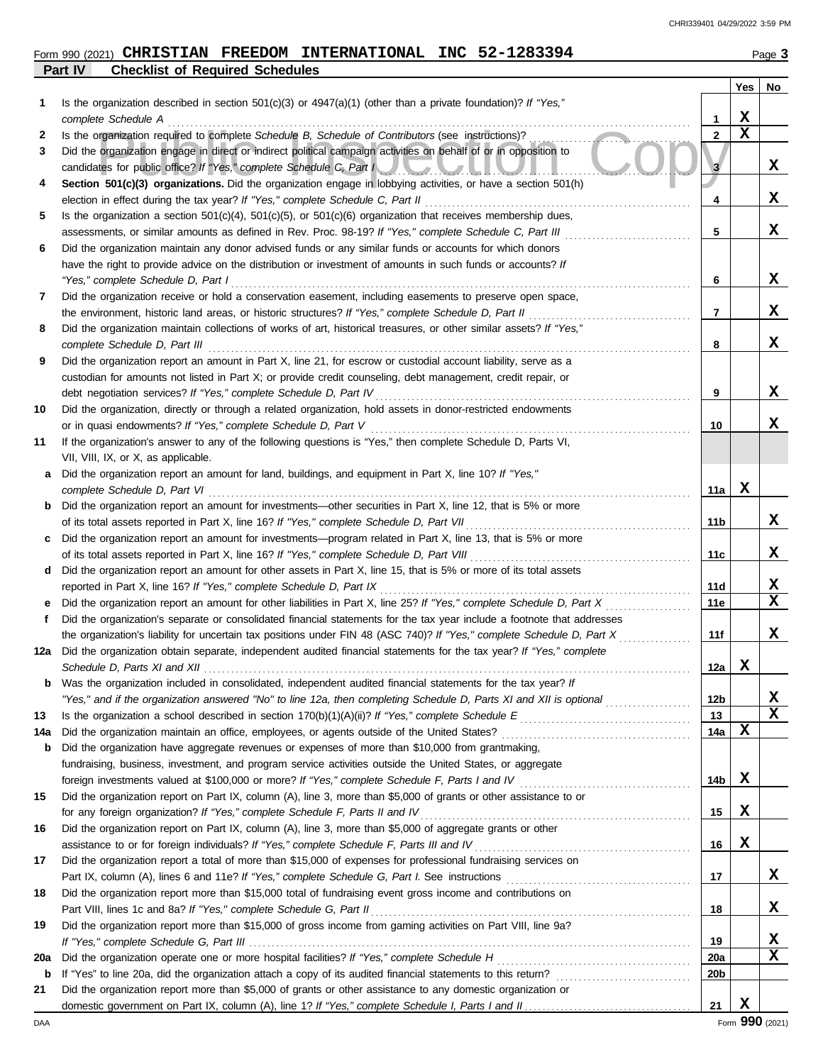|     | Part IV<br><b>Checklist of Required Schedules</b>                                                                       |             |             |                  |
|-----|-------------------------------------------------------------------------------------------------------------------------|-------------|-------------|------------------|
|     |                                                                                                                         |             | Yes         | No               |
| 1   | Is the organization described in section 501(c)(3) or $4947(a)(1)$ (other than a private foundation)? If "Yes,"         |             |             |                  |
|     | complete Schedule A                                                                                                     | 1           | X           |                  |
| 2   | Is the organization required to complete Schedule B, Schedule of Contributors (see instructions)?                       | $\mathbf 2$ | $\mathbf x$ |                  |
| 3   | Did the organization engage in direct or indirect political campaign activities on behalf of or in opposition to        |             |             |                  |
|     | candidates for public office? If "Yes," complete Schedule C, Part I                                                     | 3           |             | X                |
| 4   | Section 501(c)(3) organizations. Did the organization engage in lobbying activities, or have a section 501(h)           |             |             |                  |
|     | election in effect during the tax year? If "Yes," complete Schedule C, Part II                                          | 4           |             | x                |
| 5   | Is the organization a section $501(c)(4)$ , $501(c)(5)$ , or $501(c)(6)$ organization that receives membership dues,    |             |             |                  |
|     | assessments, or similar amounts as defined in Rev. Proc. 98-19? If "Yes," complete Schedule C, Part III                 | 5           |             | x                |
| 6   | Did the organization maintain any donor advised funds or any similar funds or accounts for which donors                 |             |             |                  |
|     | have the right to provide advice on the distribution or investment of amounts in such funds or accounts? If             |             |             |                  |
|     | "Yes," complete Schedule D, Part I                                                                                      | 6           |             | x                |
| 7   | Did the organization receive or hold a conservation easement, including easements to preserve open space,               |             |             |                  |
|     | the environment, historic land areas, or historic structures? If "Yes," complete Schedule D, Part II                    | 7           |             | x                |
| 8   | Did the organization maintain collections of works of art, historical treasures, or other similar assets? If "Yes,"     |             |             |                  |
|     | complete Schedule D, Part III                                                                                           | 8           |             | x                |
| 9   | Did the organization report an amount in Part X, line 21, for escrow or custodial account liability, serve as a         |             |             |                  |
|     | custodian for amounts not listed in Part X; or provide credit counseling, debt management, credit repair, or            |             |             |                  |
|     | debt negotiation services? If "Yes," complete Schedule D, Part IV                                                       | 9           |             | x                |
| 10  | Did the organization, directly or through a related organization, hold assets in donor-restricted endowments            |             |             |                  |
|     | or in quasi endowments? If "Yes," complete Schedule D, Part V                                                           | 10          |             | x                |
| 11  | If the organization's answer to any of the following questions is "Yes," then complete Schedule D, Parts VI,            |             |             |                  |
|     | VII, VIII, IX, or X, as applicable.                                                                                     |             |             |                  |
| a   | Did the organization report an amount for land, buildings, and equipment in Part X, line 10? If "Yes,"                  |             |             |                  |
|     | complete Schedule D, Part VI                                                                                            | 11a         | x           |                  |
| b   | Did the organization report an amount for investments—other securities in Part X, line 12, that is 5% or more           |             |             |                  |
|     | of its total assets reported in Part X, line 16? If "Yes," complete Schedule D, Part VII                                | 11b         |             | X                |
|     | Did the organization report an amount for investments—program related in Part X, line 13, that is 5% or more            |             |             |                  |
| c   | of its total assets reported in Part X, line 16? If "Yes," complete Schedule D, Part VIII                               | 11c         |             | x                |
|     |                                                                                                                         |             |             |                  |
| d   | Did the organization report an amount for other assets in Part X, line 15, that is 5% or more of its total assets       |             |             |                  |
|     | reported in Part X, line 16? If "Yes," complete Schedule D, Part IX                                                     | 11d         |             | X<br>$\mathbf x$ |
| е   | Did the organization report an amount for other liabilities in Part X, line 25? If "Yes," complete Schedule D, Part X   | 11e         |             |                  |
| f   | Did the organization's separate or consolidated financial statements for the tax year include a footnote that addresses |             |             |                  |
|     | the organization's liability for uncertain tax positions under FIN 48 (ASC 740)? If "Yes," complete Schedule D, Part X  | 11f         |             | x                |
| 12a | Did the organization obtain separate, independent audited financial statements for the tax year? If "Yes," complete     |             |             |                  |
|     | Schedule D, Parts XI and XII                                                                                            | 12a         | х           |                  |
| b   | Was the organization included in consolidated, independent audited financial statements for the tax year? If            |             |             |                  |
|     | "Yes," and if the organization answered "No" to line 12a, then completing Schedule D, Parts XI and XII is optional      | 12b         |             | x                |
| 13  |                                                                                                                         | 13          |             | $\mathbf x$      |
| 14a | Did the organization maintain an office, employees, or agents outside of the United States?                             | 14a         | x           |                  |
| b   | Did the organization have aggregate revenues or expenses of more than \$10,000 from grantmaking,                        |             |             |                  |
|     | fundraising, business, investment, and program service activities outside the United States, or aggregate               |             |             |                  |
|     | foreign investments valued at \$100,000 or more? If "Yes," complete Schedule F, Parts I and IV [[[[[[[[[[[[[[[          | 14b         | X           |                  |
| 15  | Did the organization report on Part IX, column (A), line 3, more than \$5,000 of grants or other assistance to or       |             |             |                  |
|     | for any foreign organization? If "Yes," complete Schedule F, Parts II and IV                                            | 15          | X           |                  |
| 16  | Did the organization report on Part IX, column (A), line 3, more than \$5,000 of aggregate grants or other              |             |             |                  |
|     | assistance to or for foreign individuals? If "Yes," complete Schedule F, Parts III and IV                               | 16          | X           |                  |
| 17  | Did the organization report a total of more than \$15,000 of expenses for professional fundraising services on          |             |             |                  |
|     |                                                                                                                         | 17          |             | X                |
| 18  | Did the organization report more than \$15,000 total of fundraising event gross income and contributions on             |             |             |                  |
|     | Part VIII, lines 1c and 8a? If "Yes," complete Schedule G, Part II                                                      | 18          |             | x                |
| 19  | Did the organization report more than \$15,000 of gross income from gaming activities on Part VIII, line 9a?            |             |             |                  |
|     |                                                                                                                         | 19          |             | x                |
| 20a | Did the organization operate one or more hospital facilities? If "Yes," complete Schedule H                             | 20a         |             | х                |
| b   |                                                                                                                         | 20b         |             |                  |
| 21  | Did the organization report more than \$5,000 of grants or other assistance to any domestic organization or             |             |             |                  |
|     |                                                                                                                         | 21          | х           |                  |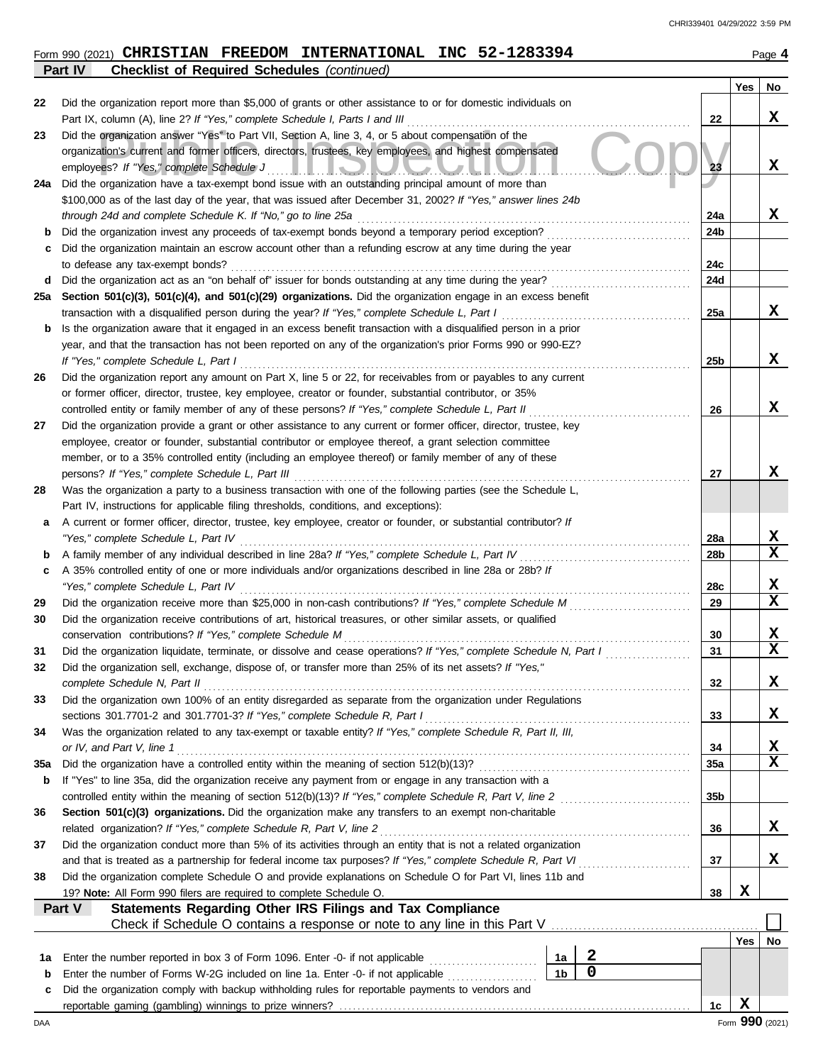|  | $_{\rm Form}$ 990 (2021) CHRISTIAN FREEDOM INTERNATIONAL INC 52-1283394 |  | Page 4 |
|--|-------------------------------------------------------------------------|--|--------|
|  |                                                                         |  |        |

|     | <b>Checklist of Required Schedules (continued)</b><br>Part IV                                                                                              |     |     |             |
|-----|------------------------------------------------------------------------------------------------------------------------------------------------------------|-----|-----|-------------|
|     |                                                                                                                                                            |     | Yes | No          |
| 22  | Did the organization report more than \$5,000 of grants or other assistance to or for domestic individuals on                                              |     |     |             |
|     | Part IX, column (A), line 2? If "Yes," complete Schedule I, Parts I and III                                                                                | 22  |     | x           |
| 23  | Did the organization answer "Yes" to Part VII, Section A, line 3, 4, or 5 about compensation of the                                                        |     |     |             |
|     | organization's current and former officers, directors, trustees, key employees, and highest compensated                                                    |     |     |             |
|     | employees? If "Yes," complete Schedule J<br><u>LIOMULANI</u>                                                                                               | 23  |     | x           |
| 24a | Did the organization have a tax-exempt bond issue with an outstanding principal amount of more than                                                        |     |     |             |
|     | \$100,000 as of the last day of the year, that was issued after December 31, 2002? If "Yes," answer lines 24b                                              |     |     |             |
|     | through 24d and complete Schedule K. If "No," go to line 25a                                                                                               | 24a |     | x           |
| b   | Did the organization invest any proceeds of tax-exempt bonds beyond a temporary period exception?                                                          | 24b |     |             |
|     | Did the organization maintain an escrow account other than a refunding escrow at any time during the year                                                  |     |     |             |
|     | to defease any tax-exempt bonds?                                                                                                                           | 24c |     |             |
| d   | Did the organization act as an "on behalf of" issuer for bonds outstanding at any time during the year?                                                    | 24d |     |             |
| 25a | Section 501(c)(3), 501(c)(4), and 501(c)(29) organizations. Did the organization engage in an excess benefit                                               |     |     |             |
|     | transaction with a disqualified person during the year? If "Yes," complete Schedule L, Part I                                                              | 25a |     | X           |
| b   | Is the organization aware that it engaged in an excess benefit transaction with a disqualified person in a prior                                           |     |     |             |
|     | year, and that the transaction has not been reported on any of the organization's prior Forms 990 or 990-EZ?                                               |     |     |             |
|     | If "Yes," complete Schedule L, Part I                                                                                                                      | 25b |     | x           |
| 26  | Did the organization report any amount on Part X, line 5 or 22, for receivables from or payables to any current                                            |     |     |             |
|     | or former officer, director, trustee, key employee, creator or founder, substantial contributor, or 35%                                                    |     |     |             |
|     | controlled entity or family member of any of these persons? If "Yes," complete Schedule L, Part II                                                         | 26  |     | x           |
| 27  | Did the organization provide a grant or other assistance to any current or former officer, director, trustee, key                                          |     |     |             |
|     | employee, creator or founder, substantial contributor or employee thereof, a grant selection committee                                                     |     |     |             |
|     | member, or to a 35% controlled entity (including an employee thereof) or family member of any of these                                                     |     |     |             |
|     | persons? If "Yes," complete Schedule L, Part III                                                                                                           | 27  |     | x           |
| 28  | Was the organization a party to a business transaction with one of the following parties (see the Schedule L,                                              |     |     |             |
|     | Part IV, instructions for applicable filing thresholds, conditions, and exceptions):                                                                       |     |     |             |
| а   | A current or former officer, director, trustee, key employee, creator or founder, or substantial contributor? If                                           |     |     |             |
|     | "Yes," complete Schedule L, Part IV                                                                                                                        | 28a |     | X           |
| b   | A family member of any individual described in line 28a? If "Yes," complete Schedule L, Part IV                                                            | 28b |     | x           |
| c   | A 35% controlled entity of one or more individuals and/or organizations described in line 28a or 28b? If                                                   |     |     |             |
|     | "Yes," complete Schedule L, Part IV                                                                                                                        | 28c |     | X           |
| 29  | Did the organization receive more than \$25,000 in non-cash contributions? If "Yes," complete Schedule M                                                   | 29  |     | X           |
| 30  | Did the organization receive contributions of art, historical treasures, or other similar assets, or qualified                                             |     |     |             |
|     | conservation contributions? If "Yes," complete Schedule M                                                                                                  | 30  |     | X           |
| 31  | Did the organization liquidate, terminate, or dissolve and cease operations? If "Yes," complete Schedule N, Part I                                         | 31  |     | $\mathbf x$ |
|     | Did the organization sell, exchange, dispose of, or transfer more than 25% of its net assets? If "Yes,"                                                    |     |     |             |
|     | complete Schedule N, Part II                                                                                                                               | 32  |     | X           |
| 33  | Did the organization own 100% of an entity disregarded as separate from the organization under Regulations                                                 |     |     |             |
|     | sections 301.7701-2 and 301.7701-3? If "Yes," complete Schedule R, Part I                                                                                  | 33  |     | X           |
| 34  | Was the organization related to any tax-exempt or taxable entity? If "Yes," complete Schedule R, Part II, III,                                             |     |     |             |
|     | or IV, and Part V, line 1                                                                                                                                  | 34  |     | X           |
| 35a |                                                                                                                                                            | 35a |     | X           |
| b   | If "Yes" to line 35a, did the organization receive any payment from or engage in any transaction with a                                                    |     |     |             |
|     | controlled entity within the meaning of section 512(b)(13)? If "Yes," complete Schedule R, Part V, line 2                                                  | 35b |     |             |
| 36  | Section 501(c)(3) organizations. Did the organization make any transfers to an exempt non-charitable                                                       |     |     |             |
|     | related organization? If "Yes," complete Schedule R, Part V, line 2                                                                                        | 36  |     | X           |
| 37  | Did the organization conduct more than 5% of its activities through an entity that is not a related organization                                           |     |     |             |
|     | and that is treated as a partnership for federal income tax purposes? If "Yes," complete Schedule R, Part VI                                               | 37  |     | X           |
| 38  | Did the organization complete Schedule O and provide explanations on Schedule O for Part VI, lines 11b and                                                 |     |     |             |
|     | 19? Note: All Form 990 filers are required to complete Schedule O.                                                                                         | 38  | X   |             |
|     | Statements Regarding Other IRS Filings and Tax Compliance<br>Part V                                                                                        |     |     |             |
|     | Check if Schedule O contains a response or note to any line in this Part V [11] Check if Schedule O contains a response or note to any line in this Part V |     |     |             |
|     |                                                                                                                                                            |     | Yes | No          |
| 1а  | $\boldsymbol{2}$<br>Enter the number reported in box 3 of Form 1096. Enter -0- if not applicable<br>1a                                                     |     |     |             |
| b   | $\mathbf 0$<br>1 <sub>b</sub><br>Enter the number of Forms W-2G included on line 1a. Enter -0- if not applicable                                           |     |     |             |
| c   | Did the organization comply with backup withholding rules for reportable payments to vendors and                                                           |     |     |             |
|     |                                                                                                                                                            | 1c  | X   |             |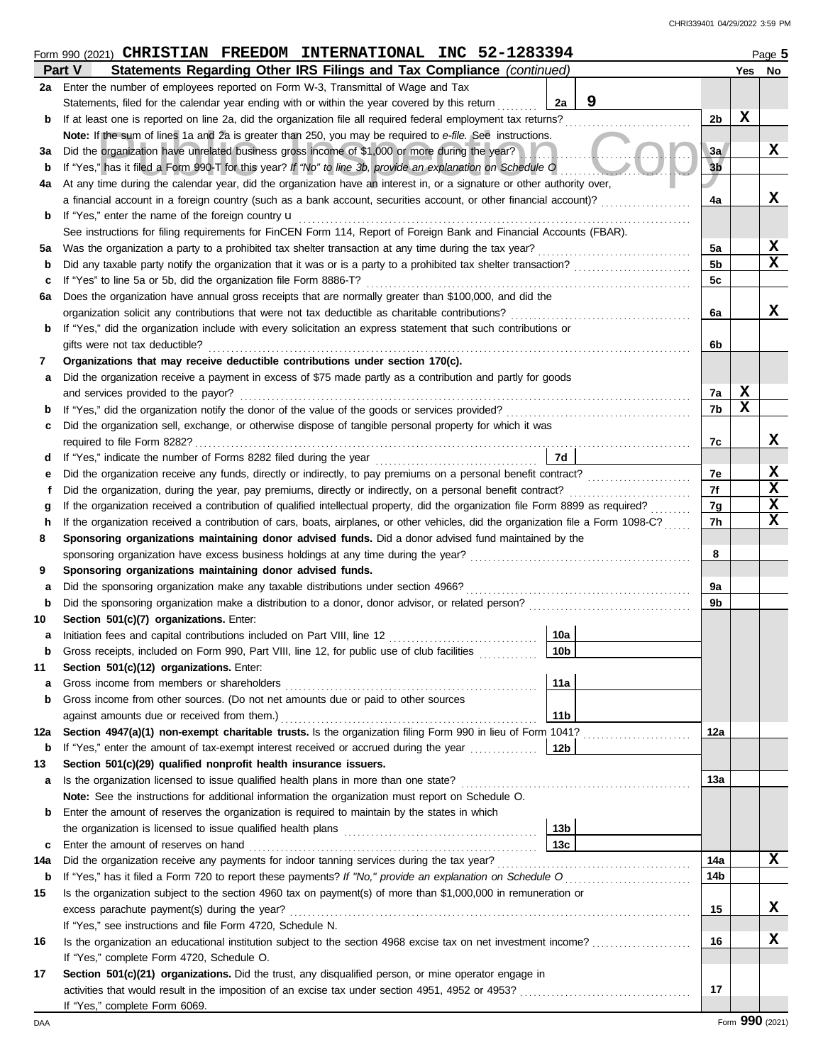|          | $Form$ 990 (2021) CHRISTIAN FREEDOM INTERNATIONAL INC 52-1283394                                                                   |                 |                |             | Page 5 |
|----------|------------------------------------------------------------------------------------------------------------------------------------|-----------------|----------------|-------------|--------|
|          | Part V<br>Statements Regarding Other IRS Filings and Tax Compliance (continued)                                                    |                 |                |             | Yes No |
|          | 2a Enter the number of employees reported on Form W-3, Transmittal of Wage and Tax                                                 |                 |                |             |        |
|          | Statements, filed for the calendar year ending with or within the year covered by this return                                      | 9<br>2a         |                |             |        |
| b        | If at least one is reported on line 2a, did the organization file all required federal employment tax returns?                     |                 | 2b             | $\mathbf x$ |        |
|          | Note: If the sum of lines 1a and 2a is greater than 250, you may be required to e-file. See instructions.                          |                 |                |             |        |
| За       | Did the organization have unrelated business gross income of \$1,000 or more during the year?                                      |                 | 3a             |             | X      |
| b        | If "Yes," has it filed a Form 990-T for this year? If "No" to line 3b, provide an explanation on Schedule O                        |                 | 3 <sub>b</sub> |             |        |
| 4a       | At any time during the calendar year, did the organization have an interest in, or a signature or other authority over,            |                 |                |             |        |
|          | a financial account in a foreign country (such as a bank account, securities account, or other financial account)?                 |                 | 4a             |             | X      |
| b        | If "Yes," enter the name of the foreign country u                                                                                  |                 |                |             |        |
|          | See instructions for filing requirements for FinCEN Form 114, Report of Foreign Bank and Financial Accounts (FBAR).                |                 |                |             |        |
| 5a       | Was the organization a party to a prohibited tax shelter transaction at any time during the tax year?                              |                 | 5a             |             | х      |
| b        | Did any taxable party notify the organization that it was or is a party to a prohibited tax shelter transaction?                   |                 | 5b             |             | X      |
| c        | If "Yes" to line 5a or 5b, did the organization file Form 8886-T?                                                                  |                 | 5c             |             |        |
| 6а       | Does the organization have annual gross receipts that are normally greater than \$100,000, and did the                             |                 |                |             |        |
|          | organization solicit any contributions that were not tax deductible as charitable contributions?                                   |                 | 6a             |             | X      |
| b        | If "Yes," did the organization include with every solicitation an express statement that such contributions or                     |                 |                |             |        |
|          | gifts were not tax deductible?                                                                                                     |                 | 6b             |             |        |
| 7        | Organizations that may receive deductible contributions under section 170(c).                                                      |                 |                |             |        |
| а        | Did the organization receive a payment in excess of \$75 made partly as a contribution and partly for goods                        |                 |                |             |        |
|          | and services provided to the payor?                                                                                                |                 | 7a             | X           |        |
| b        | If "Yes," did the organization notify the donor of the value of the goods or services provided?                                    |                 | 7b             | $\mathbf x$ |        |
| с        | Did the organization sell, exchange, or otherwise dispose of tangible personal property for which it was                           |                 |                |             |        |
|          | required to file Form 8282?                                                                                                        |                 | 7c             |             | x      |
| d        |                                                                                                                                    | 7d              |                |             |        |
| е        | Did the organization receive any funds, directly or indirectly, to pay premiums on a personal benefit contract?                    |                 | 7e             |             | х      |
| f        | Did the organization, during the year, pay premiums, directly or indirectly, on a personal benefit contract?                       |                 | 7f             |             | X      |
| g        | If the organization received a contribution of qualified intellectual property, did the organization file Form 8899 as required?   |                 | 7g             |             | X      |
| h        | If the organization received a contribution of cars, boats, airplanes, or other vehicles, did the organization file a Form 1098-C? |                 | 7h             |             | X      |
| 8        | Sponsoring organizations maintaining donor advised funds. Did a donor advised fund maintained by the                               |                 |                |             |        |
|          | sponsoring organization have excess business holdings at any time during the year?                                                 |                 | 8              |             |        |
| 9        | Sponsoring organizations maintaining donor advised funds.                                                                          |                 |                |             |        |
| а        | Did the sponsoring organization make any taxable distributions under section 4966?                                                 |                 | 9a             |             |        |
| b        | Did the sponsoring organization make a distribution to a donor, donor advisor, or related person?                                  |                 | 9b             |             |        |
| 10       | Section 501(c)(7) organizations. Enter:                                                                                            |                 |                |             |        |
| а        | Initiation fees and capital contributions included on Part VIII, line 12 [11] [11] [12] [11] [12] [11] [12] [1                     | 10a             |                |             |        |
|          | Gross receipts, included on Form 990, Part VIII, line 12, for public use of club facilities                                        | $\sqrt{10b}$    |                |             |        |
| 11       | Section 501(c)(12) organizations. Enter:                                                                                           |                 |                |             |        |
| а        | Gross income from members or shareholders                                                                                          | 11a             |                |             |        |
| b        | Gross income from other sources. (Do not net amounts due or paid to other sources                                                  |                 |                |             |        |
|          | against amounts due or received from them.)                                                                                        | 11 <sub>b</sub> |                |             |        |
|          | Section 4947(a)(1) non-exempt charitable trusts. Is the organization filing Form 990 in lieu of Form 1041?                         |                 |                |             |        |
| 12a<br>b | If "Yes," enter the amount of tax-exempt interest received or accrued during the year <i>minimizion</i>                            | 12b             | 12a            |             |        |
| 13       | Section 501(c)(29) qualified nonprofit health insurance issuers.                                                                   |                 |                |             |        |
|          | Is the organization licensed to issue qualified health plans in more than one state?                                               |                 | 13a            |             |        |
| а        | Note: See the instructions for additional information the organization must report on Schedule O.                                  |                 |                |             |        |
| b        | Enter the amount of reserves the organization is required to maintain by the states in which                                       |                 |                |             |        |
|          |                                                                                                                                    | 13 <sub>b</sub> |                |             |        |
|          |                                                                                                                                    | 13 <sub>c</sub> |                |             |        |
| c        | Enter the amount of reserves on hand<br>Did the organization receive any payments for indoor tanning services during the tax year? |                 | 14a            |             | X      |
| 14a      |                                                                                                                                    |                 | 14b            |             |        |
| b        |                                                                                                                                    |                 |                |             |        |
| 15       | Is the organization subject to the section 4960 tax on payment(s) of more than \$1,000,000 in remuneration or                      |                 |                |             |        |
|          | excess parachute payment(s) during the year?                                                                                       |                 | 15             |             | X      |
|          | If "Yes," see instructions and file Form 4720, Schedule N.                                                                         |                 |                |             |        |
| 16       | Is the organization an educational institution subject to the section 4968 excise tax on net investment income?                    |                 | 16             |             | х      |
|          | If "Yes," complete Form 4720, Schedule O.                                                                                          |                 |                |             |        |
| 17       | Section 501(c)(21) organizations. Did the trust, any disqualified person, or mine operator engage in                               |                 |                |             |        |
|          | activities that would result in the imposition of an excise tax under section 4951, 4952 or 4953?                                  |                 | 17             |             |        |
|          | If "Yes," complete Form 6069.                                                                                                      |                 |                |             |        |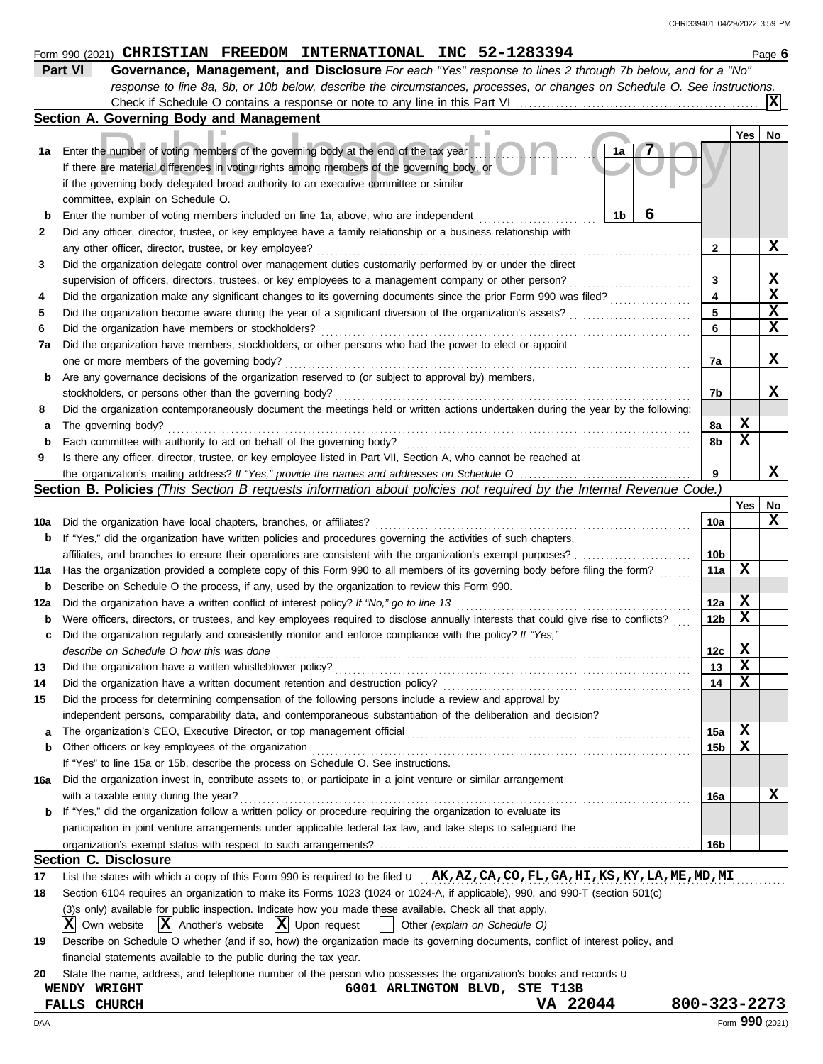#### The number of voting members of the governing body at the end of the tax year<br>are material differences in voting rights among members of the governing body, or<br>overning body delegated broad authority to an executive commit **Section C. Disclosure 1b 1a 2 Yes No Form 990 (2021) CHRISTIAN FREEDOM INTERNATIONAL INC 52-1283394** Page 6 **Part VI Governance, Management, and Disclosure** *For each "Yes" response to lines 2 through 7b below, and for a "No" response to line 8a, 8b, or 10b below, describe the circumstances, processes, or changes on Schedule O. See instructions.* **Section A. Governing Body and Management 1a** Enter the number of voting members of the governing body at the end of the tax year **b** Enter the number of voting members included on line 1a, above, who are independent ......................... **2 3 4 5 6 7a** Did the organization have members, stockholders, or other persons who had the power to elect or appoint **b** Are any governance decisions of the organization reserved to (or subject to approval by) members, **8** a The governing body?<br>
<u>masses</u> **b** Each committee with authority to act on behalf of the governing body? . . . . . . . . . . . . . . . . . . . . . . . . . . . . . . . . . . . . . . . . . . . . . . . . . . . . . . . . . . . . . . . . **9 10a** Did the organization have local chapters, branches, or affiliates? . . . . . . . . . . . . . . . . . . . . . . . . . . . . . . . . . . . . . . . . . . . . . . . . . . . . . . . . . . . . . . . . . . . . . . **11a** Has the organization provided a complete copy of this Form 990 to all members of its governing body before filing the form? ....... . . . . . . . . . . . . . . . . . . . . . . . . . . . . Did any officer, director, trustee, or key employee have a family relationship or a business relationship with any other officer, director, trustee, or key employee? . . . . . . . . . . . . . . . . . . . . . . . . . . . . . . . . . . . . . . . . . . . . . . . . . . . . . . . . . . . . . . . . . . . . . . . . . . . . . . . . . . . Did the organization delegate control over management duties customarily performed by or under the direct supervision of officers, directors, trustees, or key employees to a management company or other person? Did the organization make any significant changes to its governing documents since the prior Form 990 was filed? Did the organization become aware during the year of a significant diversion of the organization's assets? . . . . . . . . . . . . . . . . . . . . . . . . . . . Did the organization have members or stockholders? . . . . . . . . . . . . . . . . . . . . . . . . . . . . . . . . . . . . . . . . . . . . . . . . . . . . . . . . . . . . . . . . . . . . . . . . . . . . . . . . . . one or more members of the governing body? . . . . . . . . . . . . . . . . . . . . . . . . . . . . . . . . . . . . . . . . . . . . . . . . . . . . . . . . . . . . . . . . . . . . . . . . . . . . . . . . . . . . . . . . . . Did the organization contemporaneously document the meetings held or written actions undertaken during the year by the following: The governing body? . . . . . . . . . . . . . . . . . . . . . . . . . . . . . . . . . . . . . . . . . . . . . . . . . . . . . . . . . . . . . . . . . . . . . . . . . . . . . . . . . . . . . . . . . . . . . . . . . . . . . . . . . . . . . . . . . . . . **b** If "Yes," did the organization have written policies and procedures governing the activities of such chapters, affiliates, and branches to ensure their operations are consistent with the organization's exempt purposes? . . . . . . . . . . . . . . . . . . . . . . . . . . Is there any officer, director, trustee, or key employee listed in Part VII, Section A, who cannot be reached at the organization's mailing address? If "Yes," provide the names and addresses on Schedule O. **3 4 5 6 7a 7b 8a 8b 9 10a 11a Yes No 12a b** Were officers, directors, or trustees, and key employees required to disclose annually interests that could give rise to conflicts? .... **c** Did the organization regularly and consistently monitor and enforce compliance with the policy? *If "Yes,"* **13 14 15 a** The organization's CEO, Executive Director, or top management official . . . . . . . . . . . . . . . . . . . . . . . . . . . . . . . . . . . . . . . . . . . . . . . . . . . . . . . . . . . . . . . **b 16a b** If "Yes," did the organization follow a written policy or procedure requiring the organization to evaluate its **Section B. Policies** *(This Section B requests information about policies not required by the Internal Revenue Code.)* Did the organization have a written conflict of interest policy? *If "No," go to line 13* . . . . . . . . . . . . . . . . . . . . . . . . . . . . . . . . . . . . . . . . . . . . . . . . . . . . describe on Schedule O how this was done Did the organization have a written whistleblower policy? . . . . . . . . . . . . . . . . . . . . . . . . . . . . . . . . . . . . . . . . . . . . . . . . . . . . . . . . . . . . . . . . . . . . . . . . . . . . . . . Did the organization have a written document retention and destruction policy? . . . . . . . . . . . . . . . . . . . . . . . . . . . . . . . . . . . . . . . . . . . . . . . . . . . . . . . Did the process for determining compensation of the following persons include a review and approval by independent persons, comparability data, and contemporaneous substantiation of the deliberation and decision? Other officers or key employees of the organization . . . . . . . . . . . . . . . . . . . . . . . . . . . . . . . . . . . . . . . . . . . . . . . . . . . . . . . . . . . . . . . . . . . . . . . . . . . . . . . . . . . . If "Yes" to line 15a or 15b, describe the process on Schedule O. See instructions. Did the organization invest in, contribute assets to, or participate in a joint venture or similar arrangement with a taxable entity during the year? . . . . . . . . . . . . . . . . . . . . . . . . . . . . . . . . . . . . . . . . . . . . . . . . . . . . . . . . . . . . . . . . . . . . . . . . . . . . . . . . . . . . . . . . . . . . . . . . . . . . participation in joint venture arrangements under applicable federal tax law, and take steps to safeguard the organization's exempt status with respect to such arrangements? **12a 12b 12c 13 14 15a 15b 16a 16b 17 18** List the states with which a copy of this Form 990 is required to be filed  ${\bf u}$   $\bf_A K, AZ, CA, CO, FL, GA, HI, KS, KY, LA, ME, MD, MI$ Section 6104 requires an organization to make its Forms 1023 (1024 or 1024-A, if applicable), 990, and 990-T (section 501(c) (3)s only) available for public inspection. Indicate how you made these available. Check all that apply.  $\overline{X}$  Own website  $\overline{X}$  Another's website  $\overline{X}$  Upon request  $\overline{X}$  Other *(explain on Schedule O)* Check if Schedule O contains a response or note to any line in this Part VI **10b b** Describe on Schedule O the process, if any, used by the organization to review this Form 990. stockholders, or persons other than the governing body? . . . . . . . . . . . . . . . . . . . . . . . . . . . . . . . . . . . . . . . . . . . . . . . . . . . . . . . . . . . . . . . . . . . . . . . . . . . . . . . If there are material differences in voting rights among members of the governing body, or if the governing body delegated broad authority to an executive committee or similar committee, explain on Schedule O. **X 7 6 X X X X X X X X X X X X X X X X X X X X**

| Describe on Schedule O whether (and if so, how) the organization made its governing documents, conflict of interest policy, and |
|---------------------------------------------------------------------------------------------------------------------------------|
| financial statements available to the public during the tax year.                                                               |

**20** State the name, address, and telephone number of the person who possesses the organization's books and records u

# **WENDY WRIGHT 6001 ARLINGTON BLVD, STE T13B**

**FALLS CHURCH VA 22044 800-323-2273**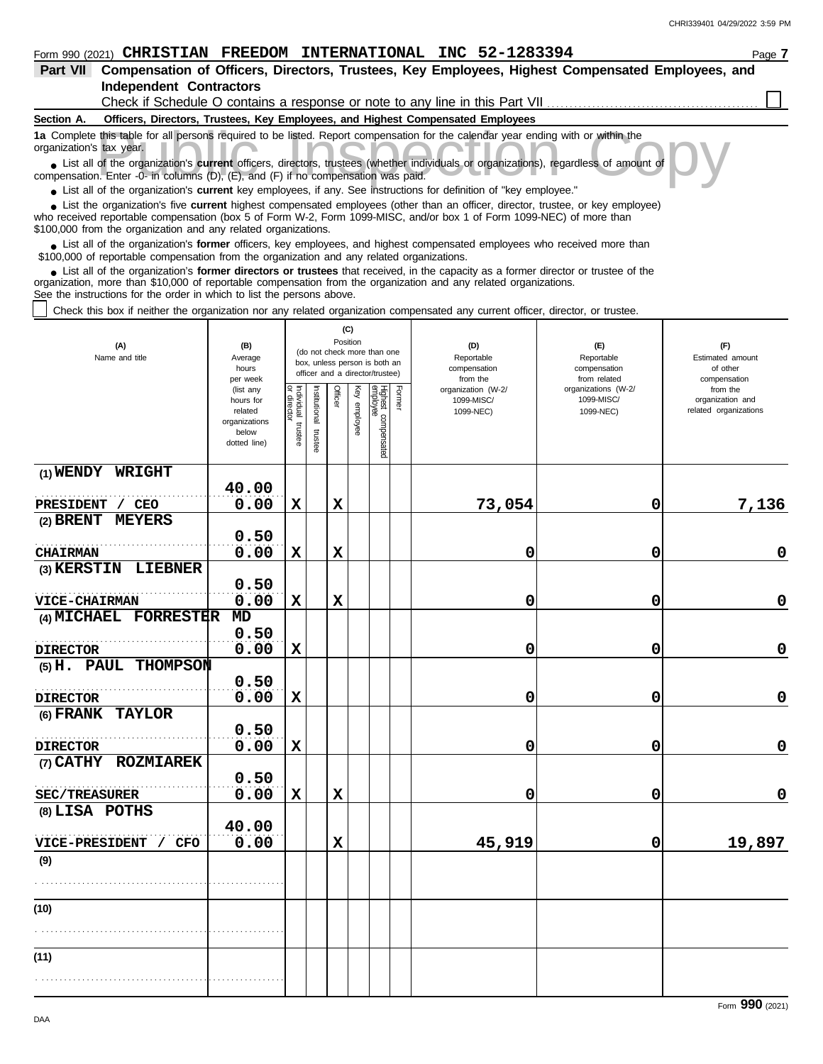#### **Form 990 (2021) CHRISTIAN FREEDOM INTERNATIONAL INC 52-1283394** Page 7 **Part VII Compensation of Officers, Directors, Trustees, Key Employees, Highest Compensated Employees, and Independent Contractors** Check if Schedule O contains a response or note to any line in this Part VII **Section A. Officers, Directors, Trustees, Key Employees, and Highest Compensated Employees** this table for all persons required to be listed. Report compensation for the calendar year ending with or within the tax year.<br>
of the organization's **current** officers, directors, trustees (whether individuals or organiz **1a** Complete this table for all persons required to be listed. Report compensation for the calendar year ending with or within the organization's tax year. ■ List all of the organization's **current** officers, directors, trustees (whether individuals or organizations), regardless of amount of compensation. Enter -0- in columns (D), (E), and (F) if no compensation was paid. ● List all of the organization's **current** key employees, if any. See instructions for definition of "key employee." ■ List the organization's five **current** highest compensated employees (other than an officer, director, trustee, or key employee)<br> **•** Propised reportable compensation (box 5 of Form M/2, Form 1000 MISC, and/or box 1 of who received reportable compensation (box 5 of Form W-2, Form 1099-MISC, and/or box 1 of Form 1099-NEC) of more than \$100,000 from the organization and any related organizations. ■ List all of the organization's **former** officers, key employees, and highest compensated employees who received more than<br> **•** 00,000 of reportable compensation from the ergonization and any related ergonizations \$100,000 of reportable compensation from the organization and any related organizations. ■ List all of the organization's **former directors or trustees** that received, in the capacity as a former director or trustee of the<br>paization, more than \$10,000 of reportable compensation from the organization and any r organization, more than \$10,000 of reportable compensation from the organization and any related organizations. See the instructions for the order in which to list the persons above. Check this box if neither the organization nor any related organization compensated any current officer, director, or trustee. **(C)** Position **(A) (B) (D) (E) (F)** (do not check more than one Name and title Average Reportable Reportable Estimated amount box, unless person is both an compensation of other hours compensation<br>from the officer and a director/trustee) from related compensation per week organization (W-2/ organizations (W-2/ from the (list any or director Individual trustee Institutional trustee Officer Key employee Former lighest compensated<br>mployee stitutional lividual hours for 1099-MISC/ 1099-MISC/ organization and allecto enployee related 1099-NEC) 1099-NEC) related organizations organizations trustee trustee below dotted line) **(1) WRIGHT 40.00** . . . . . . . . . . . . . . . . . . . . . . . . . . . . . . . . . . . . . . . . . . . . . . . . . . . . . . . **PRESIDENT / CEO 0.00 X X 73,054 0 7,136 (2) BRENT MEYERS 0.50** . . . . . . . . . . . . . . . . . . . . . . . . . . . . . . . . . . . . . . . . . . . . . . . . . . . . . . . **CHAIRMAN 0.00 X X 0 0 0 KERSTER**

| (3) KERSTIN LIEBNER   |       |              |             |  |             |              |             |
|-----------------------|-------|--------------|-------------|--|-------------|--------------|-------------|
|                       | 0.50  |              |             |  |             |              |             |
| <b>VICE-CHAIRMAN</b>  | 0.00  | $\mathbf{x}$ | $\mathbf x$ |  | $\mathbf 0$ | $\mathbf{0}$ | $\mathbf 0$ |
| (4) MICHAEL FORRESTER | MD    |              |             |  |             |              |             |
|                       | 0.50  |              |             |  |             |              |             |
| <b>DIRECTOR</b>       | 0.00  | $\mathbf x$  |             |  | $\mathbf 0$ | 0            | $\mathbf 0$ |
| (5) H. PAUL THOMPSON  |       |              |             |  |             |              |             |
|                       | 0.50  |              |             |  |             |              |             |
| <b>DIRECTOR</b>       | 0.00  | $\mathbf{x}$ |             |  | $\mathbf 0$ | $\mathbf 0$  | $\mathbf 0$ |
| (6) FRANK TAYLOR      |       |              |             |  |             |              |             |
|                       | 0.50  |              |             |  |             |              |             |
| <b>DIRECTOR</b>       | 0.00  | $\mathbf{x}$ |             |  | 0           | $\mathbf{0}$ | $\mathbf 0$ |
| (7) CATHY ROZMIAREK   |       |              |             |  |             |              |             |
|                       | 0.50  |              |             |  |             |              |             |
| <b>SEC/TREASURER</b>  | 0.00  | $\mathbf{x}$ | $\mathbf x$ |  | 0           | 0            | $\mathbf 0$ |
| (8) LISA POTHS        |       |              |             |  |             |              |             |
|                       | 40.00 |              |             |  |             |              |             |
| VICE-PRESIDENT / CFO  | 0.00  |              | X           |  | 45,919      | 0            | 19,897      |
| (9)                   |       |              |             |  |             |              |             |
|                       |       |              |             |  |             |              |             |
|                       |       |              |             |  |             |              |             |
| (10)                  |       |              |             |  |             |              |             |
|                       |       |              |             |  |             |              |             |
|                       |       |              |             |  |             |              |             |
| (11)                  |       |              |             |  |             |              |             |
|                       |       |              |             |  |             |              |             |
|                       |       |              |             |  |             |              |             |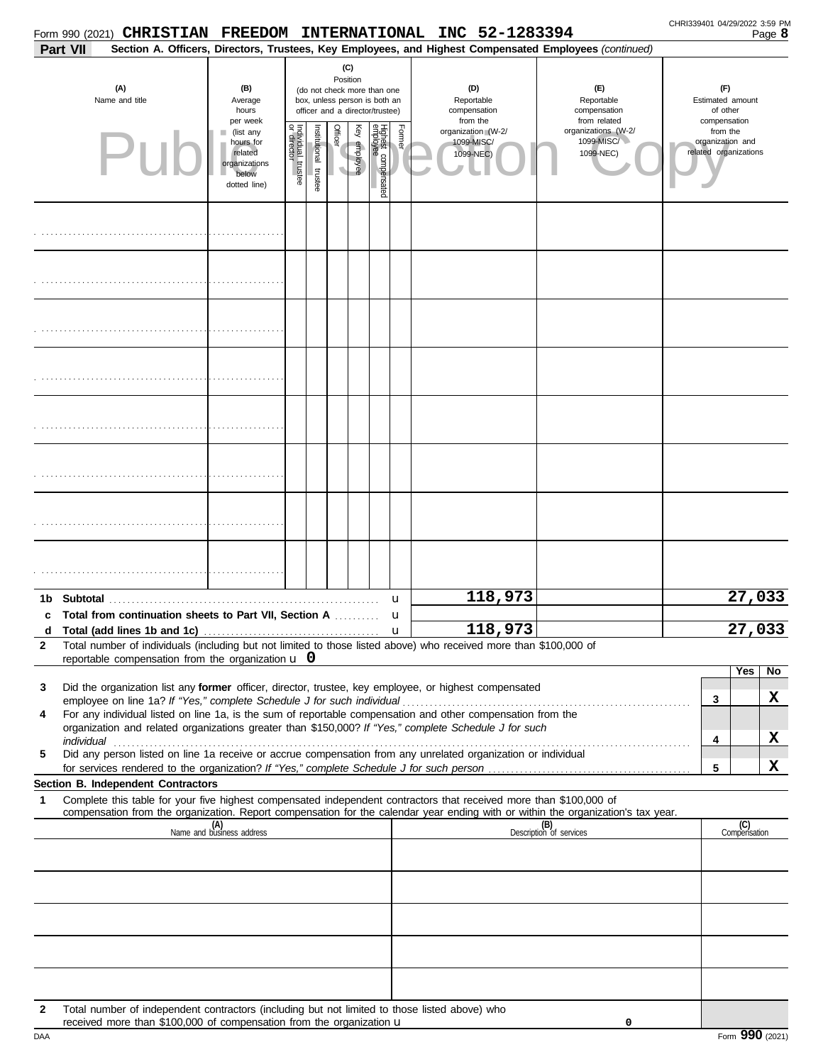| Part VII                                                                                                                                                                                                                                                                                                                                                                                                                                                                                                                                              | Section A. Officers, Directors, Trustees, Key Employees, and Highest Compensated Employees (continued) |                                                                                                                    |                          |         |                                                                                                                                                          |  |        |                                                                                                    |                                |  |                                                                       |              |  |
|-------------------------------------------------------------------------------------------------------------------------------------------------------------------------------------------------------------------------------------------------------------------------------------------------------------------------------------------------------------------------------------------------------------------------------------------------------------------------------------------------------------------------------------------------------|--------------------------------------------------------------------------------------------------------|--------------------------------------------------------------------------------------------------------------------|--------------------------|---------|----------------------------------------------------------------------------------------------------------------------------------------------------------|--|--------|----------------------------------------------------------------------------------------------------|--------------------------------|--|-----------------------------------------------------------------------|--------------|--|
| (A)<br>Name and title                                                                                                                                                                                                                                                                                                                                                                                                                                                                                                                                 | (B)<br>Average<br>hours                                                                                | (C)<br>Position<br>(do not check more than one<br>box, unless person is both an<br>officer and a director/trustee) |                          |         |                                                                                                                                                          |  |        | (D)<br>(E)<br>Reportable<br>Reportable<br>compensation<br>compensation<br>from the<br>from related |                                |  | (F)<br>Estimated amount<br>of other                                   |              |  |
| PII                                                                                                                                                                                                                                                                                                                                                                                                                                                                                                                                                   | per week<br>(list any<br>hours for<br>related<br>organizations<br>below<br>dotted line)                | ndividual trustee<br>or director                                                                                   | Institutional<br>trustee | Officer | Highest c<br>Former<br>Ķey<br>organizations (W-2/<br>organization (W-2/<br>1099-MISC/<br>1099-MISC/<br>employee<br>1099-NEC)<br>1099-NEC)<br>compensated |  |        |                                                                                                    |                                |  | compensation<br>from the<br>organization and<br>related organizations |              |  |
|                                                                                                                                                                                                                                                                                                                                                                                                                                                                                                                                                       |                                                                                                        |                                                                                                                    |                          |         |                                                                                                                                                          |  |        |                                                                                                    |                                |  |                                                                       |              |  |
|                                                                                                                                                                                                                                                                                                                                                                                                                                                                                                                                                       |                                                                                                        |                                                                                                                    |                          |         |                                                                                                                                                          |  |        |                                                                                                    |                                |  |                                                                       |              |  |
|                                                                                                                                                                                                                                                                                                                                                                                                                                                                                                                                                       |                                                                                                        |                                                                                                                    |                          |         |                                                                                                                                                          |  |        |                                                                                                    |                                |  |                                                                       |              |  |
|                                                                                                                                                                                                                                                                                                                                                                                                                                                                                                                                                       |                                                                                                        |                                                                                                                    |                          |         |                                                                                                                                                          |  |        |                                                                                                    |                                |  |                                                                       |              |  |
|                                                                                                                                                                                                                                                                                                                                                                                                                                                                                                                                                       |                                                                                                        |                                                                                                                    |                          |         |                                                                                                                                                          |  |        |                                                                                                    |                                |  |                                                                       |              |  |
|                                                                                                                                                                                                                                                                                                                                                                                                                                                                                                                                                       |                                                                                                        |                                                                                                                    |                          |         |                                                                                                                                                          |  |        |                                                                                                    |                                |  |                                                                       |              |  |
|                                                                                                                                                                                                                                                                                                                                                                                                                                                                                                                                                       |                                                                                                        |                                                                                                                    |                          |         |                                                                                                                                                          |  |        |                                                                                                    |                                |  |                                                                       |              |  |
|                                                                                                                                                                                                                                                                                                                                                                                                                                                                                                                                                       |                                                                                                        |                                                                                                                    |                          |         |                                                                                                                                                          |  |        | 118,973                                                                                            |                                |  |                                                                       | 27,033       |  |
| Total from continuation sheets to Part VII, Section A<br>c                                                                                                                                                                                                                                                                                                                                                                                                                                                                                            |                                                                                                        |                                                                                                                    |                          |         |                                                                                                                                                          |  | u<br>u |                                                                                                    |                                |  |                                                                       |              |  |
| Total (add lines 1b and 1c)<br>d<br>$\mathbf{2}$<br>Total number of individuals (including but not limited to those listed above) who received more than \$100,000 of<br>reportable compensation from the organization $\bf{u}$ 0                                                                                                                                                                                                                                                                                                                     |                                                                                                        |                                                                                                                    |                          |         |                                                                                                                                                          |  | u      | 118,973                                                                                            |                                |  |                                                                       | 27,033       |  |
| Did the organization list any former officer, director, trustee, key employee, or highest compensated<br>3<br>employee on line 1a? If "Yes," complete Schedule J for such individual<br>For any individual listed on line 1a, is the sum of reportable compensation and other compensation from the<br>4<br>organization and related organizations greater than \$150,000? If "Yes," complete Schedule J for such<br>individual<br>Did any person listed on line 1a receive or accrue compensation from any unrelated organization or individual<br>5 |                                                                                                        |                                                                                                                    |                          |         |                                                                                                                                                          |  |        |                                                                                                    |                                |  | Yes<br>3<br>4                                                         | No<br>X<br>x |  |
|                                                                                                                                                                                                                                                                                                                                                                                                                                                                                                                                                       |                                                                                                        |                                                                                                                    |                          |         |                                                                                                                                                          |  |        |                                                                                                    |                                |  | 5                                                                     | x            |  |
| Section B. Independent Contractors<br>Complete this table for your five highest compensated independent contractors that received more than \$100,000 of<br>1<br>compensation from the organization. Report compensation for the calendar year ending with or within the organization's tax year.                                                                                                                                                                                                                                                     |                                                                                                        |                                                                                                                    |                          |         |                                                                                                                                                          |  |        |                                                                                                    |                                |  |                                                                       |              |  |
| (A)<br>Name and business address                                                                                                                                                                                                                                                                                                                                                                                                                                                                                                                      |                                                                                                        |                                                                                                                    |                          |         |                                                                                                                                                          |  |        |                                                                                                    | (B)<br>Description of services |  | (C)<br>Compensation                                                   |              |  |
|                                                                                                                                                                                                                                                                                                                                                                                                                                                                                                                                                       |                                                                                                        |                                                                                                                    |                          |         |                                                                                                                                                          |  |        |                                                                                                    |                                |  |                                                                       |              |  |
|                                                                                                                                                                                                                                                                                                                                                                                                                                                                                                                                                       |                                                                                                        |                                                                                                                    |                          |         |                                                                                                                                                          |  |        |                                                                                                    |                                |  |                                                                       |              |  |
| Total number of independent contractors (including but not limited to those listed above) who<br>2                                                                                                                                                                                                                                                                                                                                                                                                                                                    |                                                                                                        |                                                                                                                    |                          |         |                                                                                                                                                          |  |        |                                                                                                    |                                |  |                                                                       |              |  |
| received more than \$100,000 of compensation from the organization u                                                                                                                                                                                                                                                                                                                                                                                                                                                                                  |                                                                                                        |                                                                                                                    |                          |         |                                                                                                                                                          |  |        |                                                                                                    | 0                              |  |                                                                       |              |  |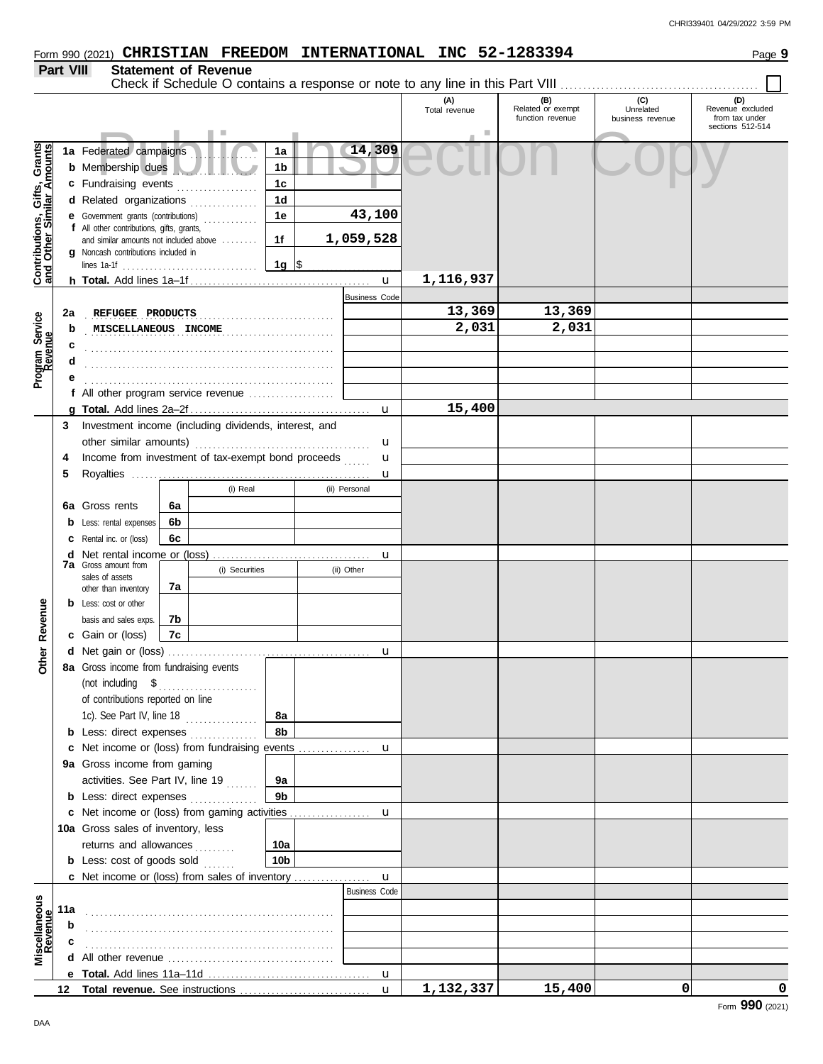| Part VIII                                                        |     | <b>Statement of Revenue</b><br>Check if Schedule O contains a response or note to any line in this Part VIII |    |                     |                 |  |                      |               |                          |                               |                                    |
|------------------------------------------------------------------|-----|--------------------------------------------------------------------------------------------------------------|----|---------------------|-----------------|--|----------------------|---------------|--------------------------|-------------------------------|------------------------------------|
|                                                                  |     |                                                                                                              |    |                     |                 |  |                      | (A)           | (B)<br>Related or exempt | (C)                           | (D)                                |
|                                                                  |     |                                                                                                              |    |                     |                 |  |                      | Total revenue | function revenue         | Unrelated<br>business revenue | Revenue excluded<br>from tax under |
|                                                                  |     |                                                                                                              |    |                     |                 |  |                      |               |                          |                               | sections 512-514                   |
|                                                                  |     | 1a Federated campaigns                                                                                       |    |                     | 1a              |  | 14,309               |               |                          |                               |                                    |
| <b>Contributions, Gifts, Grants</b><br>and Other Similar Amounts |     | <b>b</b> Membership dues                                                                                     |    |                     | 1b              |  |                      |               |                          |                               |                                    |
|                                                                  |     | c Fundraising events                                                                                         |    |                     | 1 <sub>c</sub>  |  |                      |               |                          |                               |                                    |
|                                                                  |     | d Related organizations                                                                                      |    | in a bhaile anns an | 1 <sub>d</sub>  |  |                      |               |                          |                               |                                    |
|                                                                  |     | <b>e</b> Government grants (contributions)<br>f All other contributions, gifts, grants,                      |    |                     | 1e              |  | 43,100               |               |                          |                               |                                    |
|                                                                  |     | and similar amounts not included above                                                                       |    |                     | 1f              |  | 1,059,528            |               |                          |                               |                                    |
|                                                                  |     | <b>g</b> Noncash contributions included in                                                                   |    |                     | 1g  \$          |  |                      |               |                          |                               |                                    |
|                                                                  |     |                                                                                                              |    |                     |                 |  | $\mathbf{u}$         | 1,116,937     |                          |                               |                                    |
|                                                                  |     |                                                                                                              |    |                     |                 |  | <b>Business Code</b> |               |                          |                               |                                    |
|                                                                  | 2a  | REFUGEE PRODUCTS                                                                                             |    |                     |                 |  |                      | 13,369        | 13,369                   |                               |                                    |
|                                                                  | b   | MISCELLANEOUS INCOME                                                                                         |    |                     |                 |  |                      | 2,031         | 2,031                    |                               |                                    |
| Program Service<br>Revenue                                       | c   |                                                                                                              |    |                     |                 |  |                      |               |                          |                               |                                    |
|                                                                  | d   |                                                                                                              |    |                     |                 |  |                      |               |                          |                               |                                    |
|                                                                  |     |                                                                                                              |    |                     |                 |  |                      |               |                          |                               |                                    |
|                                                                  |     | f All other program service revenue                                                                          |    |                     |                 |  |                      |               |                          |                               |                                    |
|                                                                  |     |                                                                                                              |    |                     |                 |  | u                    | 15,400        |                          |                               |                                    |
|                                                                  | 3   | Investment income (including dividends, interest, and                                                        |    |                     |                 |  |                      |               |                          |                               |                                    |
|                                                                  |     |                                                                                                              |    |                     |                 |  | u                    |               |                          |                               |                                    |
|                                                                  | 4   | Income from investment of tax-exempt bond proceeds                                                           |    |                     |                 |  | u                    |               |                          |                               |                                    |
|                                                                  | 5   |                                                                                                              |    |                     |                 |  | u                    |               |                          |                               |                                    |
|                                                                  |     |                                                                                                              |    | (i) Real            |                 |  | (ii) Personal        |               |                          |                               |                                    |
|                                                                  |     | <b>6a</b> Gross rents                                                                                        | 6a |                     |                 |  |                      |               |                          |                               |                                    |
|                                                                  |     | <b>b</b> Less: rental expenses                                                                               | 6b |                     |                 |  |                      |               |                          |                               |                                    |
|                                                                  |     | <b>c</b> Rental inc. or (loss)                                                                               | 6c |                     |                 |  |                      |               |                          |                               |                                    |
|                                                                  |     | <b>7a</b> Gross amount from                                                                                  |    |                     |                 |  | u                    |               |                          |                               |                                    |
|                                                                  |     | sales of assets                                                                                              |    | (i) Securities      |                 |  | (ii) Other           |               |                          |                               |                                    |
|                                                                  |     | other than inventory                                                                                         | 7а |                     |                 |  |                      |               |                          |                               |                                    |
|                                                                  |     | <b>b</b> Less: cost or other                                                                                 |    |                     |                 |  |                      |               |                          |                               |                                    |
| Revenue                                                          |     | basis and sales exps.                                                                                        | 7b |                     |                 |  |                      |               |                          |                               |                                    |
|                                                                  |     | c Gain or (loss)                                                                                             | 7c |                     |                 |  |                      |               |                          |                               |                                    |
| Other                                                            |     | 8a Gross income from fundraising events                                                                      |    |                     |                 |  | u                    |               |                          |                               |                                    |
|                                                                  |     | (not including $$$                                                                                           |    |                     |                 |  |                      |               |                          |                               |                                    |
|                                                                  |     | of contributions reported on line                                                                            |    |                     |                 |  |                      |               |                          |                               |                                    |
|                                                                  |     | 1c). See Part IV, line 18                                                                                    |    |                     | 8а              |  |                      |               |                          |                               |                                    |
|                                                                  |     | <b>b</b> Less: direct expenses <i>minimum</i>                                                                |    |                     | 8b              |  |                      |               |                          |                               |                                    |
|                                                                  |     | <b>c</b> Net income or (loss) from fundraising events                                                        |    |                     |                 |  | u                    |               |                          |                               |                                    |
|                                                                  |     | 9a Gross income from gaming                                                                                  |    |                     |                 |  |                      |               |                          |                               |                                    |
|                                                                  |     | activities. See Part IV, line 19                                                                             |    |                     | 9а              |  |                      |               |                          |                               |                                    |
|                                                                  |     | <b>b</b> Less: direct expenses                                                                               |    |                     | 9 <sub>b</sub>  |  |                      |               |                          |                               |                                    |
|                                                                  |     |                                                                                                              |    |                     |                 |  | u                    |               |                          |                               |                                    |
|                                                                  |     | 10a Gross sales of inventory, less                                                                           |    |                     |                 |  |                      |               |                          |                               |                                    |
|                                                                  |     | returns and allowances                                                                                       |    |                     | 10a             |  |                      |               |                          |                               |                                    |
|                                                                  |     | <b>b</b> Less: cost of goods sold $\ldots$                                                                   |    |                     | 10 <sub>b</sub> |  |                      |               |                          |                               |                                    |
|                                                                  |     | <b>c</b> Net income or (loss) from sales of inventory                                                        |    |                     |                 |  | $\mathbf{u}$         |               |                          |                               |                                    |
|                                                                  |     |                                                                                                              |    |                     |                 |  | <b>Business Code</b> |               |                          |                               |                                    |
|                                                                  | 11a |                                                                                                              |    |                     |                 |  |                      |               |                          |                               |                                    |
| Miscellaneous<br>Revenue                                         | b   |                                                                                                              |    |                     |                 |  |                      |               |                          |                               |                                    |
|                                                                  |     |                                                                                                              |    |                     |                 |  |                      |               |                          |                               |                                    |
|                                                                  |     | All other revenue <i>containal containant all</i> other revenues.                                            |    |                     |                 |  |                      |               |                          |                               |                                    |
|                                                                  |     |                                                                                                              |    |                     |                 |  | $\mathbf u$          |               |                          |                               |                                    |
|                                                                  |     |                                                                                                              |    |                     |                 |  | $\mathbf{u}$         | 1,132,337     | 15,400                   | $\mathbf{0}$                  | 0                                  |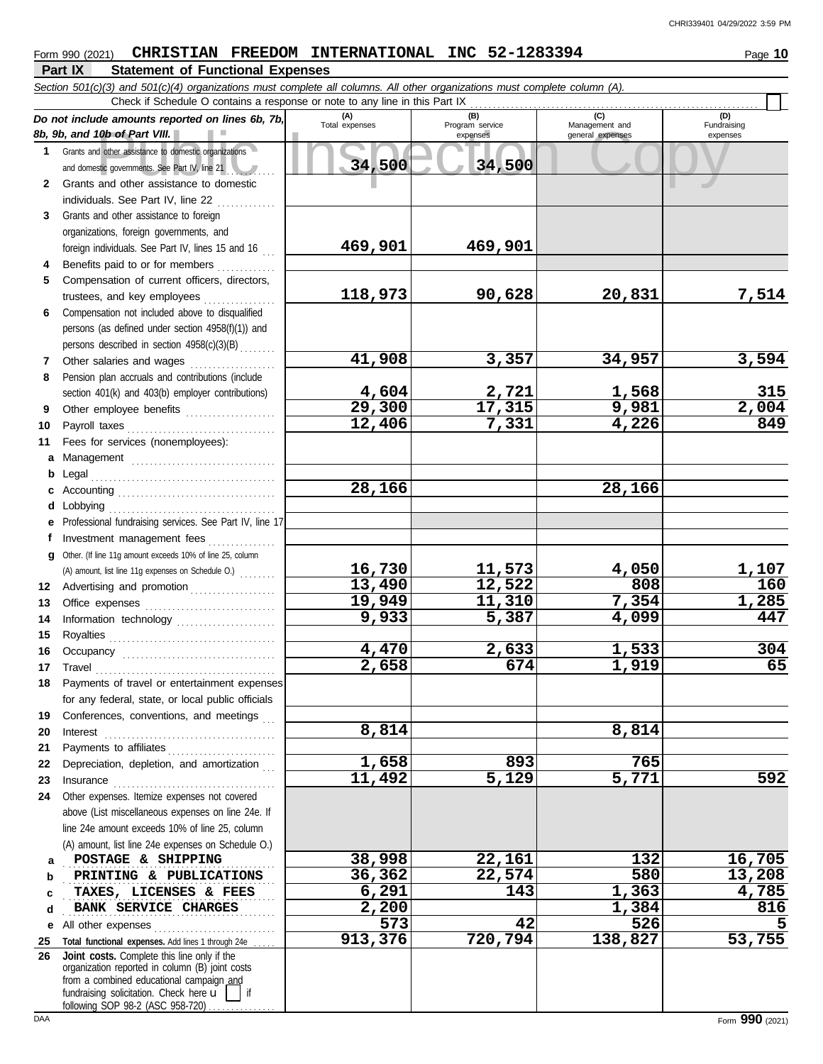|              | Part IX<br><b>Statement of Functional Expenses</b>                                                                         |                       |                        |                       |                     |
|--------------|----------------------------------------------------------------------------------------------------------------------------|-----------------------|------------------------|-----------------------|---------------------|
|              | Section 501(c)(3) and 501(c)(4) organizations must complete all columns. All other organizations must complete column (A). |                       |                        |                       |                     |
|              | Check if Schedule O contains a response or note to any line in this Part IX                                                |                       |                        |                       |                     |
|              | Do not include amounts reported on lines 6b, 7b,                                                                           | (A)<br>Total expenses | (B)<br>Program service | (C)<br>Management and | (D)<br>Fundraising  |
|              | 8b, 9b, and 10b of Part VIII.                                                                                              |                       | expenses               | general expenses      | expenses            |
| $\mathbf{1}$ | Grants and other assistance to domestic organizations                                                                      | 34,500                | 34,500                 |                       |                     |
|              | and domestic governments. See Part IV, line 21<br>Grants and other assistance to domestic                                  |                       |                        |                       |                     |
| 2            |                                                                                                                            |                       |                        |                       |                     |
| 3            | individuals. See Part IV, line 22<br>Grants and other assistance to foreign                                                |                       |                        |                       |                     |
|              | organizations, foreign governments, and                                                                                    |                       |                        |                       |                     |
|              | foreign individuals. See Part IV, lines 15 and 16                                                                          | 469,901               | 469,901                |                       |                     |
| 4            | Benefits paid to or for members                                                                                            |                       |                        |                       |                     |
| 5            | Compensation of current officers, directors,                                                                               |                       |                        |                       |                     |
|              | trustees, and key employees                                                                                                | 118,973               | 90,628                 | 20,831                | 7,514               |
| 6            | Compensation not included above to disqualified                                                                            |                       |                        |                       |                     |
|              | persons (as defined under section 4958(f)(1)) and                                                                          |                       |                        |                       |                     |
|              | persons described in section 4958(c)(3)(B)                                                                                 |                       |                        |                       |                     |
| 7            | Other salaries and wages                                                                                                   | 41,908                | 3,357                  | 34,957                | 3,594               |
| 8            | Pension plan accruals and contributions (include                                                                           |                       |                        |                       |                     |
|              | section 401(k) and 403(b) employer contributions)                                                                          | 4,604                 | 2,721                  |                       |                     |
| 9            | Other employee benefits                                                                                                    | 29,300                | 17,315                 | $\frac{1,568}{9,981}$ | $\frac{315}{2,004}$ |
| 10           | Payroll taxes                                                                                                              | 12,406                | 7,331                  | 4,226                 |                     |
| 11           | Fees for services (nonemployees):                                                                                          |                       |                        |                       |                     |
| a            |                                                                                                                            |                       |                        |                       |                     |
| b            | Legal                                                                                                                      |                       |                        |                       |                     |
| с            |                                                                                                                            | 28,166                |                        | 28,166                |                     |
| d            | Lobbying                                                                                                                   |                       |                        |                       |                     |
| е            | Professional fundraising services. See Part IV, line 17                                                                    |                       |                        |                       |                     |
| f            | Investment management fees                                                                                                 |                       |                        |                       |                     |
| q            | Other. (If line 11g amount exceeds 10% of line 25, column                                                                  |                       |                        |                       |                     |
|              | (A) amount, list line 11g expenses on Schedule O.)                                                                         | 16,730                | 11,573                 | 4,050                 | $\frac{1,107}{160}$ |
| 12           | Advertising and promotion                                                                                                  | 13,490                | 12,522                 | 808                   |                     |
| 13           |                                                                                                                            | 19,949                | 11,310                 | 7,354                 | 1,285               |
| 14           | Information technology                                                                                                     | 9,933                 | 5,387                  | 4,099                 | 447                 |
| 15           |                                                                                                                            |                       |                        |                       |                     |
| 16           |                                                                                                                            | 4,470                 | 2,633                  | 1,533                 | 304                 |
|              | 17 Travel                                                                                                                  | 2,658                 | 674                    | 1,919                 | 65                  |
| 18           | Payments of travel or entertainment expenses                                                                               |                       |                        |                       |                     |
|              | for any federal, state, or local public officials                                                                          |                       |                        |                       |                     |
| 19           | Conferences, conventions, and meetings                                                                                     | 8,814                 |                        | 8,814                 |                     |
| 20           |                                                                                                                            |                       |                        |                       |                     |
| 21           | Payments to affiliates                                                                                                     | 1,658                 | 893                    | 765                   |                     |
| 22           | Depreciation, depletion, and amortization                                                                                  | 11,492                | $\overline{5,129}$     | 5,771                 | 592                 |
| 23<br>24     | Other expenses. Itemize expenses not covered                                                                               |                       |                        |                       |                     |
|              | above (List miscellaneous expenses on line 24e. If                                                                         |                       |                        |                       |                     |
|              | line 24e amount exceeds 10% of line 25, column                                                                             |                       |                        |                       |                     |
|              | (A) amount, list line 24e expenses on Schedule O.)                                                                         |                       |                        |                       |                     |
| a            | POSTAGE & SHIPPING                                                                                                         | 38,998                | 22,161                 | 132                   | 16,705              |
| b            | PRINTING & PUBLICATIONS                                                                                                    | 36,362                | 22,574                 | 580                   | 13,208              |
| c            | TAXES, LICENSES & FEES                                                                                                     | 6,291                 | 143                    | 1,363                 | 4,785               |
| d            | BANK SERVICE CHARGES                                                                                                       | 2,200                 |                        | 1,384                 | 816                 |
| е            | All other expenses                                                                                                         | 573                   | 42                     | 526                   |                     |
| 25           | Total functional expenses. Add lines 1 through 24e                                                                         | 913,376               | 720,794                | 138,827               | 53,755              |
| 26           | Joint costs. Complete this line only if the                                                                                |                       |                        |                       |                     |
|              | organization reported in column (B) joint costs                                                                            |                       |                        |                       |                     |
|              | from a combined educational campaign and<br>fundraising solicitation. Check here u<br>if                                   |                       |                        |                       |                     |

following SOP 98-2 (ASC 958-720) . . . . . . . . . . . . .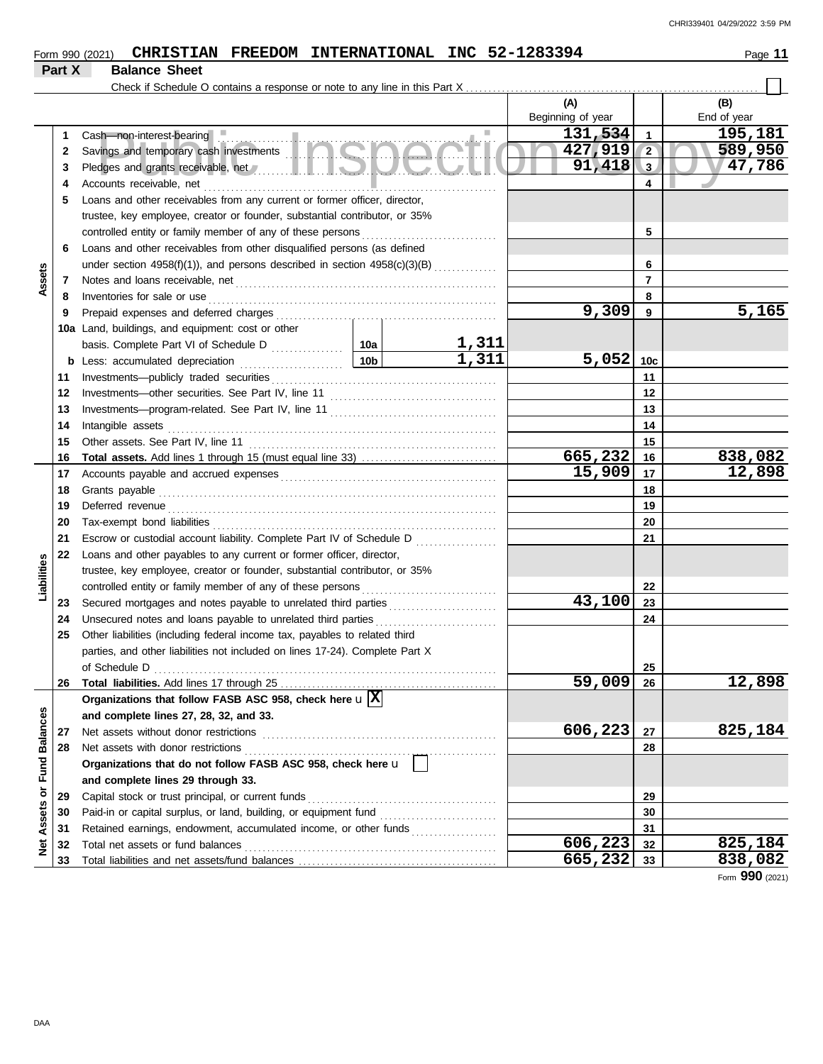|  | Form 990 (2021) |  |  | <b>CHRISTIAN FREEDOM INTERNATIONAL</b> |  | INC 52-1283394 | 44<br>Page |
|--|-----------------|--|--|----------------------------------------|--|----------------|------------|
|--|-----------------|--|--|----------------------------------------|--|----------------|------------|

**Part X Balance Sheet**

| 1<br>2<br>3<br>4           | Cash-non-interest-bearing<br>Savings and temporary cash investments                                                                                                                                                                 |  |              | (A)<br>Beginning of year |          | (B)             |  |
|----------------------------|-------------------------------------------------------------------------------------------------------------------------------------------------------------------------------------------------------------------------------------|--|--------------|--------------------------|----------|-----------------|--|
|                            |                                                                                                                                                                                                                                     |  |              |                          |          |                 |  |
|                            |                                                                                                                                                                                                                                     |  |              |                          |          | End of year     |  |
|                            |                                                                                                                                                                                                                                     |  |              | 131,534<br>427,919       | 1        | 195,181         |  |
|                            |                                                                                                                                                                                                                                     |  |              |                          |          |                 |  |
|                            |                                                                                                                                                                                                                                     |  |              | 91,418                   | 3        | 47,786          |  |
|                            |                                                                                                                                                                                                                                     |  | 4            |                          |          |                 |  |
| 5                          | Loans and other receivables from any current or former officer, director,                                                                                                                                                           |  |              |                          |          |                 |  |
|                            | trustee, key employee, creator or founder, substantial contributor, or 35%                                                                                                                                                          |  |              |                          |          |                 |  |
|                            |                                                                                                                                                                                                                                     |  |              |                          | 5        |                 |  |
| 6                          | Loans and other receivables from other disqualified persons (as defined                                                                                                                                                             |  |              |                          |          |                 |  |
|                            | under section 4958(f)(1)), and persons described in section 4958(c)(3)(B)                                                                                                                                                           |  |              | 6                        |          |                 |  |
| Assets<br>7                |                                                                                                                                                                                                                                     |  |              |                          | 7        |                 |  |
| 8                          | Inventories for sale or use <i>communication</i> and the state of the state or use of the state of the state of the state of the state of the state of the state of the state of the state of the state of the state of the state o |  |              |                          | 8        |                 |  |
| 9                          |                                                                                                                                                                                                                                     |  |              | 9,309                    | 9        | 5,165           |  |
|                            | 10a Land, buildings, and equipment: cost or other                                                                                                                                                                                   |  |              |                          |          |                 |  |
|                            |                                                                                                                                                                                                                                     |  | <u>1,311</u> |                          |          |                 |  |
|                            |                                                                                                                                                                                                                                     |  | 1,311        | 5,052                    | 10c      |                 |  |
| 11                         |                                                                                                                                                                                                                                     |  |              |                          | 11       |                 |  |
| 12                         |                                                                                                                                                                                                                                     |  |              |                          | 12       |                 |  |
| 13                         |                                                                                                                                                                                                                                     |  |              |                          | 13       |                 |  |
| 14                         |                                                                                                                                                                                                                                     |  |              |                          | 14       |                 |  |
| 15                         |                                                                                                                                                                                                                                     |  |              |                          | 15       |                 |  |
| 16                         | Total assets. Add lines 1 through 15 (must equal line 33)                                                                                                                                                                           |  |              | 665,232                  | 16       | 838,082         |  |
| 17                         |                                                                                                                                                                                                                                     |  |              | 15,909                   | 17       | 12,898          |  |
| 18                         |                                                                                                                                                                                                                                     |  | 18           |                          |          |                 |  |
| 19                         |                                                                                                                                                                                                                                     |  | 19           |                          |          |                 |  |
| 20                         |                                                                                                                                                                                                                                     |  | 20           |                          |          |                 |  |
| 21                         | Escrow or custodial account liability. Complete Part IV of Schedule D                                                                                                                                                               |  | 21           |                          |          |                 |  |
| 22                         | Loans and other payables to any current or former officer, director,                                                                                                                                                                |  |              |                          |          |                 |  |
| Liabilities                | trustee, key employee, creator or founder, substantial contributor, or 35%                                                                                                                                                          |  |              |                          |          |                 |  |
|                            |                                                                                                                                                                                                                                     |  |              |                          | 22       |                 |  |
| 23                         | Secured mortgages and notes payable to unrelated third parties [111] Secured mortgages and notes payable to unrelated third parties                                                                                                 |  |              | 43,100                   | 23       |                 |  |
| 24                         |                                                                                                                                                                                                                                     |  |              |                          | 24       |                 |  |
| 25                         | Other liabilities (including federal income tax, payables to related third                                                                                                                                                          |  |              |                          |          |                 |  |
|                            | parties, and other liabilities not included on lines 17-24). Complete Part X                                                                                                                                                        |  |              |                          |          |                 |  |
|                            |                                                                                                                                                                                                                                     |  |              | 25                       |          |                 |  |
| 26                         |                                                                                                                                                                                                                                     |  |              | 59,009                   | 26       | <u>12,898</u>   |  |
|                            | Organizations that follow FASB ASC 958, check here $\mathbf{u} \mathbf{X} $                                                                                                                                                         |  |              |                          |          |                 |  |
|                            | and complete lines 27, 28, 32, and 33.                                                                                                                                                                                              |  |              |                          |          |                 |  |
| 27                         | Net assets without donor restrictions                                                                                                                                                                                               |  |              | 606,223                  | 27       | 825,184         |  |
| <b>Fund Balances</b><br>28 |                                                                                                                                                                                                                                     |  |              |                          | 28       |                 |  |
|                            | Organizations that do not follow FASB ASC 958, check here u                                                                                                                                                                         |  |              |                          |          |                 |  |
| ŏ                          | and complete lines 29 through 33.                                                                                                                                                                                                   |  |              |                          |          |                 |  |
| 29                         | Capital stock or trust principal, or current funds                                                                                                                                                                                  |  |              |                          | 29       |                 |  |
| Assets<br>30               |                                                                                                                                                                                                                                     |  |              |                          | 30       |                 |  |
| 31                         | Retained earnings, endowment, accumulated income, or other funds                                                                                                                                                                    |  |              | 606,223                  | 31       | 825,184         |  |
| ğ<br>32<br>33              | Total net assets or fund balances                                                                                                                                                                                                   |  |              | 665,232                  | 32<br>33 | 838,082         |  |
|                            |                                                                                                                                                                                                                                     |  |              |                          |          | Form 990 (2021) |  |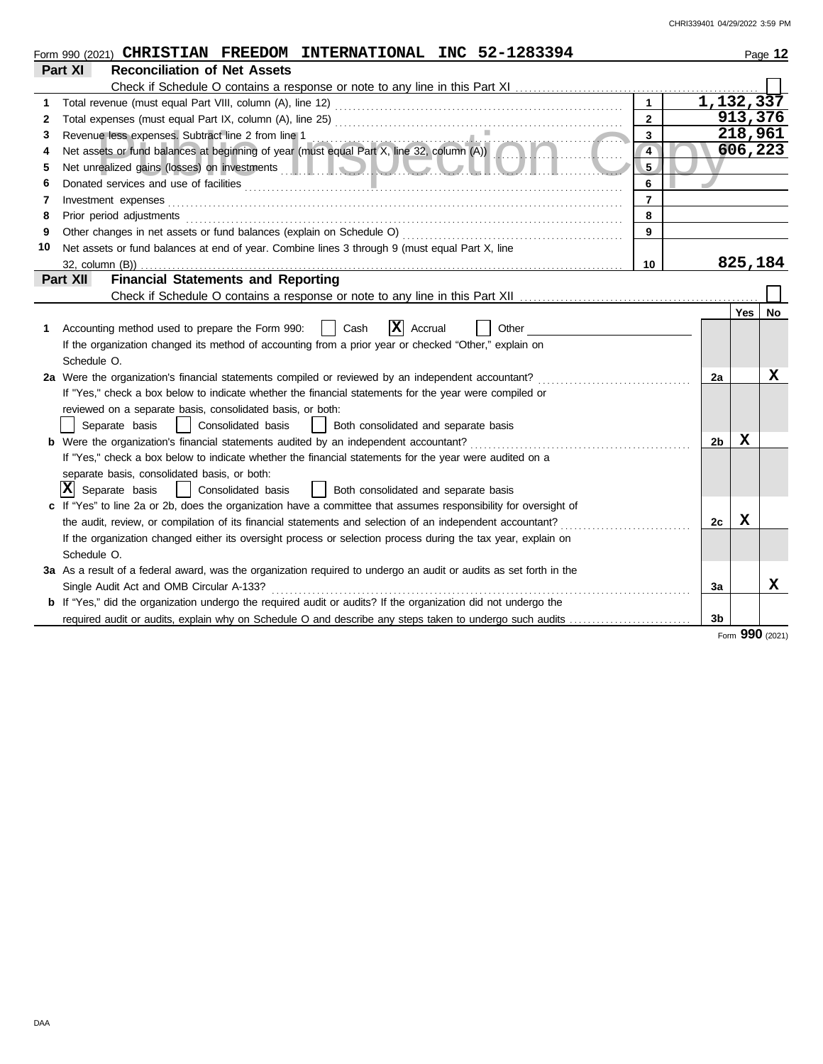|    | Form 990 (2021) CHRISTIAN FREEDOM INTERNATIONAL INC 52-1283394                                                                                                                                                                      |                |                |             | Page 12 |
|----|-------------------------------------------------------------------------------------------------------------------------------------------------------------------------------------------------------------------------------------|----------------|----------------|-------------|---------|
|    | Part XI<br><b>Reconciliation of Net Assets</b>                                                                                                                                                                                      |                |                |             |         |
|    |                                                                                                                                                                                                                                     |                |                |             |         |
|    |                                                                                                                                                                                                                                     | $\overline{1}$ |                | 1, 132, 337 |         |
| 2  |                                                                                                                                                                                                                                     | $\mathbf{2}$   |                | 913,376     |         |
| 3  |                                                                                                                                                                                                                                     | 3              |                | 218,961     |         |
| 4  | Revenue less expenses. Subtract line 2 from line 1<br>Net assets or fund balances at beginning of year (must equal Part X, line 32, column (A))                                                                                     | $\overline{4}$ |                | 606,223     |         |
| 5  |                                                                                                                                                                                                                                     | 5.             |                |             |         |
| 6  | Donated services and use of facilities <b>constructs</b> and the service of the service of the service of the service of the service of the service of the service of the service of the service of the service of the service of t | 6              |                |             |         |
| 7  | Investment expenses                                                                                                                                                                                                                 | $\overline{7}$ |                |             |         |
| 8  | Prior period adjustments                                                                                                                                                                                                            | 8              |                |             |         |
| 9  | Other changes in net assets or fund balances (explain on Schedule O)                                                                                                                                                                | 9              |                |             |         |
| 10 | Net assets or fund balances at end of year. Combine lines 3 through 9 (must equal Part X, line                                                                                                                                      |                |                |             |         |
|    |                                                                                                                                                                                                                                     | 10             |                | 825,184     |         |
|    | <b>Financial Statements and Reporting</b><br>Part XII                                                                                                                                                                               |                |                |             |         |
|    |                                                                                                                                                                                                                                     |                |                |             |         |
|    |                                                                                                                                                                                                                                     |                |                | <b>Yes</b>  | No      |
| 1  | $ \mathbf{X} $ Accrual<br>Accounting method used to prepare the Form 990:<br>Cash<br>Other                                                                                                                                          |                |                |             |         |
|    | If the organization changed its method of accounting from a prior year or checked "Other," explain on                                                                                                                               |                |                |             |         |
|    | Schedule O.                                                                                                                                                                                                                         |                |                |             |         |
|    | 2a Were the organization's financial statements compiled or reviewed by an independent accountant?                                                                                                                                  |                | 2a             |             | х       |
|    | If "Yes," check a box below to indicate whether the financial statements for the year were compiled or                                                                                                                              |                |                |             |         |
|    | reviewed on a separate basis, consolidated basis, or both:                                                                                                                                                                          |                |                |             |         |
|    | Separate basis<br>  Consolidated basis<br>  Both consolidated and separate basis                                                                                                                                                    |                |                |             |         |
|    | <b>b</b> Were the organization's financial statements audited by an independent accountant?                                                                                                                                         |                | 2 <sub>b</sub> | x           |         |
|    | If "Yes," check a box below to indicate whether the financial statements for the year were audited on a                                                                                                                             |                |                |             |         |
|    | separate basis, consolidated basis, or both:                                                                                                                                                                                        |                |                |             |         |
|    | $ \mathbf{X} $ Separate basis<br>  Consolidated basis<br>  Both consolidated and separate basis                                                                                                                                     |                |                |             |         |
|    | c If "Yes" to line 2a or 2b, does the organization have a committee that assumes responsibility for oversight of                                                                                                                    |                |                |             |         |
|    | the audit, review, or compilation of its financial statements and selection of an independent accountant?                                                                                                                           |                | 2c             | $\mathbf x$ |         |
|    | If the organization changed either its oversight process or selection process during the tax year, explain on                                                                                                                       |                |                |             |         |
|    | Schedule O.                                                                                                                                                                                                                         |                |                |             |         |
|    | 3a As a result of a federal award, was the organization required to undergo an audit or audits as set forth in the                                                                                                                  |                |                |             |         |
|    | Single Audit Act and OMB Circular A-133?                                                                                                                                                                                            |                | Зa             |             | x       |
|    | <b>b</b> If "Yes," did the organization undergo the required audit or audits? If the organization did not undergo the                                                                                                               |                |                |             |         |
|    | required audit or audits, explain why on Schedule O and describe any steps taken to undergo such audits                                                                                                                             |                | 3 <sub>b</sub> |             |         |

Form **990** (2021)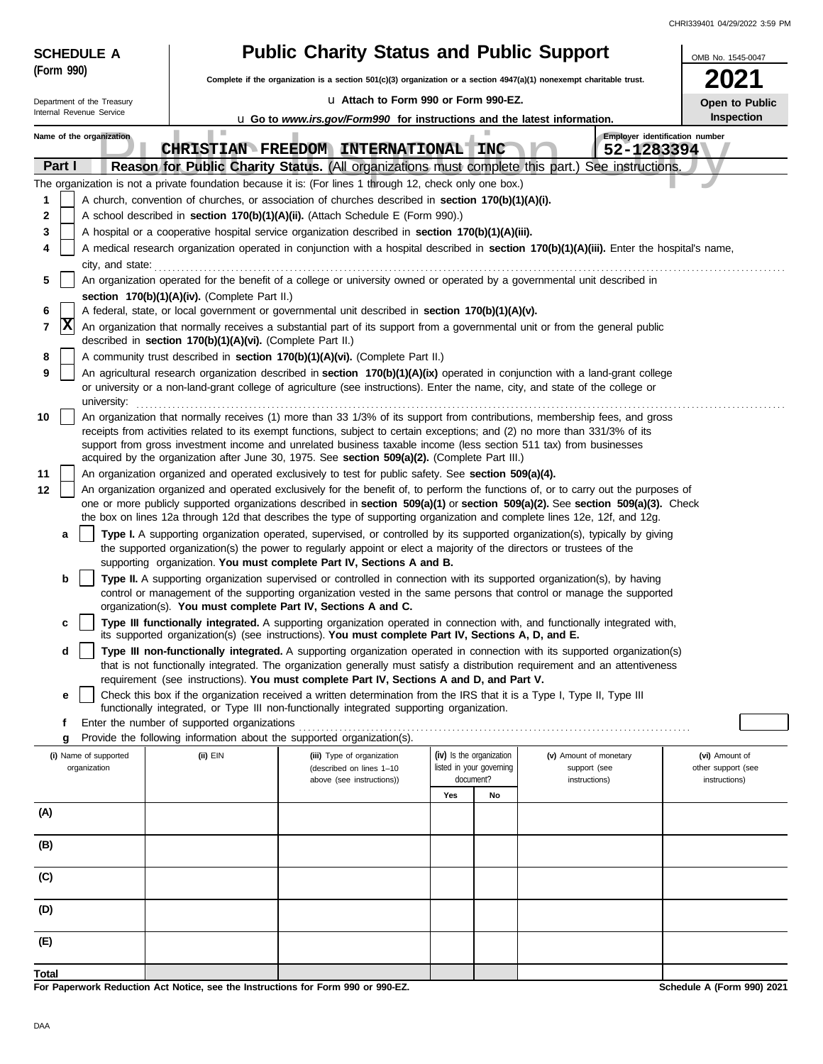| CHRI339401 04/29/2022 3:59 PM |  |  |
|-------------------------------|--|--|
|                               |  |  |

| <b>Public Charity Status and Public Support</b><br><b>SCHEDULE A</b> |                                                                                                                                                                                                                                                  |                                                                                                                                                                                                                                                                                                                  |                                                      |    |                                        |                                              | OMB No. 1545-0047                    |  |
|----------------------------------------------------------------------|--------------------------------------------------------------------------------------------------------------------------------------------------------------------------------------------------------------------------------------------------|------------------------------------------------------------------------------------------------------------------------------------------------------------------------------------------------------------------------------------------------------------------------------------------------------------------|------------------------------------------------------|----|----------------------------------------|----------------------------------------------|--------------------------------------|--|
| (Form 990)                                                           |                                                                                                                                                                                                                                                  | Complete if the organization is a section 501(c)(3) organization or a section 4947(a)(1) nonexempt charitable trust.                                                                                                                                                                                             |                                                      |    |                                        |                                              |                                      |  |
| Department of the Treasury                                           |                                                                                                                                                                                                                                                  | u Attach to Form 990 or Form 990-EZ.                                                                                                                                                                                                                                                                             |                                                      |    |                                        |                                              | Open to Public                       |  |
| Internal Revenue Service                                             |                                                                                                                                                                                                                                                  | Inspection<br><b>u</b> Go to www.irs.gov/Form990 for instructions and the latest information.                                                                                                                                                                                                                    |                                                      |    |                                        |                                              |                                      |  |
| Name of the organization                                             | ш                                                                                                                                                                                                                                                | CHRISTIAN FREEDOM INTERNATIONAL INC                                                                                                                                                                                                                                                                              |                                                      |    |                                        | Employer identification number<br>52-1283394 |                                      |  |
| Part I                                                               |                                                                                                                                                                                                                                                  | Reason for Public Charity Status. (All organizations must complete this part.) See instructions.                                                                                                                                                                                                                 |                                                      |    |                                        |                                              |                                      |  |
|                                                                      |                                                                                                                                                                                                                                                  | The organization is not a private foundation because it is: (For lines 1 through 12, check only one box.)                                                                                                                                                                                                        |                                                      |    |                                        |                                              |                                      |  |
| 1                                                                    |                                                                                                                                                                                                                                                  | A church, convention of churches, or association of churches described in section 170(b)(1)(A)(i).                                                                                                                                                                                                               |                                                      |    |                                        |                                              |                                      |  |
| 2                                                                    |                                                                                                                                                                                                                                                  | A school described in section 170(b)(1)(A)(ii). (Attach Schedule E (Form 990).)                                                                                                                                                                                                                                  |                                                      |    |                                        |                                              |                                      |  |
| 3<br>4                                                               |                                                                                                                                                                                                                                                  | A hospital or a cooperative hospital service organization described in section 170(b)(1)(A)(iii).<br>A medical research organization operated in conjunction with a hospital described in section 170(b)(1)(A)(iii). Enter the hospital's name,                                                                  |                                                      |    |                                        |                                              |                                      |  |
| city, and state:                                                     |                                                                                                                                                                                                                                                  |                                                                                                                                                                                                                                                                                                                  |                                                      |    |                                        |                                              |                                      |  |
| 5                                                                    |                                                                                                                                                                                                                                                  | An organization operated for the benefit of a college or university owned or operated by a governmental unit described in                                                                                                                                                                                        |                                                      |    |                                        |                                              |                                      |  |
|                                                                      | section 170(b)(1)(A)(iv). (Complete Part II.)                                                                                                                                                                                                    |                                                                                                                                                                                                                                                                                                                  |                                                      |    |                                        |                                              |                                      |  |
| 6<br> X                                                              |                                                                                                                                                                                                                                                  | A federal, state, or local government or governmental unit described in section 170(b)(1)(A)(v).                                                                                                                                                                                                                 |                                                      |    |                                        |                                              |                                      |  |
| 7                                                                    | described in section 170(b)(1)(A)(vi). (Complete Part II.)                                                                                                                                                                                       | An organization that normally receives a substantial part of its support from a governmental unit or from the general public                                                                                                                                                                                     |                                                      |    |                                        |                                              |                                      |  |
| 8<br>9                                                               |                                                                                                                                                                                                                                                  | A community trust described in section 170(b)(1)(A)(vi). (Complete Part II.)<br>An agricultural research organization described in section 170(b)(1)(A)(ix) operated in conjunction with a land-grant college                                                                                                    |                                                      |    |                                        |                                              |                                      |  |
| university:                                                          |                                                                                                                                                                                                                                                  | or university or a non-land-grant college of agriculture (see instructions). Enter the name, city, and state of the college or                                                                                                                                                                                   |                                                      |    |                                        |                                              |                                      |  |
| 10                                                                   |                                                                                                                                                                                                                                                  | An organization that normally receives (1) more than 33 1/3% of its support from contributions, membership fees, and gross                                                                                                                                                                                       |                                                      |    |                                        |                                              |                                      |  |
|                                                                      | receipts from activities related to its exempt functions, subject to certain exceptions; and (2) no more than 331/3% of its<br>support from gross investment income and unrelated business taxable income (less section 511 tax) from businesses |                                                                                                                                                                                                                                                                                                                  |                                                      |    |                                        |                                              |                                      |  |
| 11                                                                   | acquired by the organization after June 30, 1975. See section 509(a)(2). (Complete Part III.)                                                                                                                                                    |                                                                                                                                                                                                                                                                                                                  |                                                      |    |                                        |                                              |                                      |  |
| 12                                                                   | An organization organized and operated exclusively to test for public safety. See section 509(a)(4).<br>An organization organized and operated exclusively for the benefit of, to perform the functions of, or to carry out the purposes of      |                                                                                                                                                                                                                                                                                                                  |                                                      |    |                                        |                                              |                                      |  |
|                                                                      |                                                                                                                                                                                                                                                  | one or more publicly supported organizations described in section 509(a)(1) or section 509(a)(2). See section 509(a)(3). Check<br>the box on lines 12a through 12d that describes the type of supporting organization and complete lines 12e, 12f, and 12g.                                                      |                                                      |    |                                        |                                              |                                      |  |
| a                                                                    |                                                                                                                                                                                                                                                  | Type I. A supporting organization operated, supervised, or controlled by its supported organization(s), typically by giving                                                                                                                                                                                      |                                                      |    |                                        |                                              |                                      |  |
|                                                                      |                                                                                                                                                                                                                                                  | the supported organization(s) the power to regularly appoint or elect a majority of the directors or trustees of the<br>supporting organization. You must complete Part IV, Sections A and B.                                                                                                                    |                                                      |    |                                        |                                              |                                      |  |
| b                                                                    |                                                                                                                                                                                                                                                  | Type II. A supporting organization supervised or controlled in connection with its supported organization(s), by having<br>control or management of the supporting organization vested in the same persons that control or manage the supported<br>organization(s). You must complete Part IV, Sections A and C. |                                                      |    |                                        |                                              |                                      |  |
| c                                                                    |                                                                                                                                                                                                                                                  | Type III functionally integrated. A supporting organization operated in connection with, and functionally integrated with,<br>its supported organization(s) (see instructions). You must complete Part IV, Sections A, D, and E.                                                                                 |                                                      |    |                                        |                                              |                                      |  |
| d                                                                    |                                                                                                                                                                                                                                                  | Type III non-functionally integrated. A supporting organization operated in connection with its supported organization(s)<br>that is not functionally integrated. The organization generally must satisfy a distribution requirement and an attentiveness                                                        |                                                      |    |                                        |                                              |                                      |  |
|                                                                      |                                                                                                                                                                                                                                                  | requirement (see instructions). You must complete Part IV, Sections A and D, and Part V.                                                                                                                                                                                                                         |                                                      |    |                                        |                                              |                                      |  |
| е                                                                    |                                                                                                                                                                                                                                                  | Check this box if the organization received a written determination from the IRS that it is a Type I, Type II, Type III<br>functionally integrated, or Type III non-functionally integrated supporting organization.                                                                                             |                                                      |    |                                        |                                              |                                      |  |
| f<br>g                                                               | Enter the number of supported organizations                                                                                                                                                                                                      | Provide the following information about the supported organization(s).                                                                                                                                                                                                                                           |                                                      |    |                                        |                                              |                                      |  |
| (i) Name of supported<br>organization                                | (ii) EIN                                                                                                                                                                                                                                         | (iii) Type of organization<br>(described on lines 1-10                                                                                                                                                                                                                                                           | (iv) Is the organization<br>listed in your governing |    | (v) Amount of monetary<br>support (see |                                              | (vi) Amount of<br>other support (see |  |
|                                                                      |                                                                                                                                                                                                                                                  | above (see instructions))                                                                                                                                                                                                                                                                                        | document?                                            |    | instructions)                          |                                              | instructions)                        |  |
| (A)                                                                  |                                                                                                                                                                                                                                                  |                                                                                                                                                                                                                                                                                                                  | Yes                                                  | No |                                        |                                              |                                      |  |
|                                                                      |                                                                                                                                                                                                                                                  |                                                                                                                                                                                                                                                                                                                  |                                                      |    |                                        |                                              |                                      |  |
| (B)                                                                  |                                                                                                                                                                                                                                                  |                                                                                                                                                                                                                                                                                                                  |                                                      |    |                                        |                                              |                                      |  |
| (C)                                                                  |                                                                                                                                                                                                                                                  |                                                                                                                                                                                                                                                                                                                  |                                                      |    |                                        |                                              |                                      |  |
| (D)                                                                  |                                                                                                                                                                                                                                                  |                                                                                                                                                                                                                                                                                                                  |                                                      |    |                                        |                                              |                                      |  |
| (E)                                                                  |                                                                                                                                                                                                                                                  |                                                                                                                                                                                                                                                                                                                  |                                                      |    |                                        |                                              |                                      |  |
| Total                                                                |                                                                                                                                                                                                                                                  |                                                                                                                                                                                                                                                                                                                  |                                                      |    |                                        |                                              |                                      |  |
|                                                                      |                                                                                                                                                                                                                                                  | For Paperwork Reduction Act Notice, see the Instructions for Form 990 or 990-EZ.                                                                                                                                                                                                                                 |                                                      |    |                                        |                                              | Schedule A (Form 990) 2021           |  |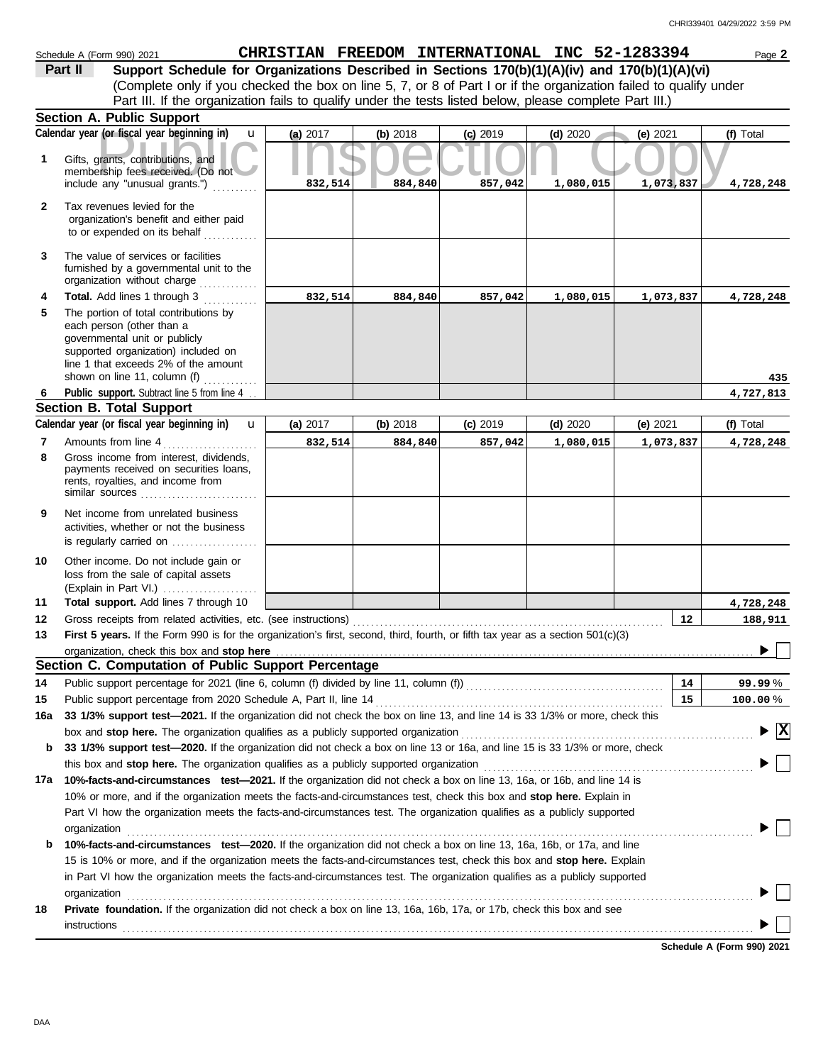|              | Schedule A (Form 990) 2021                                                                                                                                                                                         |          |          | CHRISTIAN FREEDOM INTERNATIONAL INC 52-1283394 |            |            | Page 2                                        |
|--------------|--------------------------------------------------------------------------------------------------------------------------------------------------------------------------------------------------------------------|----------|----------|------------------------------------------------|------------|------------|-----------------------------------------------|
|              | Support Schedule for Organizations Described in Sections 170(b)(1)(A)(iv) and 170(b)(1)(A)(vi)<br>Part II                                                                                                          |          |          |                                                |            |            |                                               |
|              | (Complete only if you checked the box on line 5, 7, or 8 of Part I or if the organization failed to qualify under                                                                                                  |          |          |                                                |            |            |                                               |
|              | Part III. If the organization fails to qualify under the tests listed below, please complete Part III.)                                                                                                            |          |          |                                                |            |            |                                               |
|              | <b>Section A. Public Support</b>                                                                                                                                                                                   |          |          |                                                |            |            |                                               |
|              | Calendar year (or fiscal year beginning in)<br>$\mathbf{u}$                                                                                                                                                        | (a) 2017 | (b) 2018 | $(c)$ 2019                                     | $(d)$ 2020 | (e) $2021$ | (f) Total                                     |
| 1            | Gifts, grants, contributions, and<br>membership fees received. (Do not                                                                                                                                             |          |          |                                                |            |            |                                               |
|              | include any "unusual grants.")                                                                                                                                                                                     | 832,514  | 884,840  | 857,042                                        | 1,080,015  | 1,073,837  | 4,728,248                                     |
| $\mathbf{2}$ | Tax revenues levied for the<br>organization's benefit and either paid<br>to or expended on its behalf                                                                                                              |          |          |                                                |            |            |                                               |
| 3            | The value of services or facilities<br>furnished by a governmental unit to the<br>organization without charge                                                                                                      |          |          |                                                |            |            |                                               |
| 4            | Total. Add lines 1 through 3                                                                                                                                                                                       | 832,514  | 884,840  | 857,042                                        | 1,080,015  | 1,073,837  | 4,728,248                                     |
| 5            | The portion of total contributions by<br>each person (other than a<br>governmental unit or publicly<br>supported organization) included on<br>line 1 that exceeds 2% of the amount<br>shown on line 11, column (f) |          |          |                                                |            |            | 435                                           |
| 6            | Public support. Subtract line 5 from line 4                                                                                                                                                                        |          |          |                                                |            |            | 4,727,813                                     |
|              | <b>Section B. Total Support</b>                                                                                                                                                                                    |          |          |                                                |            |            |                                               |
|              | Calendar year (or fiscal year beginning in)<br>$\mathbf{u}$                                                                                                                                                        | (a) 2017 | (b) 2018 | $(c)$ 2019                                     | $(d)$ 2020 | (e) $2021$ | (f) Total                                     |
| 7            | Amounts from line 4                                                                                                                                                                                                | 832,514  | 884,840  | 857,042                                        | 1,080,015  | 1,073,837  | 4,728,248                                     |
| 8            | Gross income from interest, dividends,<br>payments received on securities loans,<br>rents, royalties, and income from<br>similar sources                                                                           |          |          |                                                |            |            |                                               |
| 9            | Net income from unrelated business<br>activities, whether or not the business<br>is regularly carried on $\ldots$ , $\ldots$ , $\ldots$                                                                            |          |          |                                                |            |            |                                               |
| 10           | Other income. Do not include gain or                                                                                                                                                                               |          |          |                                                |            |            |                                               |
|              | loss from the sale of capital assets<br>(Explain in Part VI.)                                                                                                                                                      |          |          |                                                |            |            |                                               |
| 11           | Total support. Add lines 7 through 10                                                                                                                                                                              |          |          |                                                |            |            | 4,728,248                                     |
| 12           | Gross receipts from related activities, etc. (see instructions)                                                                                                                                                    |          |          |                                                |            | 12         | 188,911                                       |
| 13           | First 5 years. If the Form 990 is for the organization's first, second, third, fourth, or fifth tax year as a section 501(c)(3)                                                                                    |          |          |                                                |            |            |                                               |
|              |                                                                                                                                                                                                                    |          |          |                                                |            |            |                                               |
|              | Section C. Computation of Public Support Percentage                                                                                                                                                                |          |          |                                                |            |            |                                               |
| 14           | Public support percentage for 2021 (line 6, column (f) divided by line 11, column (f)) [[[[[[[[[[[[[[[[[[[[[[                                                                                                      |          |          |                                                |            | 14         | 99.99%                                        |
| 15           | Public support percentage from 2020 Schedule A, Part II, line 14                                                                                                                                                   |          |          |                                                |            | 15         | $100.00\,\%$                                  |
| 16a          | 33 1/3% support test-2021. If the organization did not check the box on line 13, and line 14 is 33 1/3% or more, check this                                                                                        |          |          |                                                |            |            |                                               |
|              | box and stop here. The organization qualifies as a publicly supported organization                                                                                                                                 |          |          |                                                |            |            | $\blacktriangleright$ $\overline{\mathbf{X}}$ |
| b            | 33 1/3% support test-2020. If the organization did not check a box on line 13 or 16a, and line 15 is 33 1/3% or more, check                                                                                        |          |          |                                                |            |            |                                               |
|              | this box and stop here. The organization qualifies as a publicly supported organization                                                                                                                            |          |          |                                                |            |            |                                               |
| 17a          | 10%-facts-and-circumstances test-2021. If the organization did not check a box on line 13, 16a, or 16b, and line 14 is                                                                                             |          |          |                                                |            |            |                                               |
|              | 10% or more, and if the organization meets the facts-and-circumstances test, check this box and stop here. Explain in                                                                                              |          |          |                                                |            |            |                                               |
|              | Part VI how the organization meets the facts-and-circumstances test. The organization qualifies as a publicly supported                                                                                            |          |          |                                                |            |            |                                               |
| b            | organization<br>10%-facts-and-circumstances test-2020. If the organization did not check a box on line 13, 16a, 16b, or 17a, and line                                                                              |          |          |                                                |            |            |                                               |
|              | 15 is 10% or more, and if the organization meets the facts-and-circumstances test, check this box and stop here. Explain                                                                                           |          |          |                                                |            |            |                                               |
|              | in Part VI how the organization meets the facts-and-circumstances test. The organization qualifies as a publicly supported                                                                                         |          |          |                                                |            |            |                                               |
|              | organization                                                                                                                                                                                                       |          |          |                                                |            |            |                                               |
| 18           | Private foundation. If the organization did not check a box on line 13, 16a, 16b, 17a, or 17b, check this box and see<br>instructions                                                                              |          |          |                                                |            |            |                                               |
|              |                                                                                                                                                                                                                    |          |          |                                                |            |            |                                               |

**Schedule A (Form 990) 2021**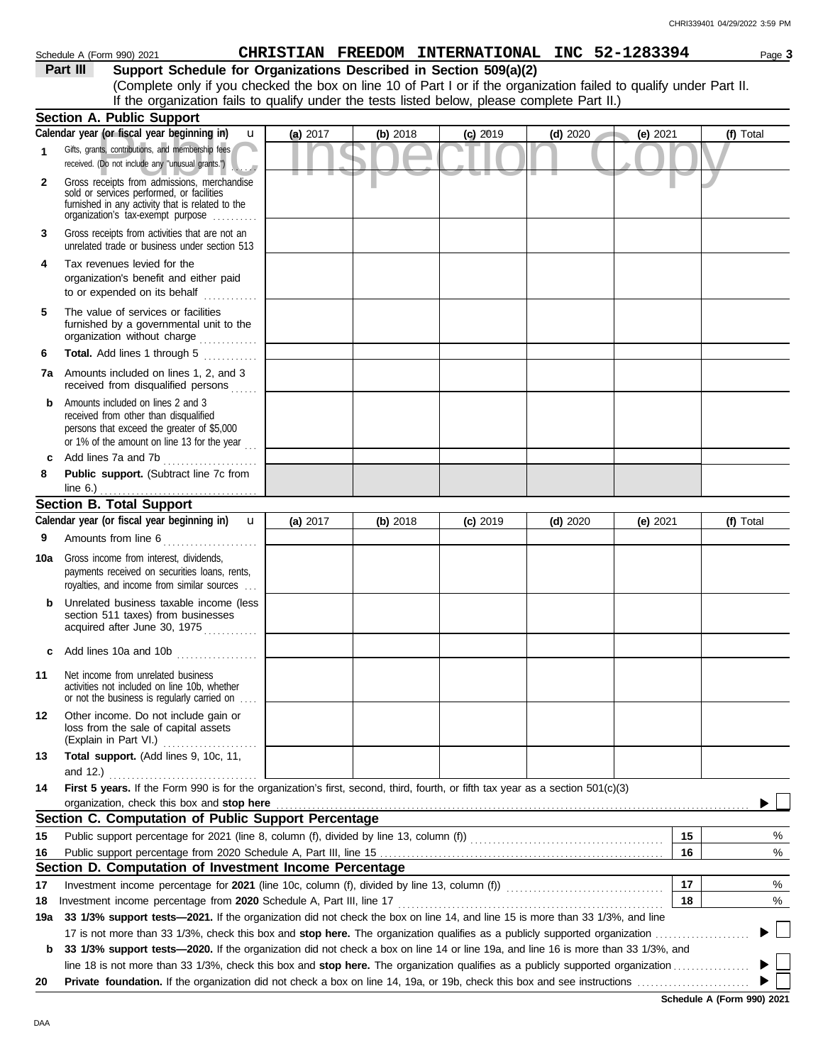|              | Schedule A (Form 990) 2021                                                                                                                                                        |          |          | CHRISTIAN FREEDOM INTERNATIONAL INC 52-1283394 |            |            | Page 3    |
|--------------|-----------------------------------------------------------------------------------------------------------------------------------------------------------------------------------|----------|----------|------------------------------------------------|------------|------------|-----------|
|              | Support Schedule for Organizations Described in Section 509(a)(2)<br>Part III                                                                                                     |          |          |                                                |            |            |           |
|              | (Complete only if you checked the box on line 10 of Part I or if the organization failed to qualify under Part II.                                                                |          |          |                                                |            |            |           |
|              | If the organization fails to qualify under the tests listed below, please complete Part II.)                                                                                      |          |          |                                                |            |            |           |
|              | <b>Section A. Public Support</b>                                                                                                                                                  |          |          |                                                |            |            |           |
|              | Calendar year (or fiscal year beginning in)<br>$\mathbf{u}$                                                                                                                       | (a) 2017 | (b) 2018 | $(c)$ 2019                                     | $(d)$ 2020 | (e) $2021$ | (f) Total |
| 1            | Gifts, grants, contributions, and membership fees<br>received. (Do not include any "unusual grants.")                                                                             |          |          |                                                |            |            |           |
| $\mathbf{2}$ | Gross receipts from admissions, merchandise<br>sold or services performed, or facilities<br>furnished in any activity that is related to the<br>organization's fax-exempt purpose |          |          |                                                |            |            |           |
| 3            | Gross receipts from activities that are not an<br>unrelated trade or business under section 513                                                                                   |          |          |                                                |            |            |           |
| 4            | Tax revenues levied for the<br>organization's benefit and either paid<br>to or expended on its behalf<br>.                                                                        |          |          |                                                |            |            |           |
| 5            | The value of services or facilities<br>furnished by a governmental unit to the<br>organization without charge                                                                     |          |          |                                                |            |            |           |
| 6            | Total. Add lines 1 through 5                                                                                                                                                      |          |          |                                                |            |            |           |
|              | <b>7a</b> Amounts included on lines 1, 2, and 3<br>received from disqualified persons                                                                                             |          |          |                                                |            |            |           |
| b            | Amounts included on lines 2 and 3<br>received from other than disqualified<br>persons that exceed the greater of \$5,000<br>or 1% of the amount on line 13 for the year $\ldots$  |          |          |                                                |            |            |           |
| c            |                                                                                                                                                                                   |          |          |                                                |            |            |           |
| 8            | Public support. (Subtract line 7c from                                                                                                                                            |          |          |                                                |            |            |           |
|              | line $6.$ )                                                                                                                                                                       |          |          |                                                |            |            |           |
|              | <b>Section B. Total Support</b>                                                                                                                                                   |          |          |                                                |            |            |           |
|              | Calendar year (or fiscal year beginning in)<br>$\mathbf{u}$                                                                                                                       | (a) 2017 | (b) 2018 | $(c)$ 2019                                     | $(d)$ 2020 | (e) $2021$ | (f) Total |
| 9            | Amounts from line 6                                                                                                                                                               |          |          |                                                |            |            |           |
| 10a          | Gross income from interest, dividends,<br>payments received on securities loans, rents,<br>royalties, and income from similar sources                                             |          |          |                                                |            |            |           |
| b            | Unrelated business taxable income (less<br>section 511 taxes) from businesses<br>acquired after June 30, 1975                                                                     |          |          |                                                |            |            |           |
| c            | Add lines 10a and 10b                                                                                                                                                             |          |          |                                                |            |            |           |
| 11           | Net income from unrelated business<br>activities not included on line 10b, whether<br>or not the business is regularly carried on                                                 |          |          |                                                |            |            |           |
| 12           | Other income. Do not include gain or<br>loss from the sale of capital assets<br>(Explain in Part VI.)                                                                             |          |          |                                                |            |            |           |
| 13           | Total support. (Add lines 9, 10c, 11,<br>and $12.$ )                                                                                                                              |          |          |                                                |            |            |           |
| 14           | First 5 years. If the Form 990 is for the organization's first, second, third, fourth, or fifth tax year as a section 501(c)(3)<br>organization, check this box and stop here     |          |          |                                                |            |            |           |
|              | Section C. Computation of Public Support Percentage                                                                                                                               |          |          |                                                |            |            |           |
| 15           |                                                                                                                                                                                   |          |          |                                                |            | 15         | %         |
| 16           |                                                                                                                                                                                   |          |          |                                                |            | 16         | %         |
|              | Section D. Computation of Investment Income Percentage                                                                                                                            |          |          |                                                |            |            |           |
| 17           |                                                                                                                                                                                   |          |          |                                                |            | 17         | %         |
| 18           | Investment income percentage from 2020 Schedule A, Part III, line 17                                                                                                              |          |          |                                                |            | 18         | %         |
| 19a          | 33 1/3% support tests-2021. If the organization did not check the box on line 14, and line 15 is more than 33 1/3%, and line                                                      |          |          |                                                |            |            |           |
|              | 17 is not more than 33 1/3%, check this box and stop here. The organization qualifies as a publicly supported organization                                                        |          |          |                                                |            |            |           |
| b            | 33 1/3% support tests-2020. If the organization did not check a box on line 14 or line 19a, and line 16 is more than 33 1/3%, and                                                 |          |          |                                                |            |            |           |
|              | line 18 is not more than 33 1/3%, check this box and stop here. The organization qualifies as a publicly supported organization.                                                  |          |          |                                                |            |            |           |

**20 Private foundation.** If the organization did not check a box on line 14, 19a, or 19b, check this box and see instructions . . . . . . . . . . . . . . . . . . . . . . . . .

**Schedule A (Form 990) 2021**

 $\blacktriangleright \Box$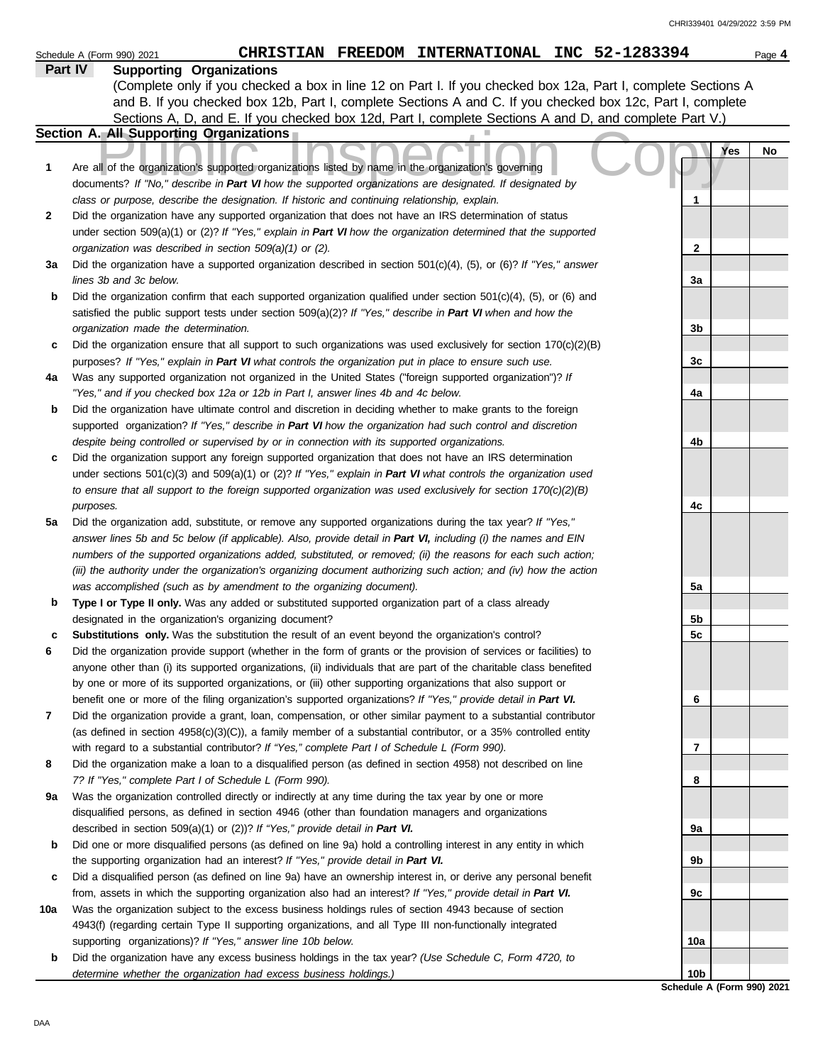|     | CHRISTIAN FREEDOM INTERNATIONAL INC 52-1283394<br>Schedule A (Form 990) 2021                                                                                                                                                            |                 | Page 4 |
|-----|-----------------------------------------------------------------------------------------------------------------------------------------------------------------------------------------------------------------------------------------|-----------------|--------|
|     | Part IV<br><b>Supporting Organizations</b>                                                                                                                                                                                              |                 |        |
|     | (Complete only if you checked a box in line 12 on Part I. If you checked box 12a, Part I, complete Sections A                                                                                                                           |                 |        |
|     | and B. If you checked box 12b, Part I, complete Sections A and C. If you checked box 12c, Part I, complete                                                                                                                              |                 |        |
|     | Sections A, D, and E. If you checked box 12d, Part I, complete Sections A and D, and complete Part V.)                                                                                                                                  |                 |        |
|     | Section A. All Supporting Organizations                                                                                                                                                                                                 |                 |        |
| 1   | Are all of the organization's supported organizations listed by name in the organization's governing                                                                                                                                    | Yes             | No     |
|     | documents? If "No," describe in Part VI how the supported organizations are designated. If designated by                                                                                                                                |                 |        |
|     | class or purpose, describe the designation. If historic and continuing relationship, explain.                                                                                                                                           | 1               |        |
| 2   | Did the organization have any supported organization that does not have an IRS determination of status                                                                                                                                  |                 |        |
|     | under section 509(a)(1) or (2)? If "Yes," explain in Part VI how the organization determined that the supported                                                                                                                         |                 |        |
| За  | organization was described in section $509(a)(1)$ or (2).<br>Did the organization have a supported organization described in section $501(c)(4)$ , (5), or (6)? If "Yes," answer                                                        | $\mathbf{2}$    |        |
|     | lines 3b and 3c below.                                                                                                                                                                                                                  | 3a              |        |
| b   | Did the organization confirm that each supported organization qualified under section $501(c)(4)$ , $(5)$ , or $(6)$ and                                                                                                                |                 |        |
|     | satisfied the public support tests under section 509(a)(2)? If "Yes," describe in Part VI when and how the                                                                                                                              |                 |        |
|     | organization made the determination.                                                                                                                                                                                                    | 3b              |        |
| c   | Did the organization ensure that all support to such organizations was used exclusively for section $170(c)(2)(B)$                                                                                                                      |                 |        |
|     | purposes? If "Yes," explain in Part VI what controls the organization put in place to ensure such use.                                                                                                                                  | 3c              |        |
| 4a  | Was any supported organization not organized in the United States ("foreign supported organization")? If                                                                                                                                |                 |        |
|     | "Yes," and if you checked box 12a or 12b in Part I, answer lines 4b and 4c below.                                                                                                                                                       | 4a              |        |
| b   | Did the organization have ultimate control and discretion in deciding whether to make grants to the foreign                                                                                                                             |                 |        |
|     | supported organization? If "Yes," describe in Part VI how the organization had such control and discretion                                                                                                                              |                 |        |
|     | despite being controlled or supervised by or in connection with its supported organizations.                                                                                                                                            | 4b              |        |
| c   | Did the organization support any foreign supported organization that does not have an IRS determination                                                                                                                                 |                 |        |
|     | under sections $501(c)(3)$ and $509(a)(1)$ or (2)? If "Yes," explain in Part VI what controls the organization used<br>to ensure that all support to the foreign supported organization was used exclusively for section $170(c)(2)(B)$ |                 |        |
|     | purposes.                                                                                                                                                                                                                               | 4c              |        |
| 5a  | Did the organization add, substitute, or remove any supported organizations during the tax year? If "Yes,"                                                                                                                              |                 |        |
|     | answer lines 5b and 5c below (if applicable). Also, provide detail in Part VI, including (i) the names and EIN                                                                                                                          |                 |        |
|     | numbers of the supported organizations added, substituted, or removed; (ii) the reasons for each such action;                                                                                                                           |                 |        |
|     | (iii) the authority under the organization's organizing document authorizing such action; and (iv) how the action                                                                                                                       |                 |        |
|     | was accomplished (such as by amendment to the organizing document).                                                                                                                                                                     | 5a              |        |
| b   | Type I or Type II only. Was any added or substituted supported organization part of a class already                                                                                                                                     |                 |        |
|     | designated in the organization's organizing document?                                                                                                                                                                                   | 5b              |        |
| c   | Substitutions only. Was the substitution the result of an event beyond the organization's control?                                                                                                                                      | 5 <sub>c</sub>  |        |
| 6   | Did the organization provide support (whether in the form of grants or the provision of services or facilities) to                                                                                                                      |                 |        |
|     | anyone other than (i) its supported organizations, (ii) individuals that are part of the charitable class benefited                                                                                                                     |                 |        |
|     | by one or more of its supported organizations, or (iii) other supporting organizations that also support or<br>benefit one or more of the filing organization's supported organizations? If "Yes," provide detail in Part VI.           |                 |        |
| 7   | Did the organization provide a grant, loan, compensation, or other similar payment to a substantial contributor                                                                                                                         | 6               |        |
|     | (as defined in section $4958(c)(3)(C)$ ), a family member of a substantial contributor, or a 35% controlled entity                                                                                                                      |                 |        |
|     | with regard to a substantial contributor? If "Yes," complete Part I of Schedule L (Form 990).                                                                                                                                           | 7               |        |
| 8   | Did the organization make a loan to a disqualified person (as defined in section 4958) not described on line                                                                                                                            |                 |        |
|     | 7? If "Yes," complete Part I of Schedule L (Form 990).                                                                                                                                                                                  | 8               |        |
| 9a  | Was the organization controlled directly or indirectly at any time during the tax year by one or more                                                                                                                                   |                 |        |
|     | disqualified persons, as defined in section 4946 (other than foundation managers and organizations                                                                                                                                      |                 |        |
|     | described in section 509(a)(1) or (2))? If "Yes," provide detail in Part VI.                                                                                                                                                            | 9а              |        |
| b   | Did one or more disqualified persons (as defined on line 9a) hold a controlling interest in any entity in which                                                                                                                         |                 |        |
|     | the supporting organization had an interest? If "Yes," provide detail in Part VI.                                                                                                                                                       | 9b              |        |
| c   | Did a disqualified person (as defined on line 9a) have an ownership interest in, or derive any personal benefit                                                                                                                         |                 |        |
| 10a | from, assets in which the supporting organization also had an interest? If "Yes," provide detail in Part VI.<br>Was the organization subject to the excess business holdings rules of section 4943 because of section                   | 9с              |        |
|     | 4943(f) (regarding certain Type II supporting organizations, and all Type III non-functionally integrated                                                                                                                               |                 |        |
|     | supporting organizations)? If "Yes," answer line 10b below.                                                                                                                                                                             | 10a             |        |
| b   | Did the organization have any excess business holdings in the tax year? (Use Schedule C, Form 4720, to                                                                                                                                  |                 |        |
|     | determine whether the organization had excess business holdings.)                                                                                                                                                                       | 10 <sub>b</sub> |        |

**Schedule A (Form 990) 2021**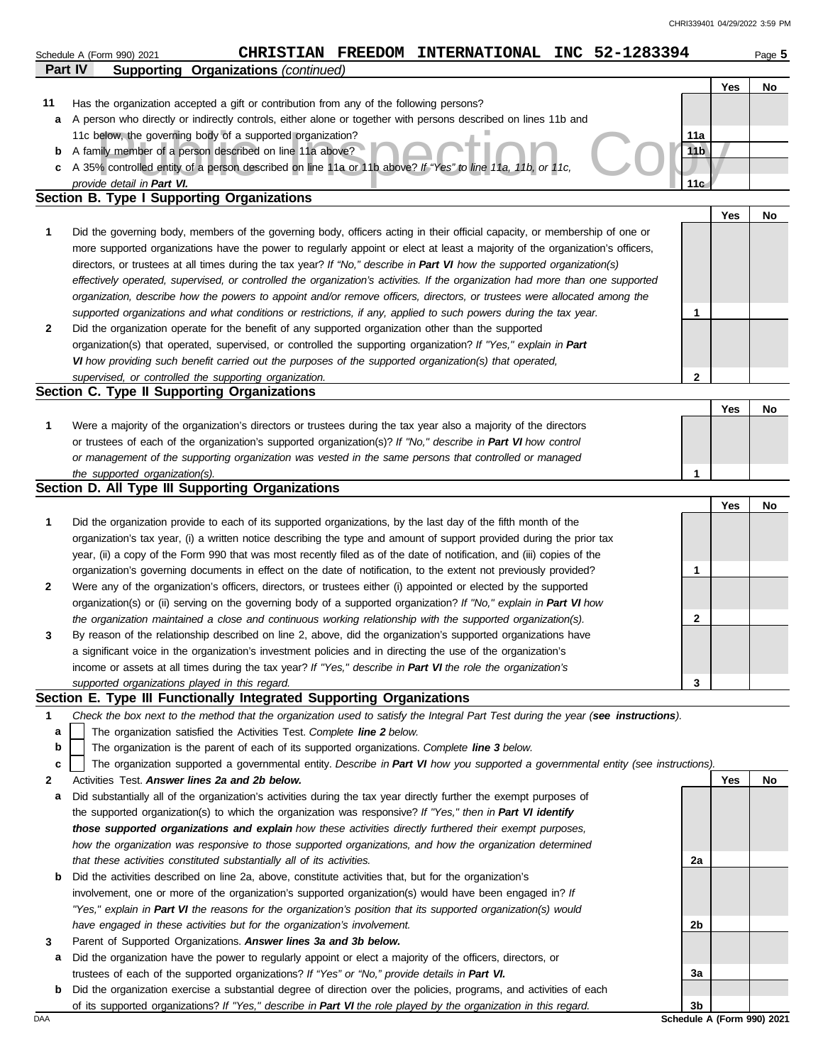|              | CHRISTIAN FREEDOM INTERNATIONAL INC 52-1283394<br>Schedule A (Form 990) 2021                                                                                                                                          |                            |     | Page 5 |
|--------------|-----------------------------------------------------------------------------------------------------------------------------------------------------------------------------------------------------------------------|----------------------------|-----|--------|
| Part IV      | <b>Supporting Organizations (continued)</b>                                                                                                                                                                           |                            |     |        |
|              |                                                                                                                                                                                                                       |                            | Yes | No     |
| 11           | Has the organization accepted a gift or contribution from any of the following persons?                                                                                                                               |                            |     |        |
| a            | A person who directly or indirectly controls, either alone or together with persons described on lines 11b and                                                                                                        |                            |     |        |
|              | 11c below, the governing body of a supported organization?                                                                                                                                                            | 11a                        |     |        |
| b            | A family member of a person described on line 11a above?                                                                                                                                                              | 11 <sub>b</sub>            |     |        |
| c            | A 35% controlled entity of a person described on line 11a or 11b above? If "Yes" to line 11a, 11b, or 11c,                                                                                                            |                            |     |        |
|              | provide detail in Part VI.                                                                                                                                                                                            | 11 <sub>G</sub>            |     |        |
|              | Section B. Type I Supporting Organizations                                                                                                                                                                            |                            |     |        |
|              |                                                                                                                                                                                                                       |                            | Yes | No     |
| 1            | Did the governing body, members of the governing body, officers acting in their official capacity, or membership of one or                                                                                            |                            |     |        |
|              | more supported organizations have the power to regularly appoint or elect at least a majority of the organization's officers,                                                                                         |                            |     |        |
|              | directors, or trustees at all times during the tax year? If "No," describe in Part VI how the supported organization(s)                                                                                               |                            |     |        |
|              | effectively operated, supervised, or controlled the organization's activities. If the organization had more than one supported                                                                                        |                            |     |        |
|              | organization, describe how the powers to appoint and/or remove officers, directors, or trustees were allocated among the                                                                                              |                            |     |        |
|              | supported organizations and what conditions or restrictions, if any, applied to such powers during the tax year.                                                                                                      | 1                          |     |        |
| 2            | Did the organization operate for the benefit of any supported organization other than the supported                                                                                                                   |                            |     |        |
|              | organization(s) that operated, supervised, or controlled the supporting organization? If "Yes," explain in Part                                                                                                       |                            |     |        |
|              | VI how providing such benefit carried out the purposes of the supported organization(s) that operated,                                                                                                                |                            |     |        |
|              | supervised, or controlled the supporting organization.<br>Section C. Type II Supporting Organizations                                                                                                                 | $\mathbf{2}$               |     |        |
|              |                                                                                                                                                                                                                       |                            | Yes | No     |
| 1            | Were a majority of the organization's directors or trustees during the tax year also a majority of the directors                                                                                                      |                            |     |        |
|              | or trustees of each of the organization's supported organization(s)? If "No," describe in Part VI how control                                                                                                         |                            |     |        |
|              | or management of the supporting organization was vested in the same persons that controlled or managed                                                                                                                |                            |     |        |
|              | the supported organization(s).                                                                                                                                                                                        | 1                          |     |        |
|              | Section D. All Type III Supporting Organizations                                                                                                                                                                      |                            |     |        |
|              |                                                                                                                                                                                                                       |                            | Yes | No     |
| 1            | Did the organization provide to each of its supported organizations, by the last day of the fifth month of the                                                                                                        |                            |     |        |
|              | organization's tax year, (i) a written notice describing the type and amount of support provided during the prior tax                                                                                                 |                            |     |        |
|              | year, (ii) a copy of the Form 990 that was most recently filed as of the date of notification, and (iii) copies of the                                                                                                |                            |     |        |
|              | organization's governing documents in effect on the date of notification, to the extent not previously provided?                                                                                                      | 1                          |     |        |
| $\mathbf{2}$ | Were any of the organization's officers, directors, or trustees either (i) appointed or elected by the supported                                                                                                      |                            |     |        |
|              | organization(s) or (ii) serving on the governing body of a supported organization? If "No," explain in Part VI how                                                                                                    |                            |     |        |
|              | the organization maintained a close and continuous working relationship with the supported organization(s).                                                                                                           | 2                          |     |        |
| 3            | By reason of the relationship described on line 2, above, did the organization's supported organizations have                                                                                                         |                            |     |        |
|              | a significant voice in the organization's investment policies and in directing the use of the organization's                                                                                                          |                            |     |        |
|              | income or assets at all times during the tax year? If "Yes," describe in Part VI the role the organization's                                                                                                          |                            |     |        |
|              | supported organizations played in this regard.                                                                                                                                                                        | 3                          |     |        |
|              | Section E. Type III Functionally Integrated Supporting Organizations                                                                                                                                                  |                            |     |        |
| 1            | Check the box next to the method that the organization used to satisfy the Integral Part Test during the year (see instructions).                                                                                     |                            |     |        |
| a            | The organization satisfied the Activities Test. Complete line 2 below.                                                                                                                                                |                            |     |        |
| b            | The organization is the parent of each of its supported organizations. Complete line 3 below.                                                                                                                         |                            |     |        |
| c            | The organization supported a governmental entity. Describe in Part VI how you supported a governmental entity (see instructions).                                                                                     |                            |     |        |
| 2            | Activities Test. Answer lines 2a and 2b below.                                                                                                                                                                        |                            | Yes | No     |
| а            | Did substantially all of the organization's activities during the tax year directly further the exempt purposes of                                                                                                    |                            |     |        |
|              | the supported organization(s) to which the organization was responsive? If "Yes," then in Part VI identify                                                                                                            |                            |     |        |
|              | those supported organizations and explain how these activities directly furthered their exempt purposes,                                                                                                              |                            |     |        |
|              | how the organization was responsive to those supported organizations, and how the organization determined                                                                                                             |                            |     |        |
|              | that these activities constituted substantially all of its activities.                                                                                                                                                | 2a                         |     |        |
| b            | Did the activities described on line 2a, above, constitute activities that, but for the organization's                                                                                                                |                            |     |        |
|              | involvement, one or more of the organization's supported organization(s) would have been engaged in? If                                                                                                               |                            |     |        |
|              | "Yes," explain in Part VI the reasons for the organization's position that its supported organization(s) would                                                                                                        |                            |     |        |
|              | have engaged in these activities but for the organization's involvement.                                                                                                                                              | 2b                         |     |        |
| 3            | Parent of Supported Organizations. Answer lines 3a and 3b below.                                                                                                                                                      |                            |     |        |
| a            | Did the organization have the power to regularly appoint or elect a majority of the officers, directors, or                                                                                                           |                            |     |        |
| b            | trustees of each of the supported organizations? If "Yes" or "No," provide details in Part VI.<br>Did the organization exercise a substantial degree of direction over the policies, programs, and activities of each | За                         |     |        |
|              | of its supported organizations? If "Yes," describe in Part VI the role played by the organization in this regard.                                                                                                     | 3b                         |     |        |
| DAA          |                                                                                                                                                                                                                       | Schedule A (Form 990) 2021 |     |        |
|              |                                                                                                                                                                                                                       |                            |     |        |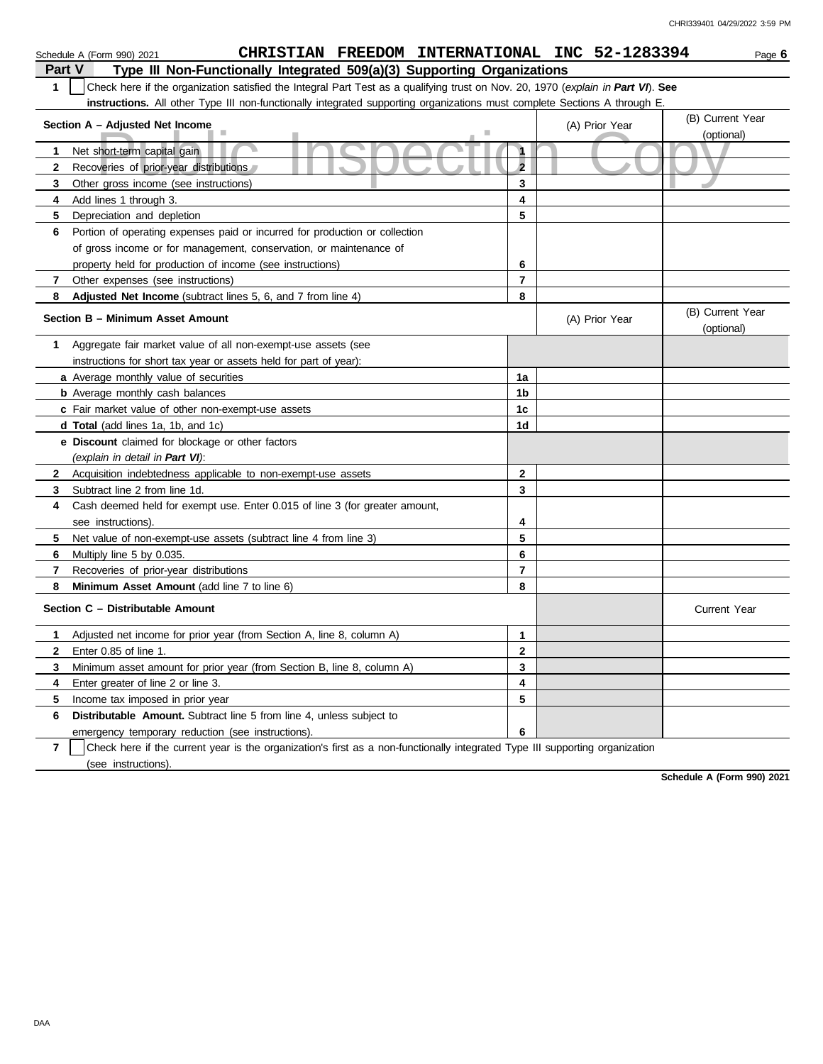|                                                   | CHRISTIAN FREEDOM INTERNATIONAL INC 52-1283394<br>Schedule A (Form 990) 2021                                                     |                     |                | Page 6                         |  |  |  |
|---------------------------------------------------|----------------------------------------------------------------------------------------------------------------------------------|---------------------|----------------|--------------------------------|--|--|--|
|                                                   | Type III Non-Functionally Integrated 509(a)(3) Supporting Organizations<br>Part V                                                |                     |                |                                |  |  |  |
| $\mathbf{1}$                                      | Check here if the organization satisfied the Integral Part Test as a qualifying trust on Nov. 20, 1970 (explain in Part VI). See |                     |                |                                |  |  |  |
|                                                   | instructions. All other Type III non-functionally integrated supporting organizations must complete Sections A through E.        |                     |                |                                |  |  |  |
| Section A - Adjusted Net Income<br>(A) Prior Year |                                                                                                                                  |                     |                |                                |  |  |  |
|                                                   | (optional)                                                                                                                       |                     |                |                                |  |  |  |
| 1                                                 | Net short-term capital gain                                                                                                      | $\ddot{\mathbf{1}}$ |                |                                |  |  |  |
| $\mathbf{2}$                                      | Recoveries of prior-year distributions                                                                                           | $\overline{2}$      |                |                                |  |  |  |
| 3                                                 | Other gross income (see instructions)                                                                                            | 3                   |                |                                |  |  |  |
| 4                                                 | Add lines 1 through 3.                                                                                                           | 4                   |                |                                |  |  |  |
| 5                                                 | Depreciation and depletion                                                                                                       | 5                   |                |                                |  |  |  |
| 6                                                 | Portion of operating expenses paid or incurred for production or collection                                                      |                     |                |                                |  |  |  |
|                                                   | of gross income or for management, conservation, or maintenance of                                                               |                     |                |                                |  |  |  |
|                                                   | property held for production of income (see instructions)                                                                        | 6                   |                |                                |  |  |  |
| 7                                                 | Other expenses (see instructions)                                                                                                | 7                   |                |                                |  |  |  |
| 8                                                 | Adjusted Net Income (subtract lines 5, 6, and 7 from line 4)                                                                     | 8                   |                |                                |  |  |  |
|                                                   | Section B - Minimum Asset Amount                                                                                                 |                     | (A) Prior Year | (B) Current Year<br>(optional) |  |  |  |
| 1                                                 | Aggregate fair market value of all non-exempt-use assets (see                                                                    |                     |                |                                |  |  |  |
|                                                   | instructions for short tax year or assets held for part of year):                                                                |                     |                |                                |  |  |  |
|                                                   | a Average monthly value of securities                                                                                            | 1a                  |                |                                |  |  |  |
|                                                   | <b>b</b> Average monthly cash balances                                                                                           | 1b                  |                |                                |  |  |  |
|                                                   | c Fair market value of other non-exempt-use assets                                                                               | 1c                  |                |                                |  |  |  |
|                                                   | <b>d Total</b> (add lines 1a, 1b, and 1c)                                                                                        | 1d                  |                |                                |  |  |  |
|                                                   | e Discount claimed for blockage or other factors                                                                                 |                     |                |                                |  |  |  |
|                                                   | (explain in detail in Part VI):                                                                                                  |                     |                |                                |  |  |  |
| $\mathbf{2}$                                      | Acquisition indebtedness applicable to non-exempt-use assets                                                                     | 2                   |                |                                |  |  |  |
| 3                                                 | Subtract line 2 from line 1d.                                                                                                    | 3                   |                |                                |  |  |  |
| 4                                                 | Cash deemed held for exempt use. Enter 0.015 of line 3 (for greater amount,                                                      |                     |                |                                |  |  |  |
|                                                   | see instructions).                                                                                                               | 4                   |                |                                |  |  |  |
| 5                                                 | Net value of non-exempt-use assets (subtract line 4 from line 3)                                                                 | 5                   |                |                                |  |  |  |
| 6                                                 | Multiply line 5 by 0.035.                                                                                                        | 6                   |                |                                |  |  |  |
| 7                                                 | Recoveries of prior-year distributions                                                                                           | 7                   |                |                                |  |  |  |
| 8                                                 | <b>Minimum Asset Amount</b> (add line 7 to line 6)                                                                               | 8                   |                |                                |  |  |  |
|                                                   | Section C - Distributable Amount                                                                                                 |                     |                | <b>Current Year</b>            |  |  |  |
| 1.                                                | Adjusted net income for prior year (from Section A, line 8, column A)                                                            | 1                   |                |                                |  |  |  |
| 2                                                 | Enter 0.85 of line 1.                                                                                                            | $\mathbf{2}$        |                |                                |  |  |  |
| 3                                                 | Minimum asset amount for prior year (from Section B, line 8, column A)                                                           | 3                   |                |                                |  |  |  |
| 4                                                 | Enter greater of line 2 or line 3.                                                                                               | 4                   |                |                                |  |  |  |
| 5                                                 | Income tax imposed in prior year                                                                                                 | 5                   |                |                                |  |  |  |
| 6                                                 | <b>Distributable Amount.</b> Subtract line 5 from line 4, unless subject to                                                      |                     |                |                                |  |  |  |
|                                                   | emergency temporary reduction (see instructions).                                                                                | 6                   |                |                                |  |  |  |
|                                                   |                                                                                                                                  |                     |                |                                |  |  |  |

**7** | Check here if the current year is the organization's first as a non-functionally integrated Type III supporting organization (see instructions).

**Schedule A (Form 990) 2021**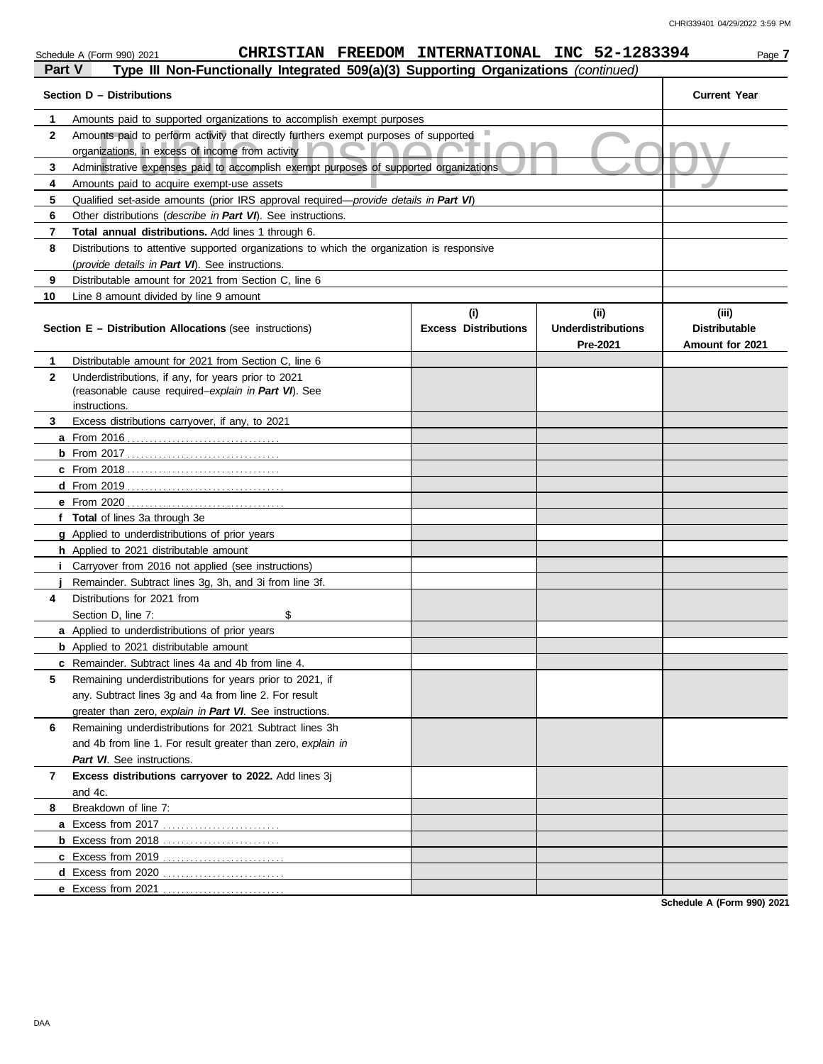| Schedule A (Form 990) 2021 |  |  |  |
|----------------------------|--|--|--|

### Schedule A (Form 990) 2021 **CHRISTIAN FREEDOM INTERNATIONAL INC** 52-1283394 Page 7

| Part V       | Type III Non-Functionally Integrated 509(a)(3) Supporting Organizations (continued)                    |                                    |                                               |                                                  |
|--------------|--------------------------------------------------------------------------------------------------------|------------------------------------|-----------------------------------------------|--------------------------------------------------|
|              | Section D - Distributions                                                                              |                                    |                                               | <b>Current Year</b>                              |
| 1            | Amounts paid to supported organizations to accomplish exempt purposes                                  |                                    |                                               |                                                  |
| $\mathbf{2}$ | Amounts paid to perform activity that directly furthers exempt purposes of supported                   |                                    |                                               |                                                  |
|              | organizations, in excess of income from activity                                                       |                                    |                                               |                                                  |
| 3            | Administrative expenses paid to accomplish exempt purposes of supported organizations                  |                                    |                                               |                                                  |
| 4            | Amounts paid to acquire exempt-use assets                                                              |                                    |                                               |                                                  |
| 5            | Qualified set-aside amounts (prior IRS approval required—provide details in Part VI)                   |                                    |                                               |                                                  |
| 6            |                                                                                                        |                                    |                                               |                                                  |
| 7            | Total annual distributions. Add lines 1 through 6.                                                     |                                    |                                               |                                                  |
| 8            | Distributions to attentive supported organizations to which the organization is responsive             |                                    |                                               |                                                  |
|              | (provide details in Part VI). See instructions.                                                        |                                    |                                               |                                                  |
| 9            | Distributable amount for 2021 from Section C, line 6                                                   |                                    |                                               |                                                  |
| 10           | Line 8 amount divided by line 9 amount                                                                 |                                    |                                               |                                                  |
|              | Section E - Distribution Allocations (see instructions)                                                | (i)<br><b>Excess Distributions</b> | (ii)<br><b>Underdistributions</b><br>Pre-2021 | (iii)<br><b>Distributable</b><br>Amount for 2021 |
| 1            | Distributable amount for 2021 from Section C, line 6                                                   |                                    |                                               |                                                  |
| 2            | Underdistributions, if any, for years prior to 2021                                                    |                                    |                                               |                                                  |
|              | (reasonable cause required-explain in Part VI). See                                                    |                                    |                                               |                                                  |
|              | instructions.                                                                                          |                                    |                                               |                                                  |
| 3            | Excess distributions carryover, if any, to 2021                                                        |                                    |                                               |                                                  |
|              | <b>a</b> From 2016                                                                                     |                                    |                                               |                                                  |
|              |                                                                                                        |                                    |                                               |                                                  |
|              |                                                                                                        |                                    |                                               |                                                  |
|              |                                                                                                        |                                    |                                               |                                                  |
|              | e From 2020                                                                                            |                                    |                                               |                                                  |
|              | f Total of lines 3a through 3e                                                                         |                                    |                                               |                                                  |
|              | <b>g</b> Applied to underdistributions of prior years<br><b>h</b> Applied to 2021 distributable amount |                                    |                                               |                                                  |
|              | <b>i</b> Carryover from 2016 not applied (see instructions)                                            |                                    |                                               |                                                  |
|              | Remainder. Subtract lines 3g, 3h, and 3i from line 3f.                                                 |                                    |                                               |                                                  |
| 4            | Distributions for 2021 from                                                                            |                                    |                                               |                                                  |
|              | \$<br>Section D, line 7:                                                                               |                                    |                                               |                                                  |
|              | <b>a</b> Applied to underdistributions of prior years                                                  |                                    |                                               |                                                  |
|              | <b>b</b> Applied to 2021 distributable amount                                                          |                                    |                                               |                                                  |
|              | c Remainder. Subtract lines 4a and 4b from line 4.                                                     |                                    |                                               |                                                  |
| 5            | Remaining underdistributions for years prior to 2021, if                                               |                                    |                                               |                                                  |
|              | any. Subtract lines 3q and 4a from line 2. For result                                                  |                                    |                                               |                                                  |
|              | greater than zero, explain in Part VI. See instructions.                                               |                                    |                                               |                                                  |
| 6            | Remaining underdistributions for 2021 Subtract lines 3h                                                |                                    |                                               |                                                  |
|              | and 4b from line 1. For result greater than zero, explain in                                           |                                    |                                               |                                                  |
|              | Part VI. See instructions.                                                                             |                                    |                                               |                                                  |
| 7            | Excess distributions carryover to 2022. Add lines 3j                                                   |                                    |                                               |                                                  |
|              | and 4c.                                                                                                |                                    |                                               |                                                  |
| 8            | Breakdown of line 7:                                                                                   |                                    |                                               |                                                  |
|              |                                                                                                        |                                    |                                               |                                                  |
|              | <b>b</b> Excess from 2018                                                                              |                                    |                                               |                                                  |
|              |                                                                                                        |                                    |                                               |                                                  |
|              | d Excess from 2020                                                                                     |                                    |                                               |                                                  |
|              | e Excess from 2021                                                                                     |                                    |                                               |                                                  |
|              |                                                                                                        |                                    |                                               | Schodule A (Form 000) 2024                       |

**Schedule A (Form 990) 2021**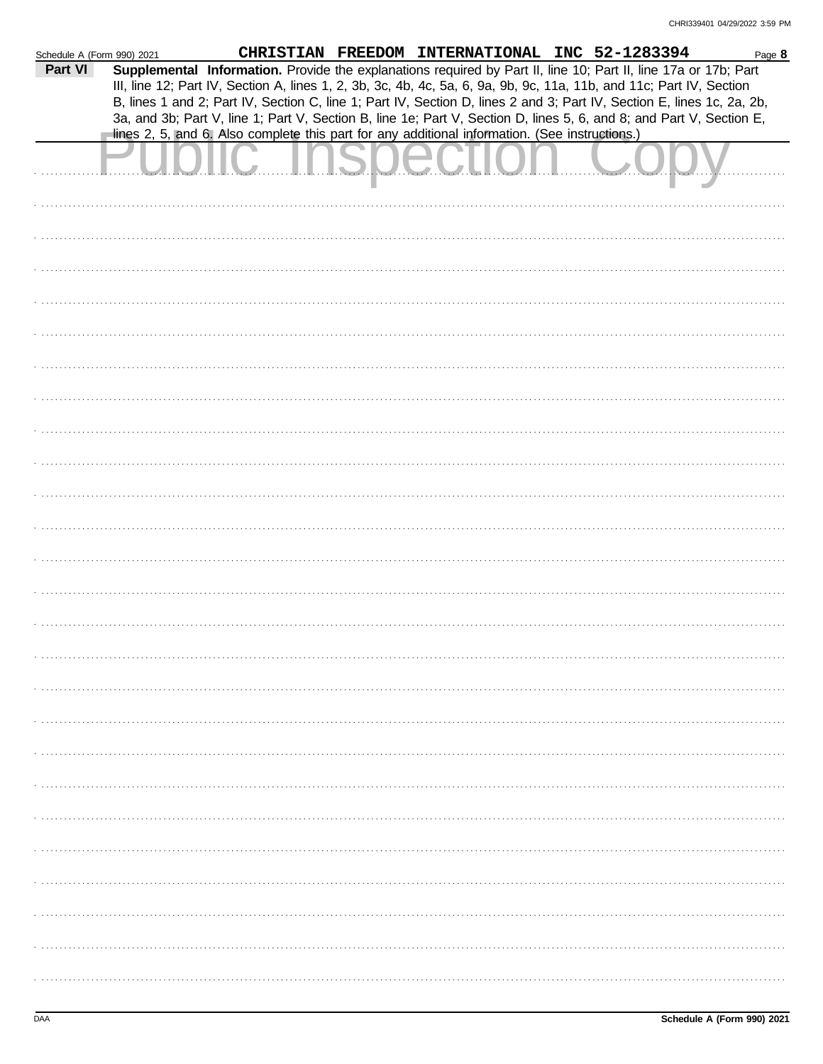| Schedule A (Form 990) 2021 |                                                                                                                                                                                                                                                                                                                                                                   | CHRISTIAN FREEDOM INTERNATIONAL INC 52-1283394 |  | Page 8 |
|----------------------------|-------------------------------------------------------------------------------------------------------------------------------------------------------------------------------------------------------------------------------------------------------------------------------------------------------------------------------------------------------------------|------------------------------------------------|--|--------|
| Part VI                    | Supplemental Information. Provide the explanations required by Part II, line 10; Part II, line 17a or 17b; Part<br>III, line 12; Part IV, Section A, lines 1, 2, 3b, 3c, 4b, 4c, 5a, 6, 9a, 9b, 9c, 11a, 11b, and 11c; Part IV, Section<br>B, lines 1 and 2; Part IV, Section C, line 1; Part IV, Section D, lines 2 and 3; Part IV, Section E, lines 1c, 2a, 2b, |                                                |  |        |
|                            | 3a, and 3b; Part V, line 1; Part V, Section B, line 1e; Part V, Section D, lines 5, 6, and 8; and Part V, Section E,                                                                                                                                                                                                                                              |                                                |  |        |
|                            | lines 2, 5, and 6. Also complete this part for any additional information. (See instructions.)                                                                                                                                                                                                                                                                    |                                                |  |        |
|                            |                                                                                                                                                                                                                                                                                                                                                                   |                                                |  |        |
|                            |                                                                                                                                                                                                                                                                                                                                                                   |                                                |  |        |
|                            |                                                                                                                                                                                                                                                                                                                                                                   |                                                |  |        |
|                            |                                                                                                                                                                                                                                                                                                                                                                   |                                                |  |        |
|                            |                                                                                                                                                                                                                                                                                                                                                                   |                                                |  |        |
|                            |                                                                                                                                                                                                                                                                                                                                                                   |                                                |  |        |
|                            |                                                                                                                                                                                                                                                                                                                                                                   |                                                |  |        |
|                            |                                                                                                                                                                                                                                                                                                                                                                   |                                                |  |        |
|                            |                                                                                                                                                                                                                                                                                                                                                                   |                                                |  |        |
|                            |                                                                                                                                                                                                                                                                                                                                                                   |                                                |  |        |
|                            |                                                                                                                                                                                                                                                                                                                                                                   |                                                |  |        |
|                            |                                                                                                                                                                                                                                                                                                                                                                   |                                                |  |        |
|                            |                                                                                                                                                                                                                                                                                                                                                                   |                                                |  |        |
|                            |                                                                                                                                                                                                                                                                                                                                                                   |                                                |  |        |
|                            |                                                                                                                                                                                                                                                                                                                                                                   |                                                |  |        |
|                            |                                                                                                                                                                                                                                                                                                                                                                   |                                                |  |        |
|                            |                                                                                                                                                                                                                                                                                                                                                                   |                                                |  |        |
|                            |                                                                                                                                                                                                                                                                                                                                                                   |                                                |  |        |
|                            |                                                                                                                                                                                                                                                                                                                                                                   |                                                |  |        |
|                            |                                                                                                                                                                                                                                                                                                                                                                   |                                                |  |        |
|                            |                                                                                                                                                                                                                                                                                                                                                                   |                                                |  |        |
|                            |                                                                                                                                                                                                                                                                                                                                                                   |                                                |  |        |
|                            |                                                                                                                                                                                                                                                                                                                                                                   |                                                |  |        |
|                            |                                                                                                                                                                                                                                                                                                                                                                   |                                                |  |        |
|                            |                                                                                                                                                                                                                                                                                                                                                                   |                                                |  |        |
|                            |                                                                                                                                                                                                                                                                                                                                                                   |                                                |  |        |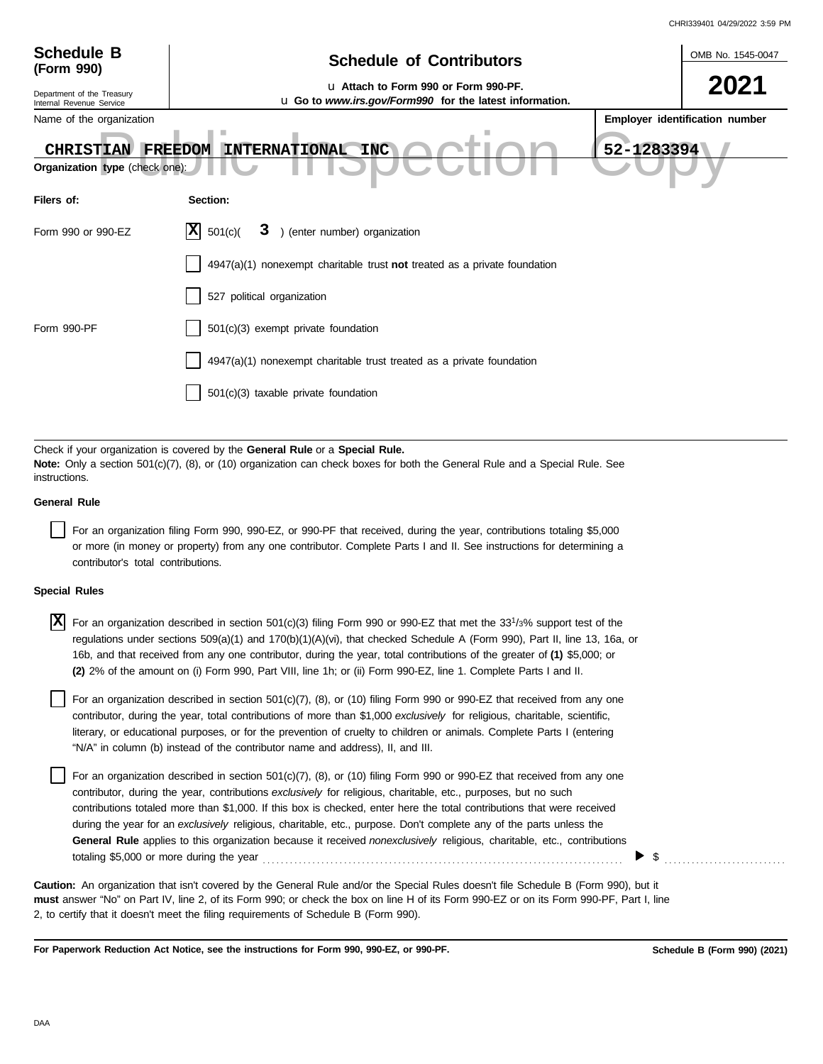|                                                                         |                                                                                                                                                                                                                                                                                                                                                                                                                                                                                                             | CHRI339401 04/29/2022 3:59 PM  |
|-------------------------------------------------------------------------|-------------------------------------------------------------------------------------------------------------------------------------------------------------------------------------------------------------------------------------------------------------------------------------------------------------------------------------------------------------------------------------------------------------------------------------------------------------------------------------------------------------|--------------------------------|
| <b>Schedule B</b><br>(Form 990)                                         | <b>Schedule of Contributors</b>                                                                                                                                                                                                                                                                                                                                                                                                                                                                             | OMB No. 1545-0047              |
| Department of the Treasury<br>Internal Revenue Service                  | u Attach to Form 990 or Form 990-PF.<br>u Go to www.irs.gov/Form990 for the latest information.                                                                                                                                                                                                                                                                                                                                                                                                             |                                |
| Name of the organization<br>CHRISTIAN<br>Organization type (check one): | ٠<br>52-1283394<br><b>INTERNATIONAL</b><br>FREEDOM<br><b>INC</b>                                                                                                                                                                                                                                                                                                                                                                                                                                            | Employer identification number |
| Filers of:                                                              | Section:                                                                                                                                                                                                                                                                                                                                                                                                                                                                                                    |                                |
| Form 990 or 990-EZ                                                      | ΙXΙ<br>3 ) (enter number) organization<br>501(c)                                                                                                                                                                                                                                                                                                                                                                                                                                                            |                                |
|                                                                         | $4947(a)(1)$ nonexempt charitable trust not treated as a private foundation                                                                                                                                                                                                                                                                                                                                                                                                                                 |                                |
|                                                                         | 527 political organization                                                                                                                                                                                                                                                                                                                                                                                                                                                                                  |                                |
| Form 990-PF                                                             | 501(c)(3) exempt private foundation                                                                                                                                                                                                                                                                                                                                                                                                                                                                         |                                |
|                                                                         | 4947(a)(1) nonexempt charitable trust treated as a private foundation                                                                                                                                                                                                                                                                                                                                                                                                                                       |                                |
|                                                                         | 501(c)(3) taxable private foundation                                                                                                                                                                                                                                                                                                                                                                                                                                                                        |                                |
|                                                                         |                                                                                                                                                                                                                                                                                                                                                                                                                                                                                                             |                                |
| instructions.                                                           | Check if your organization is covered by the General Rule or a Special Rule.<br>Note: Only a section 501(c)(7), (8), or (10) organization can check boxes for both the General Rule and a Special Rule. See                                                                                                                                                                                                                                                                                                 |                                |
| <b>General Rule</b>                                                     |                                                                                                                                                                                                                                                                                                                                                                                                                                                                                                             |                                |
| contributor's total contributions.                                      | For an organization filing Form 990, 990-EZ, or 990-PF that received, during the year, contributions totaling \$5,000<br>or more (in money or property) from any one contributor. Complete Parts I and II. See instructions for determining a                                                                                                                                                                                                                                                               |                                |
| <b>Special Rules</b>                                                    |                                                                                                                                                                                                                                                                                                                                                                                                                                                                                                             |                                |
| X                                                                       | For an organization described in section 501(c)(3) filing Form 990 or 990-EZ that met the 33 <sup>1</sup> /3% support test of the<br>regulations under sections 509(a)(1) and 170(b)(1)(A)(vi), that checked Schedule A (Form 990), Part II, line 13, 16a, or<br>16b, and that received from any one contributor, during the year, total contributions of the greater of (1) \$5,000; or<br>(2) 2% of the amount on (i) Form 990, Part VIII, line 1h; or (ii) Form 990-EZ, line 1. Complete Parts I and II. |                                |
|                                                                         | For an organization described in section 501(c)(7), (8), or (10) filing Form 990 or 990-EZ that received from any one<br>contributor, during the year, total contributions of more than \$1,000 exclusively for religious, charitable, scientific,<br>literary, or educational purposes, or for the prevention of cruelty to children or animals. Complete Parts I (entering<br>"N/A" in column (b) instead of the contributor name and address), II, and III.                                              |                                |

For an organization described in section 501(c)(7), (8), or (10) filing Form 990 or 990-EZ that received from any one contributor, during the year, contributions *exclusively* for religious, charitable, etc., purposes, but no such contributions totaled more than \$1,000. If this box is checked, enter here the total contributions that were received during the year for an *exclusively* religious, charitable, etc., purpose. Don't complete any of the parts unless the **General Rule** applies to this organization because it received *nonexclusively* religious, charitable, etc., contributions totaling \$5,000 or more during the year . . . . . . . . . . . . . . . . . . . . . . . . . . . . . . . . . . . . . . . . . . . . . . . . . . . . . . . . . . . . . . . . . . . . . . . . . . . . . . . .

**must** answer "No" on Part IV, line 2, of its Form 990; or check the box on line H of its Form 990-EZ or on its Form 990-PF, Part I, line 2, to certify that it doesn't meet the filing requirements of Schedule B (Form 990). **Caution:** An organization that isn't covered by the General Rule and/or the Special Rules doesn't file Schedule B (Form 990), but it

**For Paperwork Reduction Act Notice, see the instructions for Form 990, 990-EZ, or 990-PF.**

 $\triangleright$  \$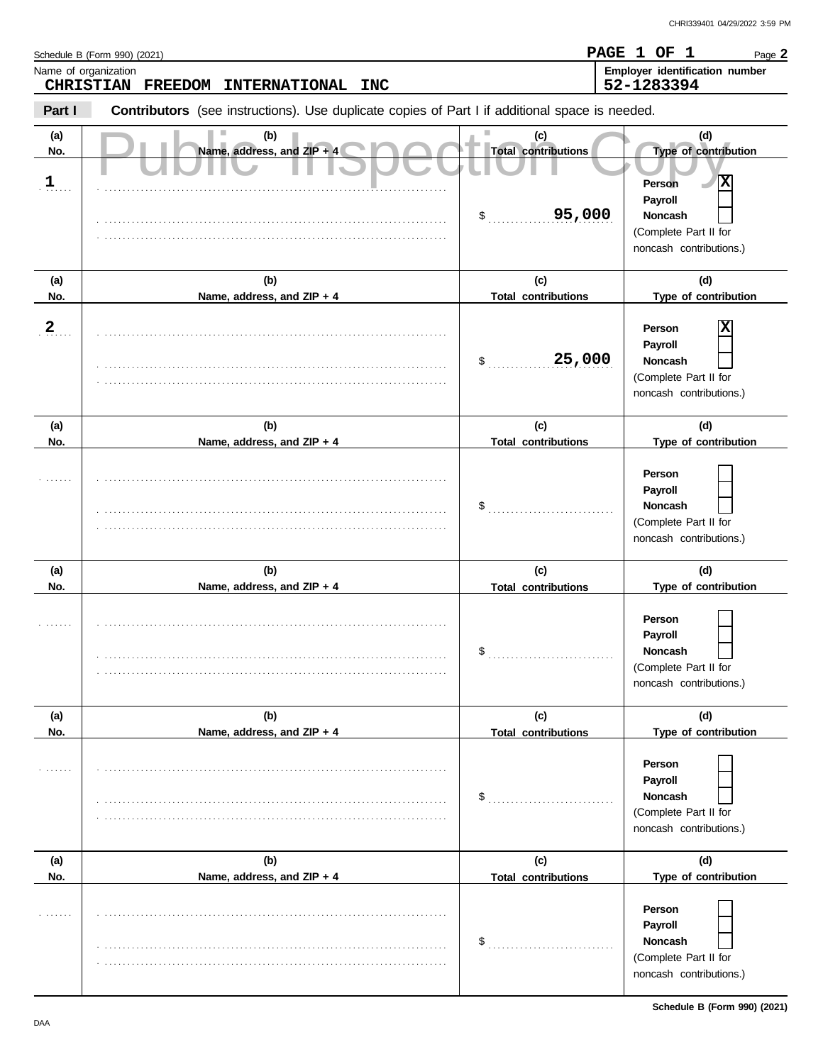| Name of organization       | Schedule B (Form 990) (2021)                                                                   |                                                   | PAGE 1 OF 1<br>Page 2<br>Employer identification number                                                                      |
|----------------------------|------------------------------------------------------------------------------------------------|---------------------------------------------------|------------------------------------------------------------------------------------------------------------------------------|
|                            | <b>CHRISTIAN</b><br>FREEDOM<br><b>INTERNATIONAL</b><br><b>INC</b>                              |                                                   | 52-1283394                                                                                                                   |
| Part I                     | Contributors (see instructions). Use duplicate copies of Part I if additional space is needed. |                                                   |                                                                                                                              |
| (a)<br>No.<br>$\mathbf{1}$ | (b)<br>Name, address, and ZIP + 4                                                              | (c)<br><b>Total contributions</b><br>95,000<br>\$ | (d)<br>Type of contribution<br>Ιx<br>Person<br>Payroll<br><b>Noncash</b><br>(Complete Part II for<br>noncash contributions.) |
| (a)<br>No.                 | (b)<br>Name, address, and ZIP + 4                                                              | (c)<br><b>Total contributions</b>                 | (d)<br>Type of contribution                                                                                                  |
| $\overline{2}$             |                                                                                                | 25,000<br>\$                                      | х<br>Person<br>Payroll<br>Noncash<br>(Complete Part II for<br>noncash contributions.)                                        |
| (a)<br>No.                 | (b)<br>Name, address, and ZIP + 4                                                              | (c)<br><b>Total contributions</b>                 | (d)<br>Type of contribution                                                                                                  |
|                            |                                                                                                | \$                                                | Person<br>Payroll<br>Noncash<br>(Complete Part II for<br>noncash contributions.)                                             |
| (a)                        | (b)                                                                                            | (c)                                               | (d)<br>Type of contribution                                                                                                  |
| No.                        | Name, address, and ZIP + 4                                                                     | <b>Total contributions</b><br>\$                  | Person<br>Payroll<br><b>Noncash</b><br>(Complete Part II for<br>noncash contributions.)                                      |
| (a)<br>No.                 | (b)<br>Name, address, and ZIP + 4                                                              | (c)<br><b>Total contributions</b>                 | (d)<br>Type of contribution                                                                                                  |
| 1.1.1.1                    |                                                                                                | \$                                                | Person<br>Payroll<br><b>Noncash</b><br>(Complete Part II for<br>noncash contributions.)                                      |
| (a)                        | (b)                                                                                            | (c)                                               | (d)                                                                                                                          |
| No.                        | Name, address, and ZIP + 4                                                                     | <b>Total contributions</b><br>\$                  | Type of contribution<br>Person<br>Payroll<br><b>Noncash</b><br>(Complete Part II for<br>noncash contributions.)              |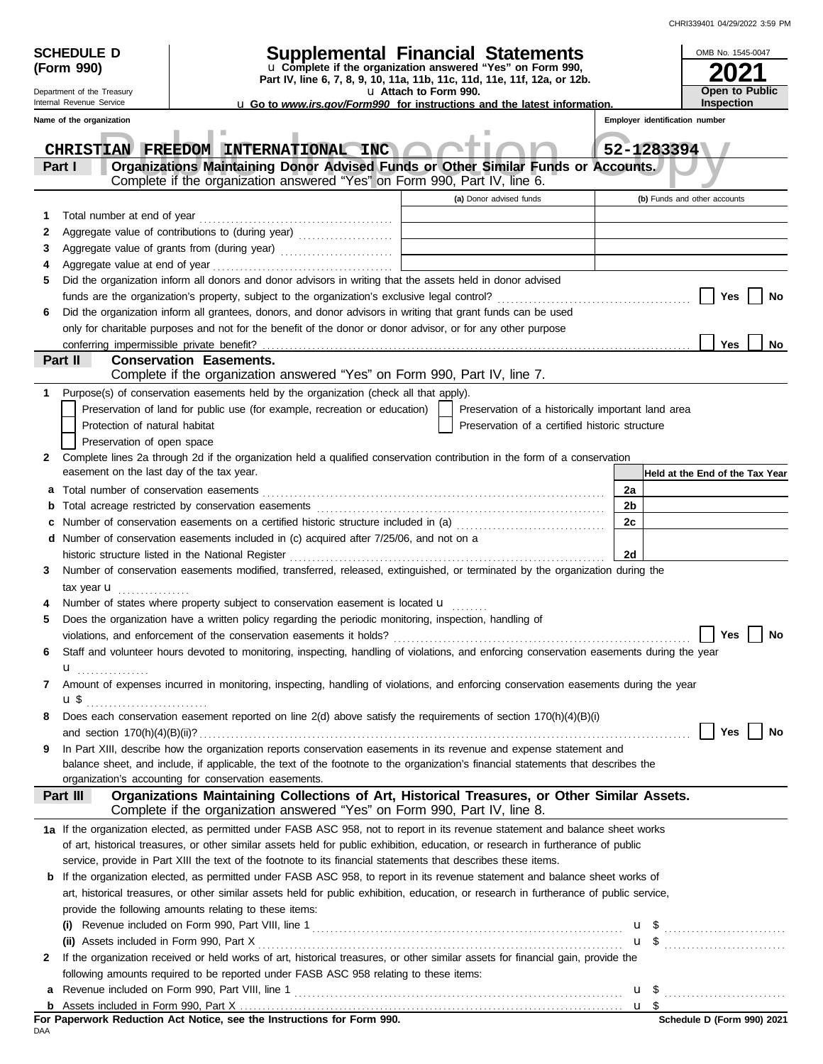|              | <b>SCHEDULE D</b>                                  |                                |                                                                                                                                                                                                                                                                      | Supplemental Financial Statements                          |                         |                                                    |    |                                | OMB No. 1545-0047               |
|--------------|----------------------------------------------------|--------------------------------|----------------------------------------------------------------------------------------------------------------------------------------------------------------------------------------------------------------------------------------------------------------------|------------------------------------------------------------|-------------------------|----------------------------------------------------|----|--------------------------------|---------------------------------|
|              | (Form 990)                                         |                                | Part IV, line 6, 7, 8, 9, 10, 11a, 11b, 11c, 11d, 11e, 11f, 12a, or 12b.                                                                                                                                                                                             | u Complete if the organization answered "Yes" on Form 990, |                         |                                                    |    |                                |                                 |
|              | Department of the Treasury                         |                                |                                                                                                                                                                                                                                                                      | u Attach to Form 990.                                      |                         |                                                    |    |                                | Open to Public                  |
|              | Internal Revenue Service                           |                                | <b>u</b> Go to www.irs.gov/Form990 for instructions and the latest information.                                                                                                                                                                                      |                                                            |                         |                                                    |    |                                | <b>Inspection</b>               |
|              | Name of the organization                           |                                |                                                                                                                                                                                                                                                                      |                                                            |                         |                                                    |    | Employer identification number |                                 |
|              |                                                    |                                | CHRISTIAN FREEDOM INTERNATIONAL INC                                                                                                                                                                                                                                  |                                                            |                         |                                                    |    | 52-1283394                     |                                 |
|              | Part I                                             |                                | Organizations Maintaining Donor Advised Funds or Other Similar Funds or Accounts.                                                                                                                                                                                    |                                                            |                         |                                                    |    |                                |                                 |
|              |                                                    |                                | Complete if the organization answered "Yes" on Form 990, Part IV, line 6.                                                                                                                                                                                            |                                                            |                         |                                                    |    |                                |                                 |
|              |                                                    |                                |                                                                                                                                                                                                                                                                      |                                                            | (a) Donor advised funds |                                                    |    | (b) Funds and other accounts   |                                 |
| 1            |                                                    |                                |                                                                                                                                                                                                                                                                      |                                                            |                         |                                                    |    |                                |                                 |
| 2            |                                                    |                                |                                                                                                                                                                                                                                                                      |                                                            |                         |                                                    |    |                                |                                 |
| 3<br>4       |                                                    |                                |                                                                                                                                                                                                                                                                      |                                                            |                         |                                                    |    |                                |                                 |
| 5            |                                                    |                                | Did the organization inform all donors and donor advisors in writing that the assets held in donor advised                                                                                                                                                           |                                                            |                         |                                                    |    |                                |                                 |
|              |                                                    |                                |                                                                                                                                                                                                                                                                      |                                                            |                         |                                                    |    |                                | Yes<br>No                       |
| 6            |                                                    |                                | Did the organization inform all grantees, donors, and donor advisors in writing that grant funds can be used                                                                                                                                                         |                                                            |                         |                                                    |    |                                |                                 |
|              |                                                    |                                | only for charitable purposes and not for the benefit of the donor or donor advisor, or for any other purpose                                                                                                                                                         |                                                            |                         |                                                    |    |                                |                                 |
|              | conferring impermissible private benefit?          |                                |                                                                                                                                                                                                                                                                      |                                                            |                         |                                                    |    |                                | Yes<br>No                       |
|              | Part II                                            | <b>Conservation Easements.</b> | Complete if the organization answered "Yes" on Form 990, Part IV, line 7.                                                                                                                                                                                            |                                                            |                         |                                                    |    |                                |                                 |
| 1            |                                                    |                                | Purpose(s) of conservation easements held by the organization (check all that apply).                                                                                                                                                                                |                                                            |                         |                                                    |    |                                |                                 |
|              |                                                    |                                | Preservation of land for public use (for example, recreation or education)                                                                                                                                                                                           |                                                            |                         | Preservation of a historically important land area |    |                                |                                 |
|              | Protection of natural habitat                      |                                |                                                                                                                                                                                                                                                                      |                                                            |                         | Preservation of a certified historic structure     |    |                                |                                 |
|              | Preservation of open space                         |                                |                                                                                                                                                                                                                                                                      |                                                            |                         |                                                    |    |                                |                                 |
| 2            |                                                    |                                | Complete lines 2a through 2d if the organization held a qualified conservation contribution in the form of a conservation                                                                                                                                            |                                                            |                         |                                                    |    |                                |                                 |
|              | easement on the last day of the tax year.          |                                |                                                                                                                                                                                                                                                                      |                                                            |                         |                                                    |    |                                | Held at the End of the Tax Year |
| a            |                                                    |                                |                                                                                                                                                                                                                                                                      |                                                            |                         |                                                    | 2a |                                |                                 |
| b            |                                                    |                                |                                                                                                                                                                                                                                                                      |                                                            |                         |                                                    | 2b |                                |                                 |
| c            |                                                    |                                | Number of conservation easements on a certified historic structure included in (a) [[[[[ [ [ ]]]                                                                                                                                                                     |                                                            |                         |                                                    | 2c |                                |                                 |
|              | historic structure listed in the National Register |                                | d Number of conservation easements included in (c) acquired after 7/25/06, and not on a                                                                                                                                                                              |                                                            |                         |                                                    | 2d |                                |                                 |
| 3            |                                                    |                                | Number of conservation easements modified, transferred, released, extinguished, or terminated by the organization during the                                                                                                                                         |                                                            |                         |                                                    |    |                                |                                 |
|              | tax year $\mathbf u$                               |                                |                                                                                                                                                                                                                                                                      |                                                            |                         |                                                    |    |                                |                                 |
|              |                                                    |                                | Number of states where property subject to conservation easement is located u                                                                                                                                                                                        |                                                            |                         |                                                    |    |                                |                                 |
| 5            |                                                    |                                | Does the organization have a written policy regarding the periodic monitoring, inspection, handling of                                                                                                                                                               |                                                            |                         |                                                    |    |                                |                                 |
|              |                                                    |                                | violations, and enforcement of the conservation easements it holds?                                                                                                                                                                                                  |                                                            |                         |                                                    |    |                                | Yes<br>No                       |
| 6            |                                                    |                                | Staff and volunteer hours devoted to monitoring, inspecting, handling of violations, and enforcing conservation easements during the year                                                                                                                            |                                                            |                         |                                                    |    |                                |                                 |
|              | u<br>.                                             |                                |                                                                                                                                                                                                                                                                      |                                                            |                         |                                                    |    |                                |                                 |
| 7            |                                                    |                                | Amount of expenses incurred in monitoring, inspecting, handling of violations, and enforcing conservation easements during the year                                                                                                                                  |                                                            |                         |                                                    |    |                                |                                 |
|              |                                                    |                                | Does each conservation easement reported on line 2(d) above satisfy the requirements of section 170(h)(4)(B)(i)                                                                                                                                                      |                                                            |                         |                                                    |    |                                |                                 |
| 8            |                                                    |                                |                                                                                                                                                                                                                                                                      |                                                            |                         |                                                    |    |                                | Yes<br>No                       |
| 9            |                                                    |                                | In Part XIII, describe how the organization reports conservation easements in its revenue and expense statement and                                                                                                                                                  |                                                            |                         |                                                    |    |                                |                                 |
|              |                                                    |                                | balance sheet, and include, if applicable, the text of the footnote to the organization's financial statements that describes the                                                                                                                                    |                                                            |                         |                                                    |    |                                |                                 |
|              |                                                    |                                | organization's accounting for conservation easements.                                                                                                                                                                                                                |                                                            |                         |                                                    |    |                                |                                 |
|              | Part III                                           |                                | Organizations Maintaining Collections of Art, Historical Treasures, or Other Similar Assets.                                                                                                                                                                         |                                                            |                         |                                                    |    |                                |                                 |
|              |                                                    |                                | Complete if the organization answered "Yes" on Form 990, Part IV, line 8.                                                                                                                                                                                            |                                                            |                         |                                                    |    |                                |                                 |
|              |                                                    |                                | 1a If the organization elected, as permitted under FASB ASC 958, not to report in its revenue statement and balance sheet works<br>of art, historical treasures, or other similar assets held for public exhibition, education, or research in furtherance of public |                                                            |                         |                                                    |    |                                |                                 |
|              |                                                    |                                | service, provide in Part XIII the text of the footnote to its financial statements that describes these items.                                                                                                                                                       |                                                            |                         |                                                    |    |                                |                                 |
|              |                                                    |                                | <b>b</b> If the organization elected, as permitted under FASB ASC 958, to report in its revenue statement and balance sheet works of                                                                                                                                 |                                                            |                         |                                                    |    |                                |                                 |
|              |                                                    |                                | art, historical treasures, or other similar assets held for public exhibition, education, or research in furtherance of public service,                                                                                                                              |                                                            |                         |                                                    |    |                                |                                 |
|              |                                                    |                                | provide the following amounts relating to these items:                                                                                                                                                                                                               |                                                            |                         |                                                    |    |                                |                                 |
|              | (i)                                                |                                |                                                                                                                                                                                                                                                                      |                                                            |                         |                                                    |    |                                | $\mathbf{u}$ \$                 |
|              |                                                    |                                |                                                                                                                                                                                                                                                                      |                                                            |                         |                                                    |    |                                | $\mathbf{u}$ \$ $\ldots$        |
| $\mathbf{2}$ |                                                    |                                | If the organization received or held works of art, historical treasures, or other similar assets for financial gain, provide the                                                                                                                                     |                                                            |                         |                                                    |    |                                |                                 |
|              |                                                    |                                | following amounts required to be reported under FASB ASC 958 relating to these items:                                                                                                                                                                                |                                                            |                         |                                                    |    |                                |                                 |
| а            |                                                    |                                |                                                                                                                                                                                                                                                                      |                                                            |                         |                                                    |    |                                | $\mathbf{u}$ \$                 |
| b            |                                                    |                                | For Paperwork Reduction Act Notice, see the Instructions for Form 990.                                                                                                                                                                                               |                                                            |                         |                                                    |    |                                | Schedule D (Form 990) 2021      |
| DAA          |                                                    |                                |                                                                                                                                                                                                                                                                      |                                                            |                         |                                                    |    |                                |                                 |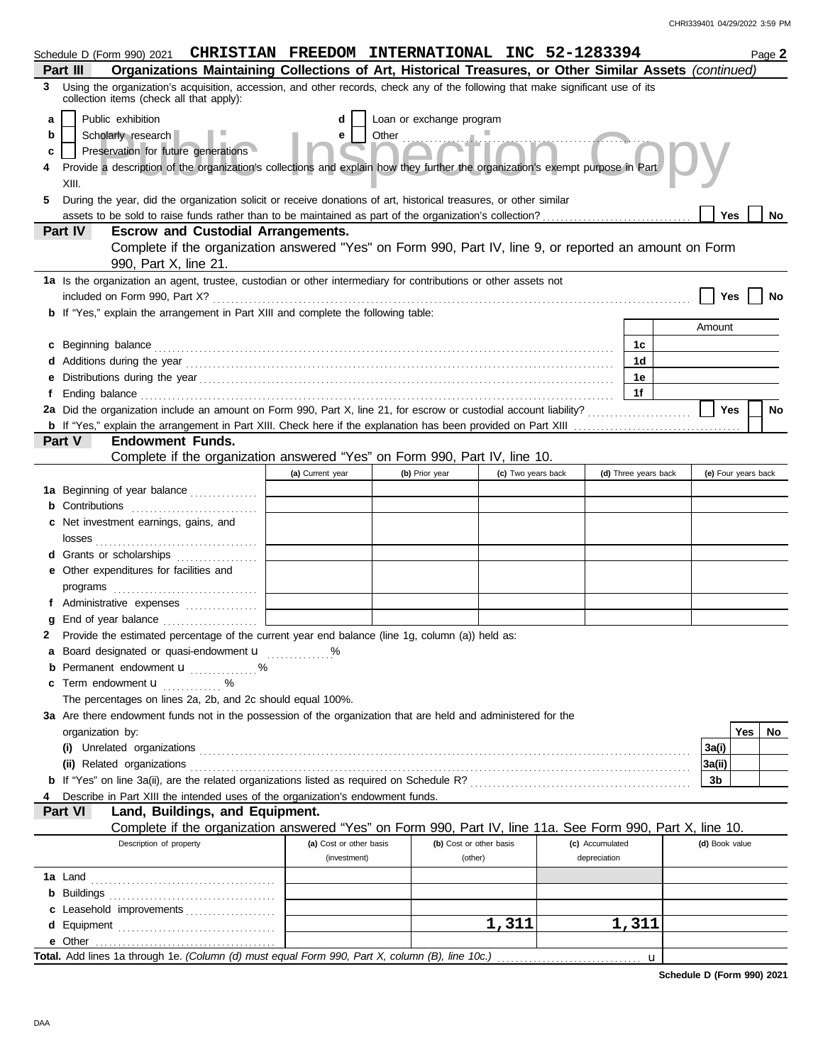|   | Schedule D (Form 990) 2021 CHRISTIAN FREEDOM INTERNATIONAL INC 52-1283394                                                                                                   |                         |                                                               |                         |                    |                 |                      |                     |     | Page 2 |
|---|-----------------------------------------------------------------------------------------------------------------------------------------------------------------------------|-------------------------|---------------------------------------------------------------|-------------------------|--------------------|-----------------|----------------------|---------------------|-----|--------|
|   | Organizations Maintaining Collections of Art, Historical Treasures, or Other Similar Assets (continued)<br>Part III                                                         |                         |                                                               |                         |                    |                 |                      |                     |     |        |
| 3 | Using the organization's acquisition, accession, and other records, check any of the following that make significant use of its<br>collection items (check all that apply): |                         |                                                               |                         |                    |                 |                      |                     |     |        |
| a | Public exhibition                                                                                                                                                           |                         | Loan or exchange program                                      |                         |                    |                 |                      |                     |     |        |
| b | Scholarly research                                                                                                                                                          | е                       |                                                               |                         |                    |                 |                      |                     |     |        |
|   | Preservation for future generations                                                                                                                                         |                         | Other $\frac{1}{2}$ $\frac{1}{2}$ $\frac{1}{2}$ $\frac{1}{2}$ |                         |                    |                 |                      |                     |     |        |
| c |                                                                                                                                                                             |                         |                                                               |                         |                    |                 |                      |                     |     |        |
|   | Provide a description of the organization's collections and explain how they further the organization's exempt purpose in Part<br>XIII.                                     |                         |                                                               |                         |                    |                 |                      |                     |     |        |
|   |                                                                                                                                                                             |                         |                                                               |                         |                    |                 |                      |                     |     |        |
| 5 | During the year, did the organization solicit or receive donations of art, historical treasures, or other similar                                                           |                         |                                                               |                         |                    |                 |                      |                     |     |        |
|   | assets to be sold to raise funds rather than to be maintained as part of the organization's collection?<br><b>Escrow and Custodial Arrangements.</b><br>Part IV             |                         |                                                               |                         |                    |                 |                      | Yes                 |     | No     |
|   | Complete if the organization answered "Yes" on Form 990, Part IV, line 9, or reported an amount on Form                                                                     |                         |                                                               |                         |                    |                 |                      |                     |     |        |
|   | 990, Part X, line 21.                                                                                                                                                       |                         |                                                               |                         |                    |                 |                      |                     |     |        |
|   |                                                                                                                                                                             |                         |                                                               |                         |                    |                 |                      |                     |     |        |
|   | 1a Is the organization an agent, trustee, custodian or other intermediary for contributions or other assets not                                                             |                         |                                                               |                         |                    |                 |                      |                     |     |        |
|   |                                                                                                                                                                             |                         |                                                               |                         |                    |                 |                      | Yes                 |     | No     |
|   | <b>b</b> If "Yes," explain the arrangement in Part XIII and complete the following table:                                                                                   |                         |                                                               |                         |                    |                 |                      | Amount              |     |        |
|   |                                                                                                                                                                             |                         |                                                               |                         |                    |                 |                      |                     |     |        |
|   | c Beginning balance                                                                                                                                                         |                         |                                                               |                         |                    |                 | 1c                   |                     |     |        |
|   |                                                                                                                                                                             |                         |                                                               |                         |                    |                 | 1d                   |                     |     |        |
|   |                                                                                                                                                                             |                         |                                                               |                         |                    |                 | 1e                   |                     |     |        |
|   |                                                                                                                                                                             |                         |                                                               |                         |                    |                 | 1f                   |                     |     |        |
|   | 2a Did the organization include an amount on Form 990, Part X, line 21, for escrow or custodial account liability?                                                          |                         |                                                               |                         |                    |                 |                      | Yes                 |     | No     |
|   |                                                                                                                                                                             |                         |                                                               |                         |                    |                 |                      |                     |     |        |
|   | Part V<br><b>Endowment Funds.</b>                                                                                                                                           |                         |                                                               |                         |                    |                 |                      |                     |     |        |
|   | Complete if the organization answered "Yes" on Form 990, Part IV, line 10.                                                                                                  |                         |                                                               |                         |                    |                 |                      |                     |     |        |
|   |                                                                                                                                                                             | (a) Current year        | (b) Prior year                                                |                         | (c) Two years back |                 | (d) Three years back | (e) Four years back |     |        |
|   | 1a Beginning of year balance                                                                                                                                                |                         |                                                               |                         |                    |                 |                      |                     |     |        |
|   | <b>b</b> Contributions <b>contributions</b>                                                                                                                                 |                         |                                                               |                         |                    |                 |                      |                     |     |        |
|   | c Net investment earnings, gains, and                                                                                                                                       |                         |                                                               |                         |                    |                 |                      |                     |     |        |
|   | losses                                                                                                                                                                      |                         |                                                               |                         |                    |                 |                      |                     |     |        |
|   | <b>d</b> Grants or scholarships<br>. <b>.</b> .                                                                                                                             |                         |                                                               |                         |                    |                 |                      |                     |     |        |
|   | e Other expenditures for facilities and                                                                                                                                     |                         |                                                               |                         |                    |                 |                      |                     |     |        |
|   |                                                                                                                                                                             |                         |                                                               |                         |                    |                 |                      |                     |     |        |
|   | f Administrative expenses                                                                                                                                                   |                         |                                                               |                         |                    |                 |                      |                     |     |        |
| a | End of year balance                                                                                                                                                         |                         |                                                               |                         |                    |                 |                      |                     |     |        |
|   | Provide the estimated percentage of the current year end balance (line 1g, column (a)) held as:                                                                             |                         |                                                               |                         |                    |                 |                      |                     |     |        |
|   | Board designated or quasi-endowment <b>u</b> %                                                                                                                              |                         |                                                               |                         |                    |                 |                      |                     |     |        |
|   | <b>b</b> Permanent endowment <b>u</b> %                                                                                                                                     |                         |                                                               |                         |                    |                 |                      |                     |     |        |
| C | Term endowment <b>u</b> %                                                                                                                                                   |                         |                                                               |                         |                    |                 |                      |                     |     |        |
|   | The percentages on lines 2a, 2b, and 2c should equal 100%.                                                                                                                  |                         |                                                               |                         |                    |                 |                      |                     |     |        |
|   | 3a Are there endowment funds not in the possession of the organization that are held and administered for the                                                               |                         |                                                               |                         |                    |                 |                      |                     |     |        |
|   | organization by:                                                                                                                                                            |                         |                                                               |                         |                    |                 |                      |                     | Yes | No     |
|   |                                                                                                                                                                             |                         |                                                               |                         |                    |                 |                      | 3a(i)               |     |        |
|   | (ii) Related organizations                                                                                                                                                  |                         |                                                               |                         |                    |                 |                      | 3a(ii)              |     |        |
|   |                                                                                                                                                                             |                         |                                                               |                         |                    |                 |                      | 3b                  |     |        |
|   | Describe in Part XIII the intended uses of the organization's endowment funds.                                                                                              |                         |                                                               |                         |                    |                 |                      |                     |     |        |
|   | Part VI<br>Land, Buildings, and Equipment.                                                                                                                                  |                         |                                                               |                         |                    |                 |                      |                     |     |        |
|   | Complete if the organization answered "Yes" on Form 990, Part IV, line 11a. See Form 990, Part X, line 10.                                                                  |                         |                                                               |                         |                    |                 |                      |                     |     |        |
|   | Description of property                                                                                                                                                     | (a) Cost or other basis |                                                               | (b) Cost or other basis |                    | (c) Accumulated |                      | (d) Book value      |     |        |
|   |                                                                                                                                                                             | (investment)            |                                                               | (other)                 |                    | depreciation    |                      |                     |     |        |
|   |                                                                                                                                                                             |                         |                                                               |                         |                    |                 |                      |                     |     |        |
|   |                                                                                                                                                                             |                         |                                                               |                         |                    |                 |                      |                     |     |        |
|   | c Leasehold improvements                                                                                                                                                    |                         |                                                               |                         |                    |                 |                      |                     |     |        |
|   |                                                                                                                                                                             |                         |                                                               | 1,311                   |                    |                 | 1,311                |                     |     |        |
|   |                                                                                                                                                                             |                         |                                                               |                         |                    |                 |                      |                     |     |        |
|   |                                                                                                                                                                             |                         |                                                               |                         |                    |                 |                      |                     |     |        |

**Schedule D (Form 990) 2021**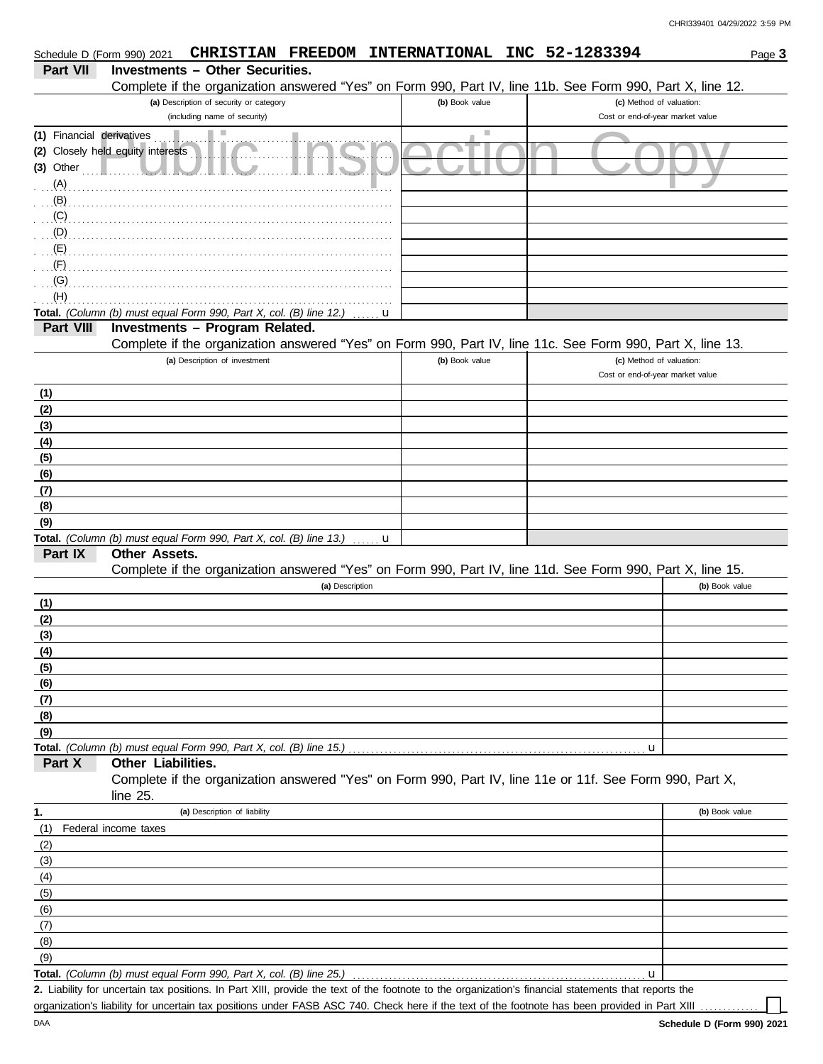| Schedule D (Form 990) 2021 |                                                                           |                                                                         | CHRISTIAN FREEDOM INTERNATIONAL INC 52-1283394                                                                                                     |                |  |                                                              | Page 3         |
|----------------------------|---------------------------------------------------------------------------|-------------------------------------------------------------------------|----------------------------------------------------------------------------------------------------------------------------------------------------|----------------|--|--------------------------------------------------------------|----------------|
| <b>Part VII</b>            | <b>Investments - Other Securities.</b>                                    |                                                                         |                                                                                                                                                    |                |  |                                                              |                |
|                            |                                                                           |                                                                         | Complete if the organization answered "Yes" on Form 990, Part IV, line 11b. See Form 990, Part X, line 12.                                         |                |  |                                                              |                |
|                            |                                                                           | (a) Description of security or category<br>(including name of security) |                                                                                                                                                    | (b) Book value |  | (c) Method of valuation:<br>Cost or end-of-year market value |                |
| (1) Financial derivatives  |                                                                           |                                                                         |                                                                                                                                                    |                |  |                                                              |                |
|                            | (2) Closely held equity interests                                         |                                                                         |                                                                                                                                                    |                |  |                                                              |                |
| $(3)$ Other                |                                                                           |                                                                         |                                                                                                                                                    |                |  |                                                              |                |
| (A)                        |                                                                           |                                                                         |                                                                                                                                                    |                |  |                                                              |                |
| (B)                        |                                                                           |                                                                         |                                                                                                                                                    |                |  |                                                              |                |
| (C)                        |                                                                           |                                                                         |                                                                                                                                                    |                |  |                                                              |                |
| (D)                        |                                                                           |                                                                         |                                                                                                                                                    |                |  |                                                              |                |
| (E)                        |                                                                           |                                                                         |                                                                                                                                                    |                |  |                                                              |                |
| (F)<br>(G)                 |                                                                           |                                                                         |                                                                                                                                                    |                |  |                                                              |                |
| (H)                        |                                                                           |                                                                         |                                                                                                                                                    |                |  |                                                              |                |
|                            | Total. (Column (b) must equal Form 990, Part X, col. (B) line 12.)        |                                                                         | u                                                                                                                                                  |                |  |                                                              |                |
| Part VIII                  | Investments - Program Related.                                            |                                                                         |                                                                                                                                                    |                |  |                                                              |                |
|                            |                                                                           |                                                                         | Complete if the organization answered "Yes" on Form 990, Part IV, line 11c. See Form 990, Part X, line 13.                                         |                |  |                                                              |                |
|                            |                                                                           | (a) Description of investment                                           |                                                                                                                                                    | (b) Book value |  | (c) Method of valuation:                                     |                |
|                            |                                                                           |                                                                         |                                                                                                                                                    |                |  | Cost or end-of-year market value                             |                |
| (1)                        |                                                                           |                                                                         |                                                                                                                                                    |                |  |                                                              |                |
| (2)                        |                                                                           |                                                                         |                                                                                                                                                    |                |  |                                                              |                |
| (3)<br>(4)                 |                                                                           |                                                                         |                                                                                                                                                    |                |  |                                                              |                |
| (5)                        |                                                                           |                                                                         |                                                                                                                                                    |                |  |                                                              |                |
| (6)                        |                                                                           |                                                                         |                                                                                                                                                    |                |  |                                                              |                |
| (7)                        |                                                                           |                                                                         |                                                                                                                                                    |                |  |                                                              |                |
| (8)                        |                                                                           |                                                                         |                                                                                                                                                    |                |  |                                                              |                |
| (9)                        |                                                                           |                                                                         |                                                                                                                                                    |                |  |                                                              |                |
|                            | Total. (Column (b) must equal Form 990, Part X, col. (B) line 13.)        |                                                                         | u                                                                                                                                                  |                |  |                                                              |                |
| Part IX                    | <b>Other Assets.</b>                                                      |                                                                         |                                                                                                                                                    |                |  |                                                              |                |
|                            |                                                                           |                                                                         | Complete if the organization answered "Yes" on Form 990, Part IV, line 11d. See Form 990, Part X, line 15.<br>(a) Description                      |                |  |                                                              | (b) Book value |
| (1)                        |                                                                           |                                                                         |                                                                                                                                                    |                |  |                                                              |                |
| (2)                        |                                                                           |                                                                         |                                                                                                                                                    |                |  |                                                              |                |
| (3)                        |                                                                           |                                                                         |                                                                                                                                                    |                |  |                                                              |                |
| (4)                        |                                                                           |                                                                         |                                                                                                                                                    |                |  |                                                              |                |
| (5)                        |                                                                           |                                                                         |                                                                                                                                                    |                |  |                                                              |                |
| (6)                        |                                                                           |                                                                         |                                                                                                                                                    |                |  |                                                              |                |
| (7)                        |                                                                           |                                                                         |                                                                                                                                                    |                |  |                                                              |                |
| (8)                        |                                                                           |                                                                         |                                                                                                                                                    |                |  |                                                              |                |
| (9)                        | <b>Total.</b> (Column (b) must equal Form 990, Part X, col. (B) line 15.) |                                                                         |                                                                                                                                                    |                |  | u                                                            |                |
| Part X                     | Other Liabilities.                                                        |                                                                         |                                                                                                                                                    |                |  |                                                              |                |
|                            |                                                                           |                                                                         | Complete if the organization answered "Yes" on Form 990, Part IV, line 11e or 11f. See Form 990, Part X,                                           |                |  |                                                              |                |
|                            | line 25.                                                                  |                                                                         |                                                                                                                                                    |                |  |                                                              |                |
| 1.                         |                                                                           | (a) Description of liability                                            |                                                                                                                                                    |                |  |                                                              | (b) Book value |
| (1)                        | Federal income taxes                                                      |                                                                         |                                                                                                                                                    |                |  |                                                              |                |
| (2)                        |                                                                           |                                                                         |                                                                                                                                                    |                |  |                                                              |                |
| (3)                        |                                                                           |                                                                         |                                                                                                                                                    |                |  |                                                              |                |
| (4)<br>(5)                 |                                                                           |                                                                         |                                                                                                                                                    |                |  |                                                              |                |
| (6)                        |                                                                           |                                                                         |                                                                                                                                                    |                |  |                                                              |                |
| (7)                        |                                                                           |                                                                         |                                                                                                                                                    |                |  |                                                              |                |
| (8)                        |                                                                           |                                                                         |                                                                                                                                                    |                |  |                                                              |                |
| (9)                        |                                                                           |                                                                         |                                                                                                                                                    |                |  |                                                              |                |
|                            | <b>Total.</b> (Column (b) must equal Form 990, Part X, col. (B) line 25.) |                                                                         |                                                                                                                                                    |                |  | u                                                            |                |
|                            |                                                                           |                                                                         | 2 Lighility for uncertain tay positions, In Part XIII provide the text of the footpote to the organization's financial statements that reports the |                |  |                                                              |                |

Liability for uncertain tax positions. In Part XIII, provide the text of the footnote to the organization's financial statements that reports the **2.** organization's liability for uncertain tax positions under FASB ASC 740. Check here if the text of the footnote has been provided in Part XIII

DAA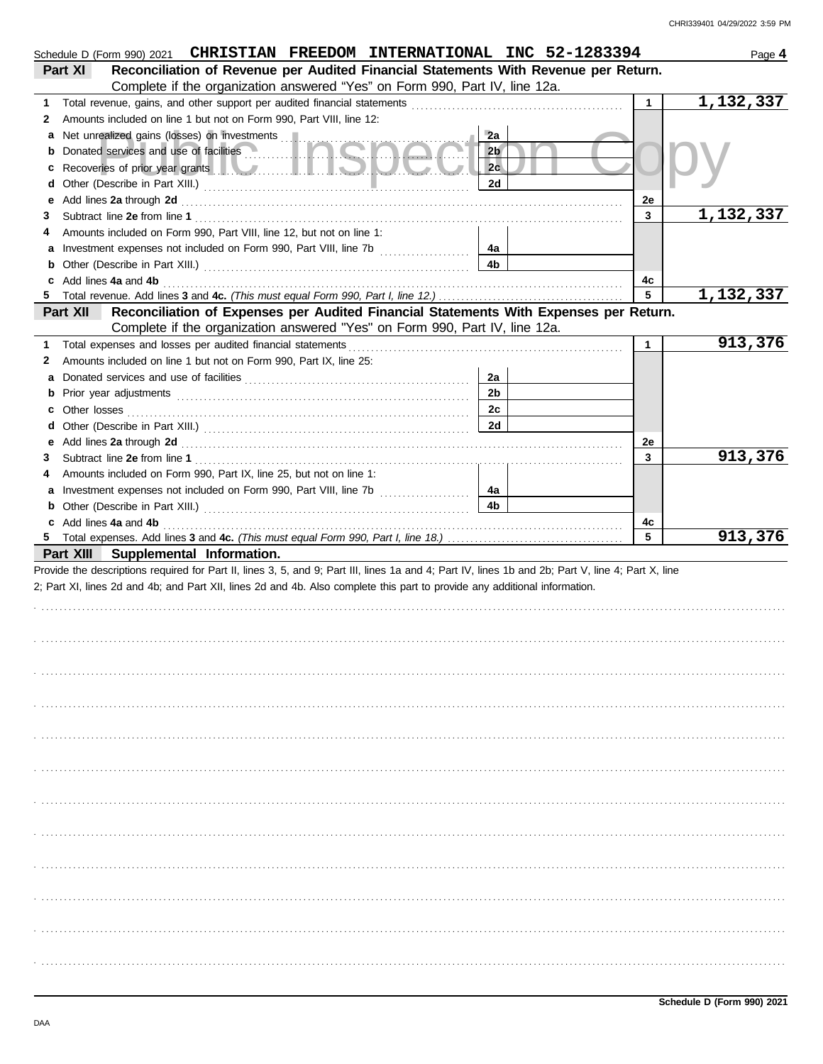|   | Schedule D (Form 990) 2021 CHRISTIAN FREEDOM INTERNATIONAL INC 52-1283394                                                                                                                                                                                                             |                |              | Page 4    |
|---|---------------------------------------------------------------------------------------------------------------------------------------------------------------------------------------------------------------------------------------------------------------------------------------|----------------|--------------|-----------|
|   | Reconciliation of Revenue per Audited Financial Statements With Revenue per Return.<br>Part XI                                                                                                                                                                                        |                |              |           |
|   | Complete if the organization answered "Yes" on Form 990, Part IV, line 12a.                                                                                                                                                                                                           |                |              |           |
| 1 |                                                                                                                                                                                                                                                                                       |                | $\mathbf{1}$ | 1,132,337 |
| 2 | Amounts included on line 1 but not on Form 990, Part VIII, line 12:                                                                                                                                                                                                                   |                |              |           |
| a | Net unrealized gains (losses) on investments                                                                                                                                                                                                                                          | 2a             |              |           |
|   | <b>b</b> Donated services and use of facilities                                                                                                                                                                                                                                       | 2 <sub>b</sub> |              |           |
| c |                                                                                                                                                                                                                                                                                       | 2c             |              |           |
|   |                                                                                                                                                                                                                                                                                       | 2d             |              |           |
| е |                                                                                                                                                                                                                                                                                       |                | 2e           |           |
| З |                                                                                                                                                                                                                                                                                       |                | 3            | 1,132,337 |
| 4 | Amounts included on Form 990, Part VIII, line 12, but not on line 1:                                                                                                                                                                                                                  |                |              |           |
|   |                                                                                                                                                                                                                                                                                       | 4a             |              |           |
|   |                                                                                                                                                                                                                                                                                       | 4b             |              |           |
|   | c Add lines 4a and 4b <b>contract and 4b</b> and 4b and 4b and 4b and 4b and 4b and 4b and 4b and 4b and 4b and 4b and 4b and 4b and 4b and 4b and 4b and 4b and 4b and 4b and 4b and 4b and 4b and 4b and 4b and 4b and 4b and 4b                                                    |                | 4с           |           |
|   |                                                                                                                                                                                                                                                                                       |                | 5            | 1,132,337 |
|   | Reconciliation of Expenses per Audited Financial Statements With Expenses per Return.<br>Part XII                                                                                                                                                                                     |                |              |           |
|   | Complete if the organization answered "Yes" on Form 990, Part IV, line 12a.                                                                                                                                                                                                           |                |              |           |
| 1 | Total expenses and losses per audited financial statements [11] contain the container and statements and the statements and statements and the statements and the statements and statements are statements and statements are                                                         |                | $\mathbf{1}$ | 913,376   |
| 2 | Amounts included on line 1 but not on Form 990, Part IX, line 25:                                                                                                                                                                                                                     |                |              |           |
| a |                                                                                                                                                                                                                                                                                       | 2a             |              |           |
|   |                                                                                                                                                                                                                                                                                       | 2 <sub>b</sub> |              |           |
|   |                                                                                                                                                                                                                                                                                       | 2c             |              |           |
|   |                                                                                                                                                                                                                                                                                       | 2d             |              |           |
|   |                                                                                                                                                                                                                                                                                       |                | 2e           |           |
| 3 |                                                                                                                                                                                                                                                                                       |                | 3            | 913,376   |
| 4 | Amounts included on Form 990, Part IX, line 25, but not on line 1:                                                                                                                                                                                                                    |                |              |           |
|   |                                                                                                                                                                                                                                                                                       | 4a             |              |           |
|   |                                                                                                                                                                                                                                                                                       | 4b             |              |           |
|   | c Add lines 4a and 4b (a) and $\frac{4}{5}$ and $\frac{4}{5}$ and $\frac{4}{5}$ and $\frac{4}{5}$ and $\frac{4}{5}$ and $\frac{4}{5}$ and $\frac{4}{5}$ and $\frac{4}{5}$ and $\frac{4}{5}$ and $\frac{4}{5}$ and $\frac{4}{5}$ and $\frac{4}{5}$ and $\frac{4}{5}$ and $\frac{4}{5}$ |                | 4c           |           |
|   |                                                                                                                                                                                                                                                                                       |                | 5            | 913,376   |
|   | Part XIII Supplemental Information.                                                                                                                                                                                                                                                   |                |              |           |
|   | Provide the descriptions required for Part II, lines 3, 5, and 9; Part III, lines 1a and 4; Part IV, lines 1b and 2b; Part V, line 4; Part X, line                                                                                                                                    |                |              |           |
|   | 2; Part XI, lines 2d and 4b; and Part XII, lines 2d and 4b. Also complete this part to provide any additional information.                                                                                                                                                            |                |              |           |
|   |                                                                                                                                                                                                                                                                                       |                |              |           |
|   |                                                                                                                                                                                                                                                                                       |                |              |           |
|   |                                                                                                                                                                                                                                                                                       |                |              |           |
|   |                                                                                                                                                                                                                                                                                       |                |              |           |
|   |                                                                                                                                                                                                                                                                                       |                |              |           |
|   |                                                                                                                                                                                                                                                                                       |                |              |           |
|   |                                                                                                                                                                                                                                                                                       |                |              |           |
|   |                                                                                                                                                                                                                                                                                       |                |              |           |
|   |                                                                                                                                                                                                                                                                                       |                |              |           |
|   |                                                                                                                                                                                                                                                                                       |                |              |           |
|   |                                                                                                                                                                                                                                                                                       |                |              |           |
|   |                                                                                                                                                                                                                                                                                       |                |              |           |
|   |                                                                                                                                                                                                                                                                                       |                |              |           |
|   |                                                                                                                                                                                                                                                                                       |                |              |           |
|   |                                                                                                                                                                                                                                                                                       |                |              |           |
|   |                                                                                                                                                                                                                                                                                       |                |              |           |
|   |                                                                                                                                                                                                                                                                                       |                |              |           |
|   |                                                                                                                                                                                                                                                                                       |                |              |           |
|   |                                                                                                                                                                                                                                                                                       |                |              |           |
|   |                                                                                                                                                                                                                                                                                       |                |              |           |
|   |                                                                                                                                                                                                                                                                                       |                |              |           |
|   |                                                                                                                                                                                                                                                                                       |                |              |           |
|   |                                                                                                                                                                                                                                                                                       |                |              |           |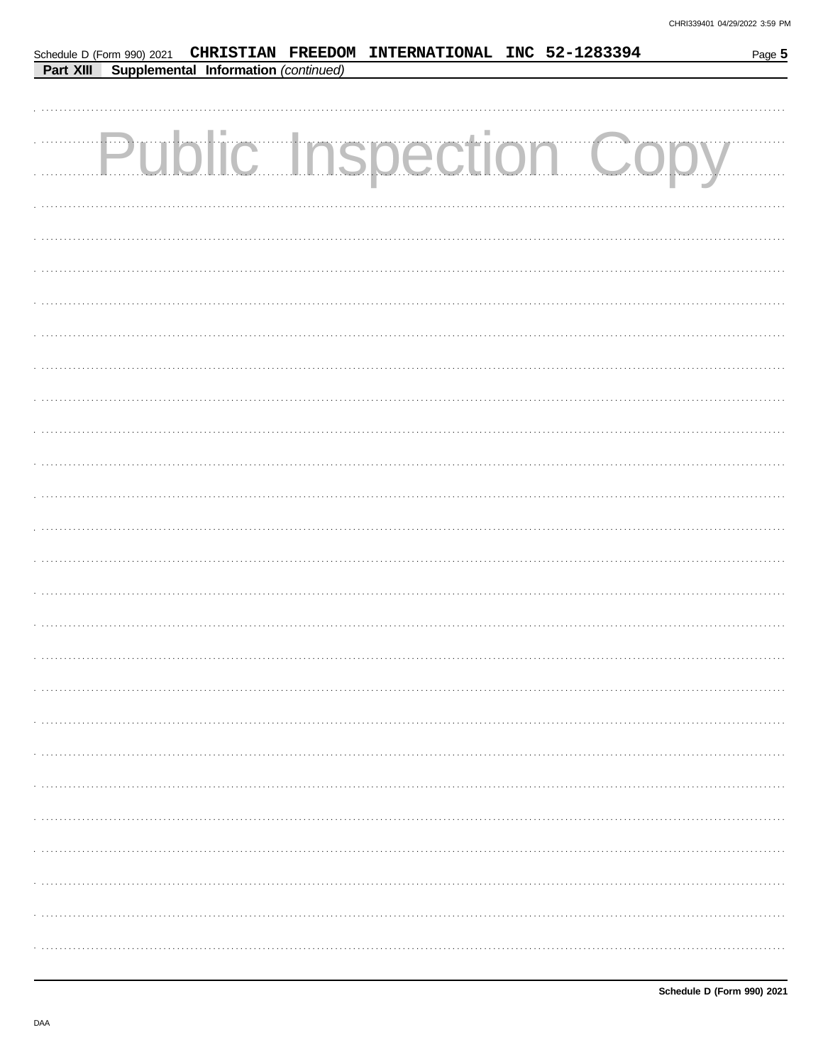|           |                                      | Schedule D (Form 990) 2021 CHRISTIAN FREEDOM INTERNATIONAL INC 52-1283394 |                               | Page 5 |
|-----------|--------------------------------------|---------------------------------------------------------------------------|-------------------------------|--------|
| Part XIII | Supplemental Information (continued) |                                                                           |                               |        |
|           |                                      |                                                                           |                               |        |
|           |                                      |                                                                           |                               |        |
|           |                                      |                                                                           | <b>Public Inspection Copy</b> |        |
|           |                                      |                                                                           |                               |        |
|           |                                      |                                                                           |                               |        |
|           |                                      |                                                                           |                               |        |
|           |                                      |                                                                           |                               |        |
|           |                                      |                                                                           |                               |        |
|           |                                      |                                                                           |                               |        |
|           |                                      |                                                                           |                               |        |
|           |                                      |                                                                           |                               |        |
|           |                                      |                                                                           |                               |        |
|           |                                      |                                                                           |                               |        |
|           |                                      |                                                                           |                               |        |
|           |                                      |                                                                           |                               |        |
|           |                                      |                                                                           |                               |        |
|           |                                      |                                                                           |                               |        |
|           |                                      |                                                                           |                               |        |
|           |                                      |                                                                           |                               |        |
|           |                                      |                                                                           |                               |        |
|           |                                      |                                                                           |                               |        |
|           |                                      |                                                                           |                               |        |
|           |                                      |                                                                           |                               |        |
|           |                                      |                                                                           |                               |        |
|           |                                      |                                                                           |                               |        |
|           |                                      |                                                                           |                               |        |
|           |                                      |                                                                           |                               |        |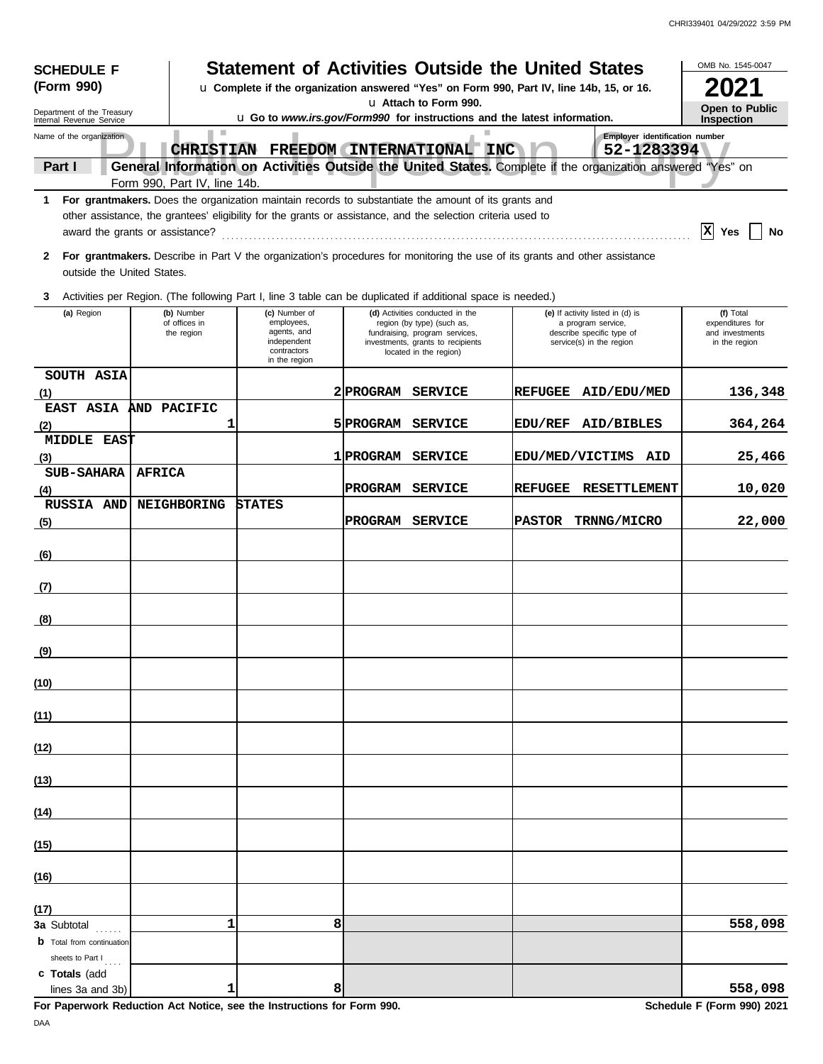| <b>Statement of Activities Outside the United States</b><br><b>SCHEDULE F</b><br>(Form 990)<br>u Complete if the organization answered "Yes" on Form 990, Part IV, line 14b, 15, or 16. |               |                                           |                                                                                                                                                                                                                      |   |                                                                                                                                                                |                |                                                                                                                 | OMB No. 1545-0047                                                 |
|-----------------------------------------------------------------------------------------------------------------------------------------------------------------------------------------|---------------|-------------------------------------------|----------------------------------------------------------------------------------------------------------------------------------------------------------------------------------------------------------------------|---|----------------------------------------------------------------------------------------------------------------------------------------------------------------|----------------|-----------------------------------------------------------------------------------------------------------------|-------------------------------------------------------------------|
|                                                                                                                                                                                         |               |                                           |                                                                                                                                                                                                                      |   | u Attach to Form 990.                                                                                                                                          |                |                                                                                                                 |                                                                   |
| Department of the Treasury<br>Internal Revenue Service                                                                                                                                  |               |                                           | u Go to www.irs.gov/Form990 for instructions and the latest information.                                                                                                                                             |   |                                                                                                                                                                |                |                                                                                                                 | Open to Public<br><b>Inspection</b>                               |
| Name of the organization                                                                                                                                                                |               | <b>In</b>                                 | CHRISTIAN FREEDOM INTERNATIONAL INC                                                                                                                                                                                  |   |                                                                                                                                                                |                | Employer identification number<br>52-1283394                                                                    |                                                                   |
| Part I                                                                                                                                                                                  |               | Form 990, Part IV, line 14b.              |                                                                                                                                                                                                                      |   |                                                                                                                                                                |                | General Information on Activities Outside the United States. Complete if the organization answered "Yes" on     |                                                                   |
| $\mathbf{1}$                                                                                                                                                                            |               |                                           | For grantmakers. Does the organization maintain records to substantiate the amount of its grants and<br>other assistance, the grantees' eligibility for the grants or assistance, and the selection criteria used to |   |                                                                                                                                                                |                |                                                                                                                 | $ \mathbf{x} $ Yes<br>No                                          |
| 2<br>outside the United States.                                                                                                                                                         |               |                                           | For grantmakers. Describe in Part V the organization's procedures for monitoring the use of its grants and other assistance                                                                                          |   |                                                                                                                                                                |                |                                                                                                                 |                                                                   |
| 3                                                                                                                                                                                       |               |                                           | Activities per Region. (The following Part I, line 3 table can be duplicated if additional space is needed.)                                                                                                         |   |                                                                                                                                                                |                |                                                                                                                 |                                                                   |
| (a) Region                                                                                                                                                                              |               | (b) Number<br>of offices in<br>the region | (c) Number of<br>employees,<br>agents, and<br>independent<br>contractors<br>in the region                                                                                                                            |   | (d) Activities conducted in the<br>region (by type) (such as,<br>fundraising, program services,<br>investments, grants to recipients<br>located in the region) |                | (e) If activity listed in (d) is<br>a program service,<br>describe specific type of<br>service(s) in the region | (f) Total<br>expenditures for<br>and investments<br>in the region |
| SOUTH ASIA<br>(1)                                                                                                                                                                       |               |                                           |                                                                                                                                                                                                                      |   | 2 PROGRAM SERVICE                                                                                                                                              | <b>REFUGEE</b> | <b>AID/EDU/MED</b>                                                                                              | 136,348                                                           |
| <b>EAST ASIA</b>                                                                                                                                                                        |               | AND PACIFIC                               |                                                                                                                                                                                                                      |   |                                                                                                                                                                |                |                                                                                                                 |                                                                   |
| (2)                                                                                                                                                                                     |               | 1                                         |                                                                                                                                                                                                                      |   | 5 PROGRAM SERVICE                                                                                                                                              |                | EDU/REF AID/BIBLES                                                                                              | 364,264                                                           |
| MIDDLE EAST<br>(3)                                                                                                                                                                      |               |                                           |                                                                                                                                                                                                                      |   | 1 PROGRAM SERVICE                                                                                                                                              |                | EDU/MED/VICTIMS AID                                                                                             | 25,466                                                            |
| <b>SUB-SAHARA</b><br>(4)                                                                                                                                                                | <b>AFRICA</b> |                                           |                                                                                                                                                                                                                      |   | PROGRAM SERVICE                                                                                                                                                | <b>REFUGEE</b> | <b>RESETTLEMENT</b>                                                                                             | 10,020                                                            |
| RUSSIA AND<br>(5)                                                                                                                                                                       |               | NEIGHBORING                               | <b>STATES</b>                                                                                                                                                                                                        |   | PROGRAM SERVICE                                                                                                                                                | <b>PASTOR</b>  | TRNNG/MICRO                                                                                                     | 22,000                                                            |
| (6)                                                                                                                                                                                     |               |                                           |                                                                                                                                                                                                                      |   |                                                                                                                                                                |                |                                                                                                                 |                                                                   |
| (7)                                                                                                                                                                                     |               |                                           |                                                                                                                                                                                                                      |   |                                                                                                                                                                |                |                                                                                                                 |                                                                   |
| (8)                                                                                                                                                                                     |               |                                           |                                                                                                                                                                                                                      |   |                                                                                                                                                                |                |                                                                                                                 |                                                                   |
| (9)                                                                                                                                                                                     |               |                                           |                                                                                                                                                                                                                      |   |                                                                                                                                                                |                |                                                                                                                 |                                                                   |
| (10)                                                                                                                                                                                    |               |                                           |                                                                                                                                                                                                                      |   |                                                                                                                                                                |                |                                                                                                                 |                                                                   |
| (11)                                                                                                                                                                                    |               |                                           |                                                                                                                                                                                                                      |   |                                                                                                                                                                |                |                                                                                                                 |                                                                   |
| (12)                                                                                                                                                                                    |               |                                           |                                                                                                                                                                                                                      |   |                                                                                                                                                                |                |                                                                                                                 |                                                                   |
| (13)                                                                                                                                                                                    |               |                                           |                                                                                                                                                                                                                      |   |                                                                                                                                                                |                |                                                                                                                 |                                                                   |
| (14)                                                                                                                                                                                    |               |                                           |                                                                                                                                                                                                                      |   |                                                                                                                                                                |                |                                                                                                                 |                                                                   |
| (15)                                                                                                                                                                                    |               |                                           |                                                                                                                                                                                                                      |   |                                                                                                                                                                |                |                                                                                                                 |                                                                   |
| (16)                                                                                                                                                                                    |               |                                           |                                                                                                                                                                                                                      |   |                                                                                                                                                                |                |                                                                                                                 |                                                                   |
| (17)                                                                                                                                                                                    |               |                                           |                                                                                                                                                                                                                      |   |                                                                                                                                                                |                |                                                                                                                 |                                                                   |
| <b>3a</b> Subtotal<br><b>b</b> Total from continuation                                                                                                                                  |               | 1                                         |                                                                                                                                                                                                                      | 8 |                                                                                                                                                                |                |                                                                                                                 | 558,098                                                           |
| sheets to Part I<br>c Totals (add                                                                                                                                                       |               |                                           |                                                                                                                                                                                                                      |   |                                                                                                                                                                |                |                                                                                                                 |                                                                   |
| lines 3a and 3b)                                                                                                                                                                        |               | 1                                         |                                                                                                                                                                                                                      | 8 |                                                                                                                                                                |                |                                                                                                                 | 558,098                                                           |

**For Paperwork Reduction Act Notice, see the Instructions for Form 990.** Schedule F (Form 990) 2021

DAA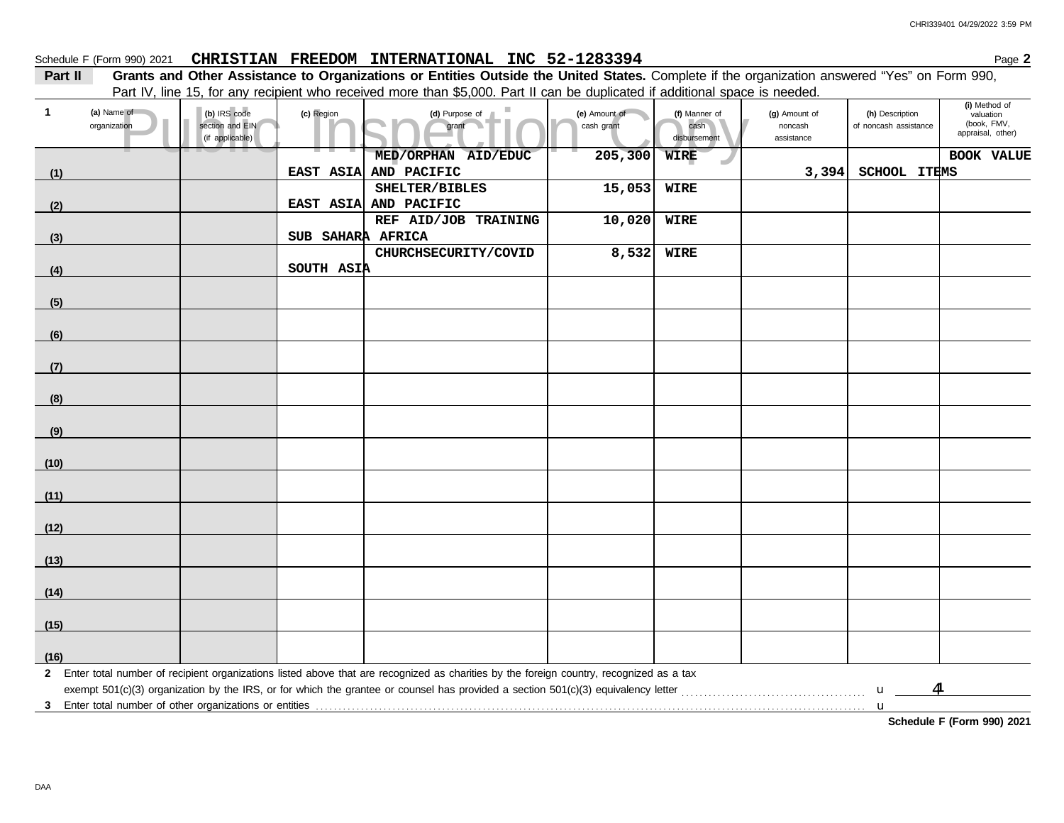## Schedule F (Form 990) 2021 CHRISTIAN FREEDOM INTERNATIONAL INC 52-1283394 Page 2

**Part II** Grants and Other Assistance to Organizations or Entities Outside the United States. Complete if the organization answered "Yes" on Form 990, Part IV, line 15, for any recipient who received more than \$5,000. Part II can be duplicated if additional space is needed.

| $\mathbf{1}$ | (a) Name of<br>organization | (b) IRS code<br>section and EIN<br>(if applicable) | (c) Region        | (d) Purpose of<br>grant                                                                                                                                                                                                        | (e) Amount of<br>cash grant | (f) Manner of<br>cash<br>disbursement | (g) Amount of<br>noncash<br>assistance | (h) Description<br>of noncash assistance | (i) Method of<br>valuation<br>(book, FMV,<br>appraisal, other) |
|--------------|-----------------------------|----------------------------------------------------|-------------------|--------------------------------------------------------------------------------------------------------------------------------------------------------------------------------------------------------------------------------|-----------------------------|---------------------------------------|----------------------------------------|------------------------------------------|----------------------------------------------------------------|
|              |                             |                                                    |                   | MED/ORPHAN AID/EDUC                                                                                                                                                                                                            | 205,300                     | <b>WIRE</b>                           |                                        |                                          | <b>BOOK VALUE</b>                                              |
| (1)          |                             |                                                    | EAST ASIA         | AND PACIFIC                                                                                                                                                                                                                    |                             |                                       | 3,394                                  | SCHOOL ITEMS                             |                                                                |
|              |                             |                                                    |                   | SHELTER/BIBLES                                                                                                                                                                                                                 | 15,053                      | <b>WIRE</b>                           |                                        |                                          |                                                                |
| (2)          |                             |                                                    |                   | EAST ASIA AND PACIFIC                                                                                                                                                                                                          |                             |                                       |                                        |                                          |                                                                |
|              |                             |                                                    |                   | REF AID/JOB TRAINING                                                                                                                                                                                                           | 10,020                      | <b>WIRE</b>                           |                                        |                                          |                                                                |
| (3)          |                             |                                                    | SUB SAHARA AFRICA |                                                                                                                                                                                                                                |                             |                                       |                                        |                                          |                                                                |
|              |                             |                                                    |                   | CHURCHSECURITY/COVID                                                                                                                                                                                                           | 8,532                       | <b>WIRE</b>                           |                                        |                                          |                                                                |
| (4)          |                             |                                                    | SOUTH ASIA        |                                                                                                                                                                                                                                |                             |                                       |                                        |                                          |                                                                |
| (5)          |                             |                                                    |                   |                                                                                                                                                                                                                                |                             |                                       |                                        |                                          |                                                                |
| (6)          |                             |                                                    |                   |                                                                                                                                                                                                                                |                             |                                       |                                        |                                          |                                                                |
| (7)          |                             |                                                    |                   |                                                                                                                                                                                                                                |                             |                                       |                                        |                                          |                                                                |
|              |                             |                                                    |                   |                                                                                                                                                                                                                                |                             |                                       |                                        |                                          |                                                                |
| (8)          |                             |                                                    |                   |                                                                                                                                                                                                                                |                             |                                       |                                        |                                          |                                                                |
| (9)          |                             |                                                    |                   |                                                                                                                                                                                                                                |                             |                                       |                                        |                                          |                                                                |
| (10)         |                             |                                                    |                   |                                                                                                                                                                                                                                |                             |                                       |                                        |                                          |                                                                |
| (11)         |                             |                                                    |                   |                                                                                                                                                                                                                                |                             |                                       |                                        |                                          |                                                                |
| (12)         |                             |                                                    |                   |                                                                                                                                                                                                                                |                             |                                       |                                        |                                          |                                                                |
| (13)         |                             |                                                    |                   |                                                                                                                                                                                                                                |                             |                                       |                                        |                                          |                                                                |
|              |                             |                                                    |                   |                                                                                                                                                                                                                                |                             |                                       |                                        |                                          |                                                                |
| (14)         |                             |                                                    |                   |                                                                                                                                                                                                                                |                             |                                       |                                        |                                          |                                                                |
| (15)         |                             |                                                    |                   |                                                                                                                                                                                                                                |                             |                                       |                                        |                                          |                                                                |
| (16)         |                             |                                                    |                   |                                                                                                                                                                                                                                |                             |                                       |                                        |                                          |                                                                |
|              |                             |                                                    |                   | 2 Enter total number of recipient organizations listed above that are recognized as charities by the foreign country, recognized as a tax                                                                                      |                             |                                       |                                        |                                          |                                                                |
|              |                             |                                                    |                   |                                                                                                                                                                                                                                |                             |                                       |                                        | $\overline{\mathbf{A}}$<br>$\mathbf{u}$  |                                                                |
|              |                             |                                                    |                   | 3 Enter total number of other organizations or entities with the substitution of the substitution of the state of other organizations or entities with the substitution of the substitution of the state of the state of the s |                             |                                       |                                        |                                          |                                                                |
|              |                             |                                                    |                   |                                                                                                                                                                                                                                |                             |                                       |                                        |                                          |                                                                |

**Schedule F (Form 990) 2021**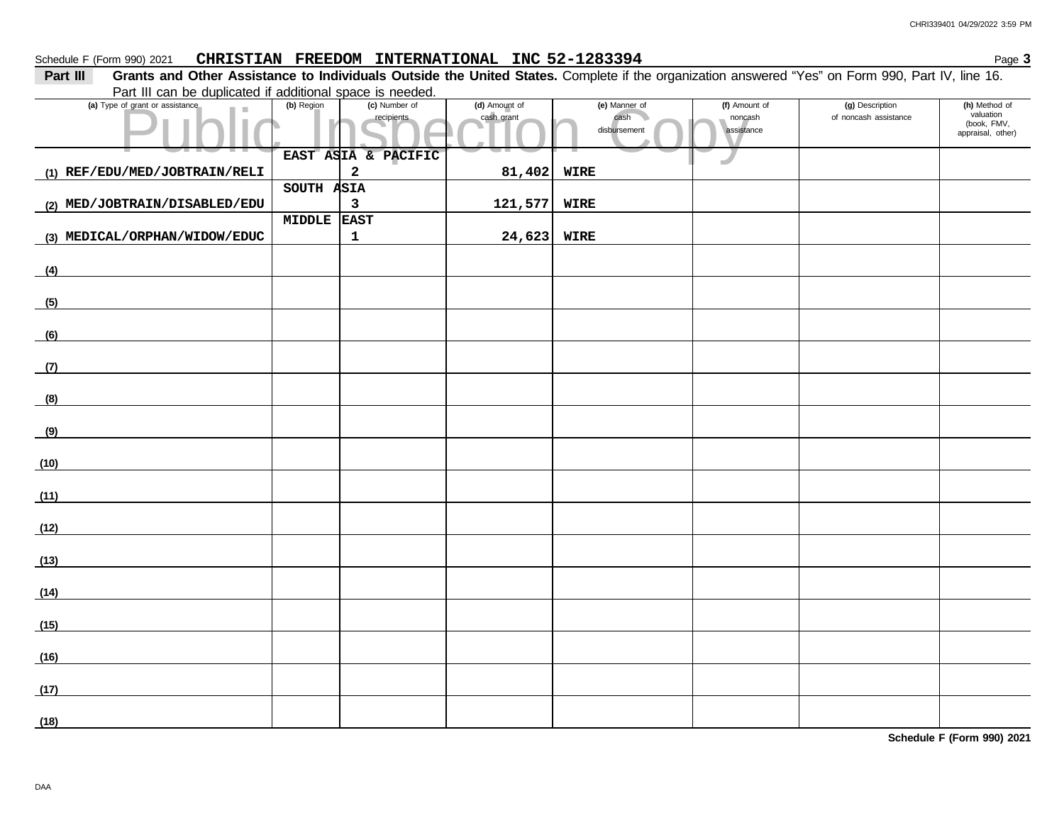### Schedule F (Form 990) 2021 CHRISTIAN FREEDOM INTERNATIONAL INC 52-1283394 Page 3

**Part III** Grants and Other Assistance to Individuals Outside the United States. Complete if the organization answered "Yes" on Form 990, Part IV, line 16. Part III can be duplicated if additional space is needed.

| (a) Type of grant or assistance                       | (b) Region | (c) Number of              | (d) Amount of | (e) Manner of        | (f) Amount of         | (g) Description       | (h) Method of<br>valuation       |
|-------------------------------------------------------|------------|----------------------------|---------------|----------------------|-----------------------|-----------------------|----------------------------------|
|                                                       |            | recipients                 | cash grant    | cash<br>disbursement | noncash<br>assistance | of noncash assistance | (book, FMV,<br>appraisal, other) |
|                                                       |            |                            |               |                      |                       |                       |                                  |
|                                                       |            | EAST ASIA & PACIFIC        |               |                      | w                     |                       |                                  |
| (1) REF/EDU/MED/JOBTRAIN/RELI                         |            | $\mathbf 2$                | 81,402        | WIRE                 |                       |                       |                                  |
|                                                       | SOUTH ASIA |                            |               |                      |                       |                       |                                  |
| (2) MED/JOBTRAIN/DISABLED/EDU                         | MIDDLE     | $\mathsf 3$<br><b>EAST</b> | 121,577       | WIRE                 |                       |                       |                                  |
| (3) MEDICAL/ORPHAN/WIDOW/EDUC                         |            | 1                          | 24,623        | WIRE                 |                       |                       |                                  |
|                                                       |            |                            |               |                      |                       |                       |                                  |
| (4)                                                   |            |                            |               |                      |                       |                       |                                  |
|                                                       |            |                            |               |                      |                       |                       |                                  |
| (5)                                                   |            |                            |               |                      |                       |                       |                                  |
|                                                       |            |                            |               |                      |                       |                       |                                  |
| (6)                                                   |            |                            |               |                      |                       |                       |                                  |
|                                                       |            |                            |               |                      |                       |                       |                                  |
| (7)                                                   |            |                            |               |                      |                       |                       |                                  |
| (8)                                                   |            |                            |               |                      |                       |                       |                                  |
|                                                       |            |                            |               |                      |                       |                       |                                  |
| (9)                                                   |            |                            |               |                      |                       |                       |                                  |
|                                                       |            |                            |               |                      |                       |                       |                                  |
| (10)                                                  |            |                            |               |                      |                       |                       |                                  |
|                                                       |            |                            |               |                      |                       |                       |                                  |
| (11)<br><u> 1990 - Jan James James III, primeiran</u> |            |                            |               |                      |                       |                       |                                  |
|                                                       |            |                            |               |                      |                       |                       |                                  |
| (12)                                                  |            |                            |               |                      |                       |                       |                                  |
| (13)                                                  |            |                            |               |                      |                       |                       |                                  |
|                                                       |            |                            |               |                      |                       |                       |                                  |
| (14)                                                  |            |                            |               |                      |                       |                       |                                  |
|                                                       |            |                            |               |                      |                       |                       |                                  |
| (15)                                                  |            |                            |               |                      |                       |                       |                                  |
|                                                       |            |                            |               |                      |                       |                       |                                  |
| (16)                                                  |            |                            |               |                      |                       |                       |                                  |
|                                                       |            |                            |               |                      |                       |                       |                                  |
| (17)                                                  |            |                            |               |                      |                       |                       |                                  |
| (18)                                                  |            |                            |               |                      |                       |                       |                                  |
|                                                       |            |                            |               |                      |                       |                       |                                  |

**Schedule F (Form 990) 2021**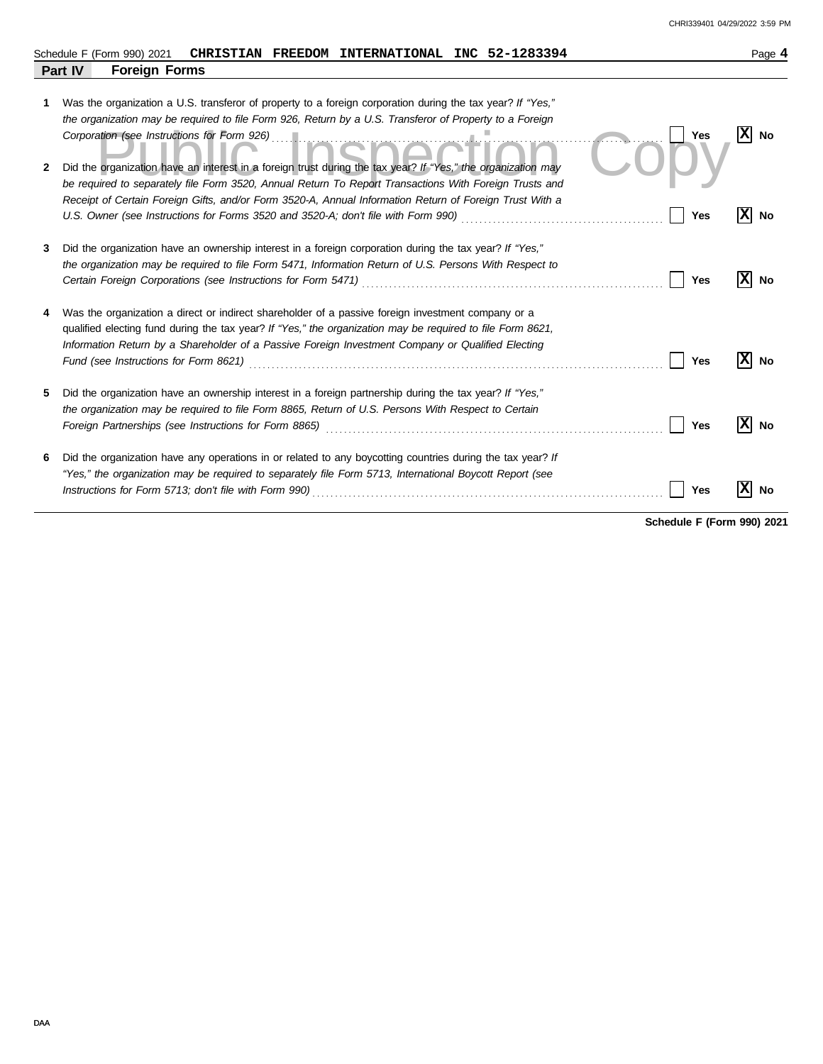|        | CHRISTIAN FREEDOM INTERNATIONAL INC 52-1283394<br>Schedule F (Form 990) 2021                                                                                                                                                                                                                                                                                                                                                                                                                          | Page 4          |
|--------|-------------------------------------------------------------------------------------------------------------------------------------------------------------------------------------------------------------------------------------------------------------------------------------------------------------------------------------------------------------------------------------------------------------------------------------------------------------------------------------------------------|-----------------|
|        | Part IV<br><b>Foreign Forms</b>                                                                                                                                                                                                                                                                                                                                                                                                                                                                       |                 |
| 1<br>2 | Was the organization a U.S. transferor of property to a foreign corporation during the tax year? If "Yes,"<br>the organization may be required to file Form 926, Return by a U.S. Transferor of Property to a Foreign<br>Corporation (see Instructions for Form 926)<br>Yes<br>Did the organization have an interest in a foreign trust during the tax year? If "Yes," the organization may<br>be required to separately file Form 3520, Annual Return To Report Transactions With Foreign Trusts and | x <br><b>No</b> |
|        | Receipt of Certain Foreign Gifts, and/or Form 3520-A, Annual Information Return of Foreign Trust With a<br>Yes                                                                                                                                                                                                                                                                                                                                                                                        | x <br>No        |
| 3      | Did the organization have an ownership interest in a foreign corporation during the tax year? If "Yes,"<br>the organization may be required to file Form 5471, Information Return of U.S. Persons With Respect to<br>Yes                                                                                                                                                                                                                                                                              | x<br>No         |
|        | Was the organization a direct or indirect shareholder of a passive foreign investment company or a<br>qualified electing fund during the tax year? If "Yes," the organization may be required to file Form 8621,<br>Information Return by a Shareholder of a Passive Foreign Investment Company or Qualified Electing<br>Fund (see Instructions for Form 8621)<br><b>Yes</b>                                                                                                                          | х<br>No         |
| 5      | Did the organization have an ownership interest in a foreign partnership during the tax year? If "Yes,"<br>the organization may be required to file Form 8865, Return of U.S. Persons With Respect to Certain<br>Yes<br>Foreign Partnerships (see Instructions for Form 8865)                                                                                                                                                                                                                         | x <br>No        |
| 6      | Did the organization have any operations in or related to any boycotting countries during the tax year? If<br>"Yes," the organization may be required to separately file Form 5713, International Boycott Report (see<br>Instructions for Form 5713; don't file with Form 990)<br>Yes                                                                                                                                                                                                                 | No              |

**Schedule F (Form 990) 2021**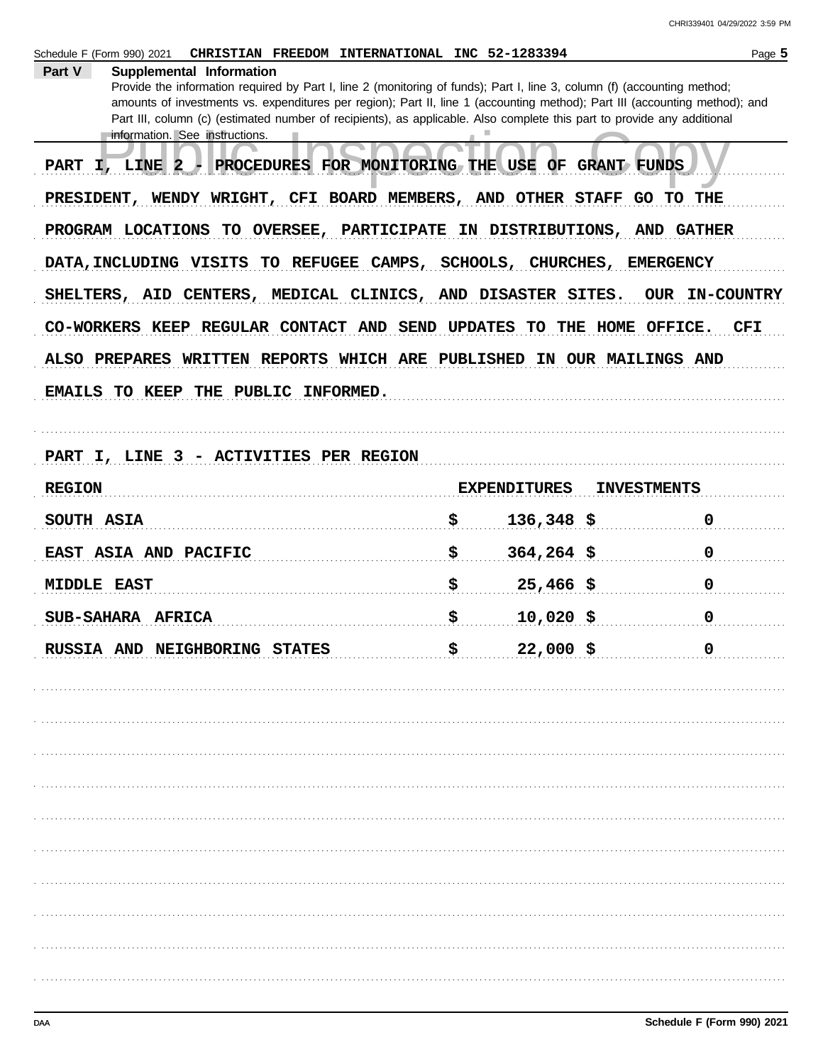CHRI339401 04/29/2022 3:59 PM

| CHRISTIAN FREEDOM INTERNATIONAL INC 52-1283394<br>Schedule F (Form 990) 2021                                                                                                                                                                            |    |                     |                    | Page 5                |
|---------------------------------------------------------------------------------------------------------------------------------------------------------------------------------------------------------------------------------------------------------|----|---------------------|--------------------|-----------------------|
| Supplemental Information<br>Part V                                                                                                                                                                                                                      |    |                     |                    |                       |
| Provide the information required by Part I, line 2 (monitoring of funds); Part I, line 3, column (f) (accounting method;<br>amounts of investments vs. expenditures per region); Part II, line 1 (accounting method); Part III (accounting method); and |    |                     |                    |                       |
| Part III, column (c) (estimated number of recipients), as applicable. Also complete this part to provide any additional                                                                                                                                 |    |                     |                    |                       |
| information. See instructions.                                                                                                                                                                                                                          |    |                     |                    |                       |
| PROCEDURES FOR MONITORING THE USE OF GRANT FUNDS<br>PART I, LINE 2                                                                                                                                                                                      |    |                     |                    |                       |
| PRESIDENT, WENDY WRIGHT, CFI BOARD MEMBERS, AND OTHER STAFF                                                                                                                                                                                             |    |                     |                    | GO TO THE             |
| PROGRAM LOCATIONS TO OVERSEE, PARTICIPATE IN DISTRIBUTIONS, AND GATHER                                                                                                                                                                                  |    |                     |                    |                       |
| DATA, INCLUDING VISITS TO REFUGEE CAMPS, SCHOOLS, CHURCHES, EMERGENCY                                                                                                                                                                                   |    |                     |                    |                       |
| SHELTERS, AID CENTERS, MEDICAL CLINICS, AND DISASTER SITES.                                                                                                                                                                                             |    |                     |                    | <b>OUR IN-COUNTRY</b> |
| CO-WORKERS KEEP REGULAR CONTACT AND SEND UPDATES TO THE HOME OFFICE.                                                                                                                                                                                    |    |                     |                    | <b>CFI</b>            |
| ALSO PREPARES WRITTEN REPORTS WHICH ARE PUBLISHED IN OUR MAILINGS AND                                                                                                                                                                                   |    |                     |                    |                       |
| EMAILS TO KEEP THE PUBLIC INFORMED.                                                                                                                                                                                                                     |    |                     |                    |                       |
|                                                                                                                                                                                                                                                         |    |                     |                    |                       |
| PART I, LINE 3 - ACTIVITIES PER REGION                                                                                                                                                                                                                  |    |                     |                    |                       |
| <b>REGION</b>                                                                                                                                                                                                                                           |    | <b>EXPENDITURES</b> | <b>INVESTMENTS</b> |                       |
| SOUTH ASIA                                                                                                                                                                                                                                              | \$ | $136,348$ \$        |                    | $\mathbf 0$           |
| EAST ASIA AND PACIFIC                                                                                                                                                                                                                                   | \$ | $364,264$ \$        |                    | $\mathbf 0$           |
| <b>MIDDLE EAST</b>                                                                                                                                                                                                                                      | \$ | $25,466$ \$         |                    | $\mathbf 0$           |
| SUB-SAHARA AFRICA                                                                                                                                                                                                                                       | \$ | $10,020$ \$         |                    | 0                     |
| RUSSIA AND NEIGHBORING STATES                                                                                                                                                                                                                           | ė  | 22,000 \$           |                    | 0                     |
|                                                                                                                                                                                                                                                         |    |                     |                    |                       |
|                                                                                                                                                                                                                                                         |    |                     |                    |                       |
|                                                                                                                                                                                                                                                         |    |                     |                    |                       |
|                                                                                                                                                                                                                                                         |    |                     |                    |                       |
|                                                                                                                                                                                                                                                         |    |                     |                    |                       |
|                                                                                                                                                                                                                                                         |    |                     |                    |                       |
|                                                                                                                                                                                                                                                         |    |                     |                    |                       |
|                                                                                                                                                                                                                                                         |    |                     |                    |                       |
|                                                                                                                                                                                                                                                         |    |                     |                    |                       |
|                                                                                                                                                                                                                                                         |    |                     |                    |                       |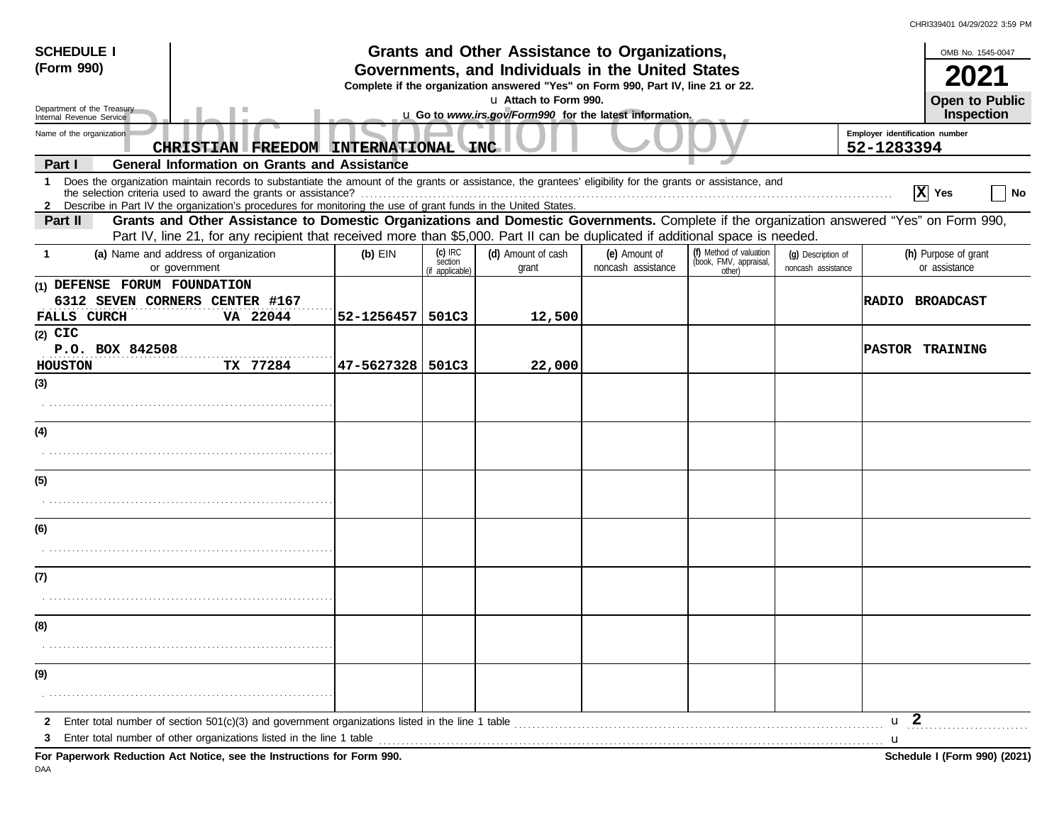| <b>SCHEDULE I</b><br>(Form 990)                        | Grants and Other Assistance to Organizations,<br>Governments, and Individuals in the United States<br>Complete if the organization answered "Yes" on Form 990, Part IV, line 21 or 22.<br>u Attach to Form 990.                                                                                                                                 |            |                                         |                                                         |                                     | OMB No. 1545-0047<br><b>Open to Public</b>                  |                                          |                                              |
|--------------------------------------------------------|-------------------------------------------------------------------------------------------------------------------------------------------------------------------------------------------------------------------------------------------------------------------------------------------------------------------------------------------------|------------|-----------------------------------------|---------------------------------------------------------|-------------------------------------|-------------------------------------------------------------|------------------------------------------|----------------------------------------------|
| Department of the Treasury<br>Internal Revenue Service |                                                                                                                                                                                                                                                                                                                                                 |            |                                         | u Go to www.irs.gov/Form990 for the latest information. |                                     |                                                             |                                          | Inspection                                   |
| Name of the organization                               | CHRISTIAN FREEDOM INTERNATIONAL                                                                                                                                                                                                                                                                                                                 |            |                                         | <b>INC</b>                                              |                                     |                                                             |                                          | Employer identification number<br>52-1283394 |
| Part I                                                 | <b>General Information on Grants and Assistance</b>                                                                                                                                                                                                                                                                                             |            |                                         |                                                         |                                     |                                                             |                                          |                                              |
| 1                                                      | Does the organization maintain records to substantiate the amount of the grants or assistance, the grantees' eligibility for the grants or assistance, and<br>the selection criteria used to award the grants or assistance?<br>2 Describe in Part IV the organization's procedures for monitoring the use of grant funds in the United States. |            |                                         |                                                         |                                     |                                                             |                                          | $ \mathbf{X} $ Yes<br>No                     |
| Part II                                                | Grants and Other Assistance to Domestic Organizations and Domestic Governments. Complete if the organization answered "Yes" on Form 990,<br>Part IV, line 21, for any recipient that received more than \$5,000. Part II can be duplicated if additional space is needed.                                                                       |            |                                         |                                                         |                                     |                                                             |                                          |                                              |
| -1                                                     | (a) Name and address of organization<br>or government                                                                                                                                                                                                                                                                                           | $(b)$ EIN  | $(c)$ IRC<br>section<br>(if applicable) | (d) Amount of cash<br>grant                             | (e) Amount of<br>noncash assistance | (f) Method of valuation<br>(book, FMV, appraisal,<br>other) | (q) Description of<br>noncash assistance | (h) Purpose of grant<br>or assistance        |
| (1) DEFENSE FORUM FOUNDATION<br><b>FALLS CURCH</b>     | 6312 SEVEN CORNERS CENTER #167<br>VA 22044                                                                                                                                                                                                                                                                                                      | 52-1256457 | 501C3                                   | 12,500                                                  |                                     |                                                             |                                          | <b>RADIO BROADCAST</b>                       |
| $(2)$ CIC<br>P.O. BOX 842508<br>HOUSTON                | TX 77284                                                                                                                                                                                                                                                                                                                                        | 47-5627328 | 501C3                                   | 22,000                                                  |                                     |                                                             |                                          | <b>PASTOR TRAINING</b>                       |
| (3)                                                    |                                                                                                                                                                                                                                                                                                                                                 |            |                                         |                                                         |                                     |                                                             |                                          |                                              |
|                                                        |                                                                                                                                                                                                                                                                                                                                                 |            |                                         |                                                         |                                     |                                                             |                                          |                                              |
| (4)                                                    |                                                                                                                                                                                                                                                                                                                                                 |            |                                         |                                                         |                                     |                                                             |                                          |                                              |
| (5)                                                    |                                                                                                                                                                                                                                                                                                                                                 |            |                                         |                                                         |                                     |                                                             |                                          |                                              |
|                                                        |                                                                                                                                                                                                                                                                                                                                                 |            |                                         |                                                         |                                     |                                                             |                                          |                                              |
| (6)                                                    |                                                                                                                                                                                                                                                                                                                                                 |            |                                         |                                                         |                                     |                                                             |                                          |                                              |
|                                                        |                                                                                                                                                                                                                                                                                                                                                 |            |                                         |                                                         |                                     |                                                             |                                          |                                              |
| (7)                                                    |                                                                                                                                                                                                                                                                                                                                                 |            |                                         |                                                         |                                     |                                                             |                                          |                                              |
| (8)                                                    |                                                                                                                                                                                                                                                                                                                                                 |            |                                         |                                                         |                                     |                                                             |                                          |                                              |
|                                                        |                                                                                                                                                                                                                                                                                                                                                 |            |                                         |                                                         |                                     |                                                             |                                          |                                              |
| (9)                                                    |                                                                                                                                                                                                                                                                                                                                                 |            |                                         |                                                         |                                     |                                                             |                                          |                                              |
|                                                        |                                                                                                                                                                                                                                                                                                                                                 |            |                                         |                                                         |                                     |                                                             |                                          |                                              |
| $\mathbf{2}$<br>3                                      | Enter total number of section $501(c)(3)$ and government organizations listed in the line 1 table<br>Enter total number of other organizations listed in the line 1 table                                                                                                                                                                       |            |                                         |                                                         |                                     |                                                             |                                          | u <sub>2</sub><br>-u                         |
|                                                        | For Paperwork Reduction Act Notice, see the Instructions for Form 990.                                                                                                                                                                                                                                                                          |            |                                         |                                                         |                                     |                                                             |                                          | Schedule I (Form 990) (2021)                 |

DAA

CHRI339401 04/29/2022 3:59 PM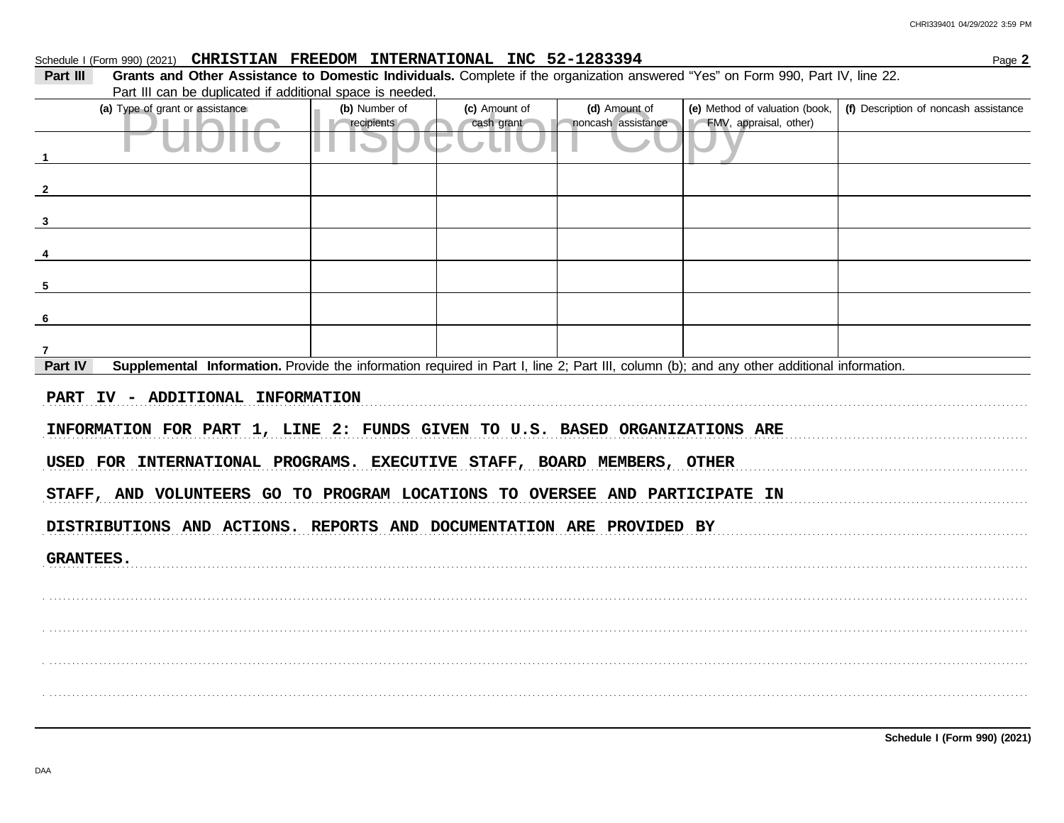Page 2

# Schedule I (Form 990) (2021) CHRISTIAN FREEDOM INTERNATIONAL INC 52-1283394

Grants and Other Assistance to Domestic Individuals. Complete if the organization answered "Yes" on Form 990, Part IV, line 22. Part III Part III can be duplicated if additional space is needed.

| (a) Type of grant or assistance                                                                                                                      | (b) Number of<br>recipients | (c) Amount of<br>cash grant | (d) Amount of<br>noncash assistance | (e) Method of valuation (book,<br>FMV, appraisal, other) | (f) Description of noncash assistance |
|------------------------------------------------------------------------------------------------------------------------------------------------------|-----------------------------|-----------------------------|-------------------------------------|----------------------------------------------------------|---------------------------------------|
| $\mathbf{1}$                                                                                                                                         |                             |                             |                                     |                                                          |                                       |
| $\overline{\mathbf{2}}$                                                                                                                              |                             |                             |                                     |                                                          |                                       |
| $\mathbf{3}$                                                                                                                                         |                             |                             |                                     |                                                          |                                       |
| 4                                                                                                                                                    |                             |                             |                                     |                                                          |                                       |
| 5                                                                                                                                                    |                             |                             |                                     |                                                          |                                       |
| 6                                                                                                                                                    |                             |                             |                                     |                                                          |                                       |
| 7                                                                                                                                                    |                             |                             |                                     |                                                          |                                       |
| Supplemental Information. Provide the information required in Part I, line 2; Part III, column (b); and any other additional information.<br>Part IV |                             |                             |                                     |                                                          |                                       |
| PART IV - ADDITIONAL INFORMATION                                                                                                                     |                             |                             |                                     |                                                          |                                       |
| INFORMATION FOR PART 1, LINE 2: FUNDS GIVEN TO U.S. BASED ORGANIZATIONS ARE                                                                          |                             |                             |                                     |                                                          |                                       |
| USED FOR INTERNATIONAL PROGRAMS. EXECUTIVE STAFF, BOARD MEMBERS, OTHER                                                                               |                             |                             |                                     |                                                          |                                       |
| STAFF, AND VOLUNTEERS GO TO PROGRAM LOCATIONS TO OVERSEE AND PARTICIPATE IN                                                                          |                             |                             |                                     |                                                          |                                       |
| DISTRIBUTIONS AND ACTIONS. REPORTS AND DOCUMENTATION ARE PROVIDED BY                                                                                 |                             |                             |                                     |                                                          |                                       |
| <b>GRANTEES.</b>                                                                                                                                     |                             |                             |                                     |                                                          |                                       |
|                                                                                                                                                      |                             |                             |                                     |                                                          |                                       |
|                                                                                                                                                      |                             |                             |                                     |                                                          |                                       |
|                                                                                                                                                      |                             |                             |                                     |                                                          |                                       |
|                                                                                                                                                      |                             |                             |                                     |                                                          |                                       |
|                                                                                                                                                      |                             |                             |                                     |                                                          |                                       |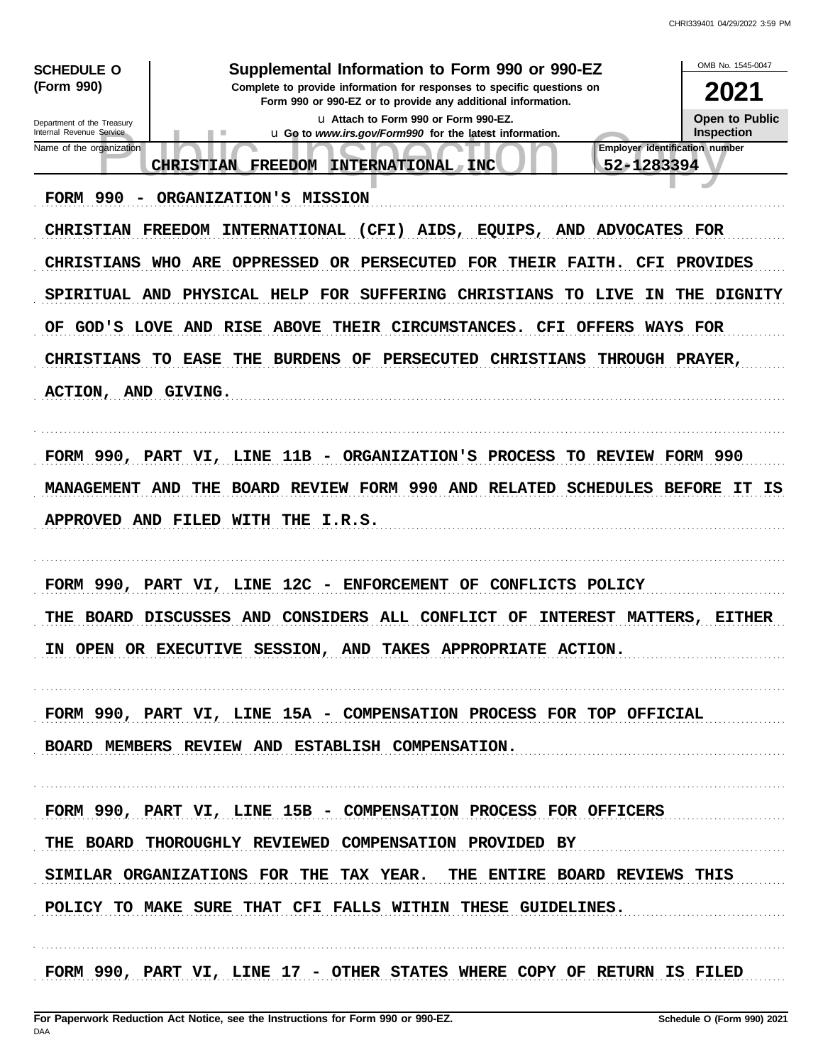| <b>SCHEDULE O</b>                                    | Supplemental Information to Form 990 or 990-EZ                                                                                                                            | OMB No. 1545-0047 |
|------------------------------------------------------|---------------------------------------------------------------------------------------------------------------------------------------------------------------------------|-------------------|
| (Form 990)                                           | Complete to provide information for responses to specific questions on<br>Form 990 or 990-EZ or to provide any additional information.                                    | 2021              |
| Department of the Treasury                           | La Attach to Form 990 or Form 990-EZ.                                                                                                                                     | Open to Public    |
| Internal Revenue Service<br>Name of the organization | u Go to www.irs.gov/Form990 for the latest information.<br><b>Employer identification number</b><br>52-1283394<br><b>CHRISTIAN</b><br><b>FREEDOM</b><br>INTERNATIONAL INC | <b>Inspection</b> |
| <b>FORM 990</b>                                      | ORGANIZATION'S MISSION                                                                                                                                                    |                   |
|                                                      | CHRISTIAN FREEDOM INTERNATIONAL<br>(CFI) AIDS, EQUIPS, AND ADVOCATES FOR                                                                                                  |                   |
|                                                      | CHRISTIANS WHO ARE OPPRESSED<br>OR PERSECUTED FOR THEIR FAITH.                                                                                                            | CFI PROVIDES      |
|                                                      | SPIRITUAL AND PHYSICAL HELP FOR SUFFERING CHRISTIANS<br>TO LIVE                                                                                                           | IN THE DIGNITY    |
| OF.                                                  | GOD'S LOVE AND RISE ABOVE THEIR CIRCUMSTANCES. CFI OFFERS WAYS FOR                                                                                                        |                   |
| <b>CHRISTIANS</b>                                    | TO EASE THE<br>BURDENS OF PERSECUTED CHRISTIANS<br>THROUGH PRAYER,                                                                                                        |                   |
| ACTION, AND GIVING.                                  |                                                                                                                                                                           |                   |
|                                                      | FORM 990, PART VI, LINE 11B - ORGANIZATION'S PROCESS<br>TO REVIEW FORM 990                                                                                                |                   |
| <b>MANAGEMENT</b>                                    | BOARD REVIEW FORM 990 AND RELATED SCHEDULES BEFORE IT<br>AND<br>THE                                                                                                       | IS                |
|                                                      | APPROVED AND FILED WITH THE I.R.S.                                                                                                                                        |                   |
|                                                      | $12C -$<br>FORM 990, PART VI, LINE<br><b>ENFORCEMENT</b><br>CONFLICTS POLICY<br>OF                                                                                        |                   |
| THE                                                  | CONSIDERS<br><b>ALL CONFLICT</b><br>BOARD DISCUSSES AND<br>INTEREST MATTERS,<br>OF.                                                                                       | EITHER            |
| IN.                                                  | OPEN OR EXECUTIVE SESSION, AND TAKES APPROPRIATE ACTION.                                                                                                                  |                   |
|                                                      | FORM 990, PART VI, LINE 15A - COMPENSATION PROCESS FOR TOP OFFICIAL                                                                                                       |                   |
|                                                      | BOARD MEMBERS REVIEW AND ESTABLISH COMPENSATION.                                                                                                                          |                   |
|                                                      | FORM 990, PART VI, LINE 15B - COMPENSATION PROCESS FOR OFFICERS                                                                                                           |                   |
|                                                      | THE BOARD THOROUGHLY REVIEWED COMPENSATION PROVIDED BY                                                                                                                    |                   |
|                                                      | SIMILAR ORGANIZATIONS FOR THE TAX YEAR. THE ENTIRE BOARD REVIEWS THIS                                                                                                     |                   |
|                                                      | POLICY TO MAKE SURE THAT CFI FALLS WITHIN THESE GUIDELINES.                                                                                                               |                   |
|                                                      | FORM 990, PART VI, LINE 17 - OTHER STATES WHERE COPY OF RETURN IS FILED                                                                                                   |                   |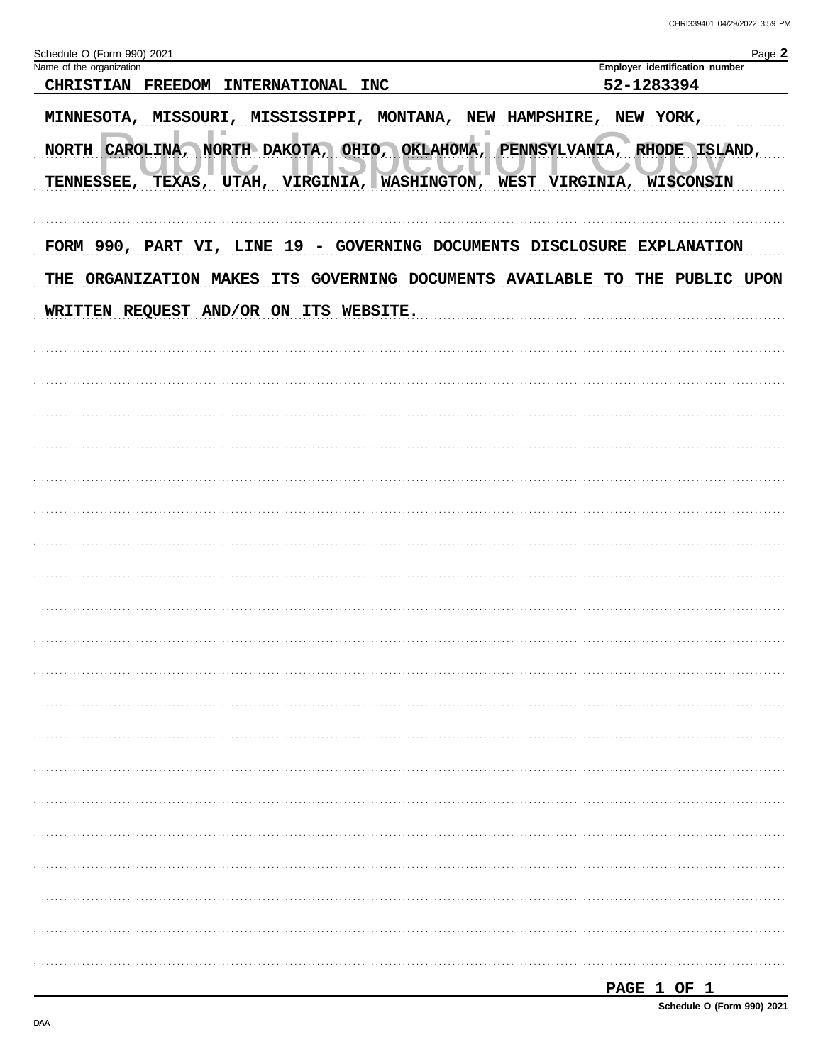| Schedule O (Form 990) 2021                                                                                                                                                                       | Page 2                         |
|--------------------------------------------------------------------------------------------------------------------------------------------------------------------------------------------------|--------------------------------|
| Name of the organization                                                                                                                                                                         | Employer identification number |
| CHRISTIAN FREEDOM INTERNATIONAL INC                                                                                                                                                              | 52-1283394                     |
| MINNESOTA, MISSOURI, MISSISSIPPI, MONTANA, NEW HAMPSHIRE, NEW YORK,                                                                                                                              |                                |
| NORTH CAROLINA, NORTH DAKOTA, OHIO, OKLAHOMA, PENNSYLVANIA, RHODE ISLAND,<br>TENNESSEE, TEXAS, UTAH, VIRGINIA, WASHINGTON, WEST VIRGINIA, WISCONSIN                                              |                                |
| FORM 990, PART VI, LINE 19 - GOVERNING DOCUMENTS DISCLOSURE EXPLANATION<br>THE ORGANIZATION MAKES ITS GOVERNING DOCUMENTS AVAILABLE TO THE PUBLIC UPON<br>WRITTEN REQUEST AND/OR ON ITS WEBSITE. |                                |
|                                                                                                                                                                                                  |                                |
|                                                                                                                                                                                                  |                                |
|                                                                                                                                                                                                  |                                |
|                                                                                                                                                                                                  |                                |
|                                                                                                                                                                                                  |                                |
|                                                                                                                                                                                                  |                                |
|                                                                                                                                                                                                  |                                |
|                                                                                                                                                                                                  |                                |
|                                                                                                                                                                                                  |                                |
|                                                                                                                                                                                                  |                                |
|                                                                                                                                                                                                  |                                |
|                                                                                                                                                                                                  |                                |
|                                                                                                                                                                                                  |                                |
|                                                                                                                                                                                                  |                                |
|                                                                                                                                                                                                  |                                |
|                                                                                                                                                                                                  |                                |
|                                                                                                                                                                                                  |                                |
|                                                                                                                                                                                                  |                                |
|                                                                                                                                                                                                  |                                |
|                                                                                                                                                                                                  |                                |
|                                                                                                                                                                                                  |                                |
|                                                                                                                                                                                                  |                                |
|                                                                                                                                                                                                  |                                |
|                                                                                                                                                                                                  |                                |
|                                                                                                                                                                                                  |                                |
|                                                                                                                                                                                                  |                                |
|                                                                                                                                                                                                  |                                |
|                                                                                                                                                                                                  |                                |

| -<br>. .<br>.<br>. |  |  |  |  |
|--------------------|--|--|--|--|
|--------------------|--|--|--|--|